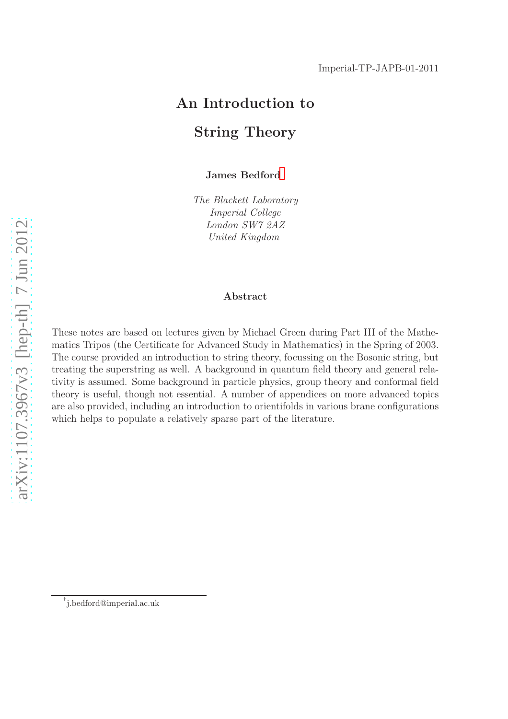# An Introduction to String Theory

James Bedford<sup>[†](#page-0-0)</sup>

*The Blackett Laboratory Imperial College London SW7 2AZ United Kingdom*

#### Abstract

These notes are based on lectures given by Michael Green during Part III of the Mathematics Tripos (the Certificate for Advanced Study in Mathematics) in the Spring of 2003. The course provided an introduction to string theory, focussing on the Bosonic string, but treating the superstring as well. A background in quantum field theory and general relativity is assumed. Some background in particle physics, group theory and conformal field theory is useful, though not essential. A number of appendices on more advanced topics are also provided, including an introduction to orientifolds in various brane configurations which helps to populate a relatively sparse part of the literature.

<span id="page-0-0"></span><sup>†</sup> j.bedford@imperial.ac.uk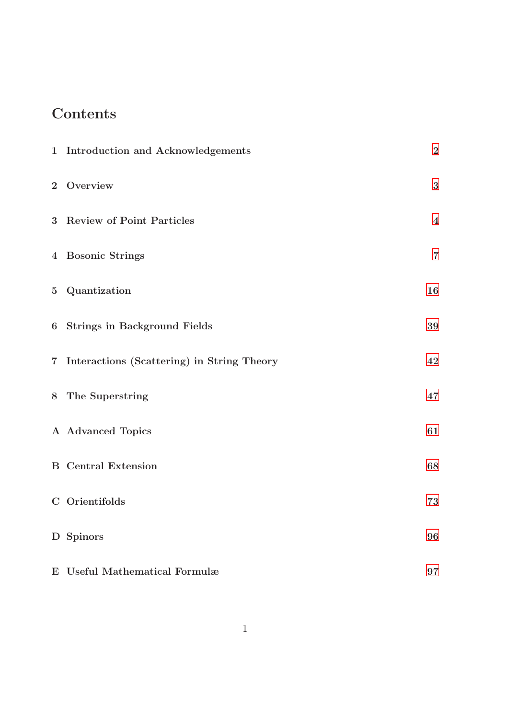# **Contents**

| 1 Introduction and Acknowledgements          | $\boldsymbol{2}$        |
|----------------------------------------------|-------------------------|
| 2 Overview                                   | $\bf 3$                 |
| 3 Review of Point Particles                  | $\overline{\mathbf{4}}$ |
| 4 Bosonic Strings                            | $\overline{7}$          |
| 5 Quantization                               | 16                      |
| 6 Strings in Background Fields               | 39                      |
| 7 Interactions (Scattering) in String Theory | 42                      |
| 8 The Superstring                            | 47                      |
| A Advanced Topics                            | 61                      |
| <b>B</b> Central Extension                   | 68                      |
| C Orientifolds                               | 73                      |
| D Spinors                                    | 96                      |
| E Useful Mathematical Formulæ                | 97                      |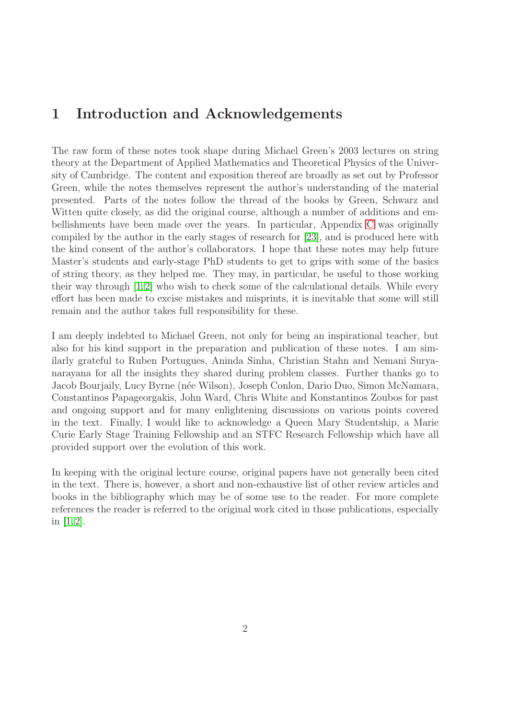# 1 Introduction and Acknowledgements

The raw form of these notes took shape during Michael Green's 2003 lectures on string theory at the Department of Applied Mathematics and Theoretical Physics of the University of Cambridge. The content and exposition thereof are broadly as set out by Professor Green, while the notes themselves represent the author's understanding of the material presented. Parts of the notes follow the thread of the books by Green, Schwarz and Witten quite closely, as did the original course, although a number of additions and embellishments have been made over the years. In particular, Appendix [C](#page-73-0) was originally compiled by the author in the early stages of research for [\[23\]](#page-100-0), and is produced here with the kind consent of the author's collaborators. I hope that these notes may help future Master's students and early-stage PhD students to get to grips with some of the basics of string theory, as they helped me. They may, in particular, be useful to those working their way through [\[1,](#page-99-0)[2\]](#page-99-1) who wish to check some of the calculational details. While every effort has been made to excise mistakes and misprints, it is inevitable that some will still remain and the author takes full responsibility for these.

I am deeply indebted to Michael Green, not only for being an inspirational teacher, but also for his kind support in the preparation and publication of these notes. I am similarly grateful to Ruben Portugues, Aninda Sinha, Christian Stahn and Nemani Suryanarayana for all the insights they shared during problem classes. Further thanks go to Jacob Bourjaily, Lucy Byrne (n´ee Wilson), Joseph Conlon, Dario Duo, Simon McNamara, Constantinos Papageorgakis, John Ward, Chris White and Konstantinos Zoubos for past and ongoing support and for many enlightening discussions on various points covered in the text. Finally, I would like to acknowledge a Queen Mary Studentship, a Marie Curie Early Stage Training Fellowship and an STFC Research Fellowship which have all provided support over the evolution of this work.

In keeping with the original lecture course, original papers have not generally been cited in the text. There is, however, a short and non-exhaustive list of other review articles and books in the bibliography which may be of some use to the reader. For more complete references the reader is referred to the original work cited in those publications, especially in  $[1, 2]$  $[1, 2]$ .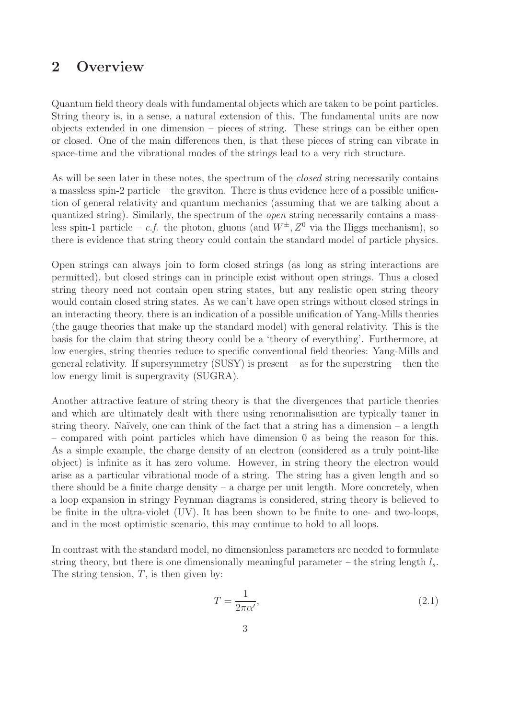# 2 Overview

Quantum field theory deals with fundamental objects which are taken to be point particles. String theory is, in a sense, a natural extension of this. The fundamental units are now objects extended in one dimension – pieces of string. These strings can be either open or closed. One of the main differences then, is that these pieces of string can vibrate in space-time and the vibrational modes of the strings lead to a very rich structure.

As will be seen later in these notes, the spectrum of the *closed* string necessarily contains a massless spin-2 particle – the graviton. There is thus evidence here of a possible unification of general relativity and quantum mechanics (assuming that we are talking about a quantized string). Similarly, the spectrum of the *open* string necessarily contains a massless spin-1 particle – *c.f.* the photon, gluons (and  $W^{\pm}$ ,  $Z^0$  via the Higgs mechanism), so there is evidence that string theory could contain the standard model of particle physics.

Open strings can always join to form closed strings (as long as string interactions are permitted), but closed strings can in principle exist without open strings. Thus a closed string theory need not contain open string states, but any realistic open string theory would contain closed string states. As we can't have open strings without closed strings in an interacting theory, there is an indication of a possible unification of Yang-Mills theories (the gauge theories that make up the standard model) with general relativity. This is the basis for the claim that string theory could be a 'theory of everything'. Furthermore, at low energies, string theories reduce to specific conventional field theories: Yang-Mills and general relativity. If supersymmetry  $(SUSY)$  is present – as for the superstring – then the low energy limit is supergravity (SUGRA).

Another attractive feature of string theory is that the divergences that particle theories and which are ultimately dealt with there using renormalisation are typically tamer in string theory. Naïvely, one can think of the fact that a string has a dimension – a length – compared with point particles which have dimension 0 as being the reason for this. As a simple example, the charge density of an electron (considered as a truly point-like object) is infinite as it has zero volume. However, in string theory the electron would arise as a particular vibrational mode of a string. The string has a given length and so there should be a finite charge density  $-$  a charge per unit length. More concretely, when a loop expansion in stringy Feynman diagrams is considered, string theory is believed to be finite in the ultra-violet (UV). It has been shown to be finite to one- and two-loops, and in the most optimistic scenario, this may continue to hold to all loops.

In contrast with the standard model, no dimensionless parameters are needed to formulate string theory, but there is one dimensionally meaningful parameter – the string length  $l_s$ . The string tension,  $T$ , is then given by:

$$
T = \frac{1}{2\pi\alpha'},\tag{2.1}
$$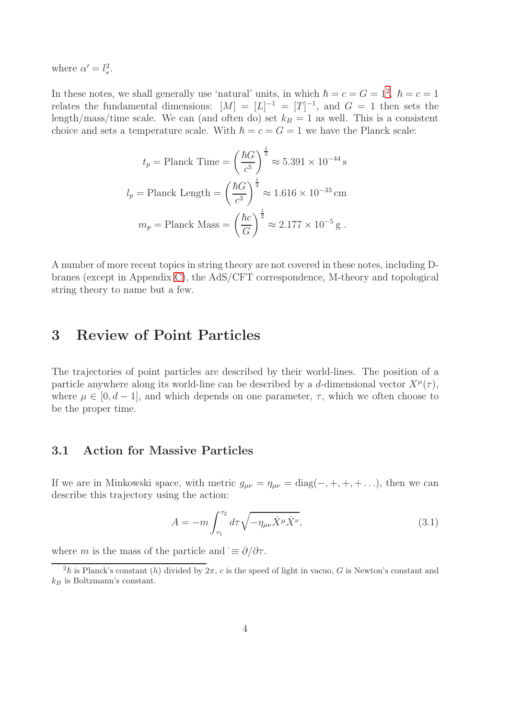where  $\alpha' = l_s^2$ .

In these notes, we shall generally use 'natural' units, in which  $\hbar = c = G = 1^2$  $\hbar = c = G = 1^2$ .  $\hbar = c = 1$ relates the fundamental dimensions:  $[M] = [L]^{-1} = [T]^{-1}$ , and  $G = 1$  then sets the length/mass/time scale. We can (and often do) set  $k_B = 1$  as well. This is a consistent choice and sets a temperature scale. With  $\hbar = c = G = 1$  we have the Planck scale:

$$
t_p = \text{Planck Time} = \left(\frac{\hbar G}{c^5}\right)^{\frac{1}{2}} \approx 5.391 \times 10^{-44} \,\text{s}
$$
\n
$$
l_p = \text{Planck Length} = \left(\frac{\hbar G}{c^3}\right)^{\frac{1}{2}} \approx 1.616 \times 10^{-33} \,\text{cm}
$$
\n
$$
m_p = \text{Planck Mass} = \left(\frac{\hbar c}{G}\right)^{\frac{1}{2}} \approx 2.177 \times 10^{-5} \,\text{g} \,.
$$

A number of more recent topics in string theory are not covered in these notes, including Dbranes (except in Appendix [C\)](#page-73-0), the AdS/CFT correspondence, M-theory and topological string theory to name but a few.

# 3 Review of Point Particles

The trajectories of point particles are described by their world-lines. The position of a particle anywhere along its world-line can be described by a d-dimensional vector  $X^{\mu}(\tau)$ , where  $\mu \in [0, d-1]$ , and which depends on one parameter,  $\tau$ , which we often choose to be the proper time.

### 3.1 Action for Massive Particles

If we are in Minkowski space, with metric  $g_{\mu\nu} = \eta_{\mu\nu} = \text{diag}(-, +, +, +, \ldots)$ , then we can describe this trajectory using the action:

$$
A = -m \int_{\tau_1}^{\tau_2} d\tau \sqrt{-\eta_{\mu\nu} \dot{X}^\mu \dot{X}^\nu},\tag{3.1}
$$

where m is the mass of the particle and  $\dot{\equiv} \partial/\partial \tau$ .

<span id="page-4-0"></span><sup>&</sup>lt;sup>2</sup> $\hbar$  is Planck's constant (h) divided by 2π, c is the speed of light in vacuo, G is Newton's constant and  $k_B$  is Boltzmann's constant.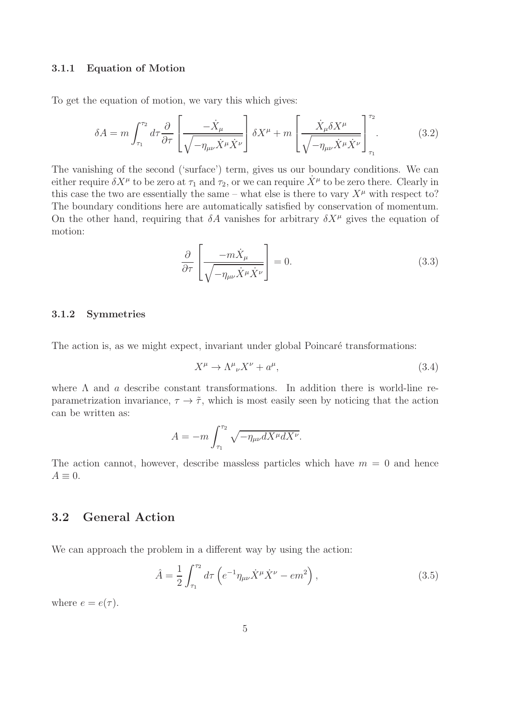#### 3.1.1 Equation of Motion

To get the equation of motion, we vary this which gives:

$$
\delta A = m \int_{\tau_1}^{\tau_2} d\tau \frac{\partial}{\partial \tau} \left[ \frac{-\dot{X}_\mu}{\sqrt{-\eta_{\mu\nu} \dot{X}^\mu \dot{X}^\nu}} \right] \delta X^\mu + m \left[ \frac{\dot{X}_\mu \delta X^\mu}{\sqrt{-\eta_{\mu\nu} \dot{X}^\mu \dot{X}^\nu}} \right]_{\tau_1}^{\tau_2} . \tag{3.2}
$$

The vanishing of the second ('surface') term, gives us our boundary conditions. We can either require  $\delta X^{\mu}$  to be zero at  $\tau_1$  and  $\tau_2$ , or we can require  $\dot{X}^{\mu}$  to be zero there. Clearly in this case the two are essentially the same – what else is there to vary  $X^{\mu}$  with respect to? The boundary conditions here are automatically satisfied by conservation of momentum. On the other hand, requiring that  $\delta A$  vanishes for arbitrary  $\delta X^{\mu}$  gives the equation of motion:

$$
\frac{\partial}{\partial \tau} \left[ \frac{-m \dot{X}_{\mu}}{\sqrt{-\eta_{\mu\nu} \dot{X}^{\mu} \dot{X}^{\nu}}} \right] = 0.
$$
\n(3.3)

#### 3.1.2 Symmetries

The action is, as we might expect, invariant under global Poincaré transformations:

$$
X^{\mu} \to \Lambda^{\mu}{}_{\nu} X^{\nu} + a^{\mu}, \tag{3.4}
$$

where  $\Lambda$  and  $\alpha$  describe constant transformations. In addition there is world-line reparametrization invariance,  $\tau \to \tilde{\tau}$ , which is most easily seen by noticing that the action can be written as:

$$
A = -m \int_{\tau_1}^{\tau_2} \sqrt{-\eta_{\mu\nu} dX^{\mu} dX^{\nu}}.
$$

The action cannot, however, describe massless particles which have  $m = 0$  and hence  $A \equiv 0.$ 

### 3.2 General Action

We can approach the problem in a different way by using the action:

$$
\hat{A} = \frac{1}{2} \int_{\tau_1}^{\tau_2} d\tau \left( e^{-1} \eta_{\mu\nu} \dot{X}^{\mu} \dot{X}^{\nu} - e m^2 \right), \tag{3.5}
$$

where  $e = e(\tau)$ .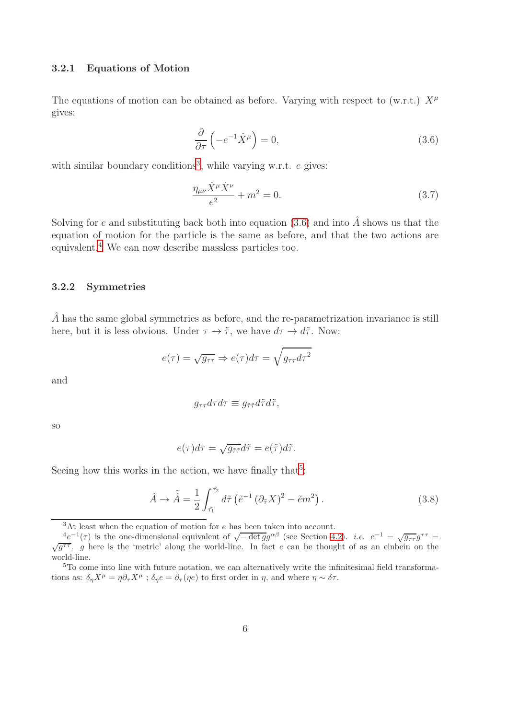#### 3.2.1 Equations of Motion

The equations of motion can be obtained as before. Varying with respect to (w.r.t.)  $X^{\mu}$ gives:

$$
\frac{\partial}{\partial \tau} \left( -e^{-1} \dot{X}^{\mu} \right) = 0, \tag{3.6}
$$

with similar boundary conditions<sup>[3](#page-6-0)</sup>, while varying w.r.t.  $e$  gives:

$$
\frac{\eta_{\mu\nu}\dot{X}^{\mu}\dot{X}^{\nu}}{e^2} + m^2 = 0.
$$
 (3.7)

Solving for e and substituting back both into equation [\(3.6\)](#page-74-0) and into  $\hat{A}$  shows us that the equation of motion for the particle is the same as before, and that the two actions are equivalent.[4](#page-6-1) We can now describe massless particles too.

#### 3.2.2 Symmetries

 $\overline{A}$  has the same global symmetries as before, and the re-parametrization invariance is still here, but it is less obvious. Under  $\tau \to \tilde{\tau}$ , we have  $d\tau \to d\tilde{\tau}$ . Now:

$$
e(\tau) = \sqrt{g_{\tau\tau}} \Rightarrow e(\tau)d\tau = \sqrt{g_{\tau\tau}d\tau^2}
$$

and

$$
g_{\tau\tau}d\tau d\tau \equiv g_{\tilde{\tau}\tilde{\tau}}d\tilde{\tau}d\tilde{\tau},
$$

so

$$
e(\tau)d\tau = \sqrt{g_{\tilde{\tau}\tilde{\tau}}}d\tilde{\tau} = e(\tilde{\tau})d\tilde{\tau}.
$$

Seeing how this works in the action, we have finally that<sup>[5](#page-6-2)</sup>:

$$
\hat{A} \rightarrow \tilde{\hat{A}} = \frac{1}{2} \int_{\tilde{\tau}_1}^{\tilde{\tau}_2} d\tilde{\tau} \left( \tilde{e}^{-1} \left( \partial_{\tilde{\tau}} X \right)^2 - \tilde{e} m^2 \right). \tag{3.8}
$$

<span id="page-6-0"></span><sup>3</sup>At least when the equation of motion for e has been taken into account.

<span id="page-6-1"></span> $\frac{4e^{-1}(\tau)}{\sqrt{g^{\tau\tau}}}$  is the one-dimensional equivalent of  $\sqrt{-\det g}g^{\alpha\beta}$  (see Section [4.2\)](#page-7-0). *i.e.*  $e^{-1} = \sqrt{g_{\tau\tau}}g^{\tau\tau} = \sqrt{g_{\tau\tau}}g^{\tau\tau}$ , g here is the 'metric' along the world-line. In fact e can be thought of world-line.

<span id="page-6-2"></span><sup>&</sup>lt;sup>5</sup>To come into line with future notation, we can alternatively write the infinitesimal field transformations as:  $\delta_{\eta}X^{\mu} = \eta \partial_{\tau}X^{\mu}$ ;  $\delta_{\eta}e = \partial_{\tau}(\eta e)$  to first order in  $\eta$ , and where  $\eta \sim \delta \tau$ .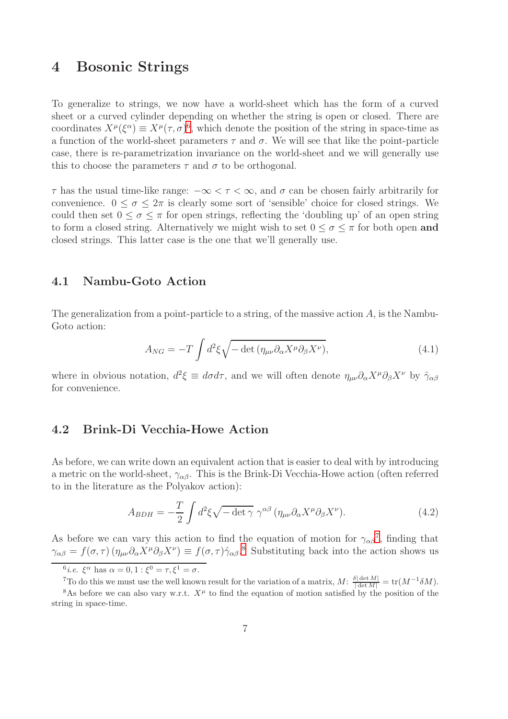# 4 Bosonic Strings

To generalize to strings, we now have a world-sheet which has the form of a curved sheet or a curved cylinder depending on whether the string is open or closed. There are coordinates  $X^{\mu}(\xi^{\alpha}) \equiv X^{\mu}(\tau, \sigma)^{6}$  $X^{\mu}(\xi^{\alpha}) \equiv X^{\mu}(\tau, \sigma)^{6}$  $X^{\mu}(\xi^{\alpha}) \equiv X^{\mu}(\tau, \sigma)^{6}$ , which denote the position of the string in space-time as a function of the world-sheet parameters τ and σ. We will see that like the point-particle case, there is re-parametrization invariance on the world-sheet and we will generally use this to choose the parameters  $\tau$  and  $\sigma$  to be orthogonal.

 $\tau$  has the usual time-like range:  $-\infty < \tau < \infty$ , and  $\sigma$  can be chosen fairly arbitrarily for convenience.  $0 \le \sigma \le 2\pi$  is clearly some sort of 'sensible' choice for closed strings. We could then set  $0 \leq \sigma \leq \pi$  for open strings, reflecting the 'doubling up' of an open string to form a closed string. Alternatively we might wish to set  $0 \leq \sigma \leq \pi$  for both open and closed strings. This latter case is the one that we'll generally use.

### 4.1 Nambu-Goto Action

The generalization from a point-particle to a string, of the massive action  $A$ , is the Nambu-Goto action:

$$
A_{NG} = -T \int d^2 \xi \sqrt{-\det \left( \eta_{\mu\nu} \partial_\alpha X^\mu \partial_\beta X^\nu \right)},\tag{4.1}
$$

<span id="page-7-0"></span>where in obvious notation,  $d^2 \xi \equiv d\sigma d\tau$ , and we will often denote  $\eta_{\mu\nu}\partial_{\alpha}X^{\mu}\partial_{\beta}X^{\nu}$  by  $\hat{\gamma}_{\alpha\beta}$ for convenience.

### 4.2 Brink-Di Vecchia-Howe Action

As before, we can write down an equivalent action that is easier to deal with by introducing a metric on the world-sheet,  $\gamma_{\alpha\beta}$ . This is the Brink-Di Vecchia-Howe action (often referred to in the literature as the Polyakov action):

$$
A_{BDH} = -\frac{T}{2} \int d^2 \xi \sqrt{-\det \gamma} \ \gamma^{\alpha \beta} \left( \eta_{\mu\nu} \partial_\alpha X^\mu \partial_\beta X^\nu \right). \tag{4.2}
$$

As before we can vary this action to find the equation of motion for  $\gamma_{\alpha\beta}^7$  $\gamma_{\alpha\beta}^7$ , finding that  $\gamma_{\alpha\beta} = f(\sigma, \tau) (\eta_{\mu\nu} \partial_\alpha X^\mu \partial_\beta X^\nu) \equiv f(\sigma, \tau) \hat{\gamma}_{\alpha\beta}$ .<sup>[8](#page-7-3)</sup> Substituting back into the action shows us

<sup>&</sup>lt;sup>6</sup>*i.e.*  $\xi^{\alpha}$  has  $\alpha = 0, 1 : \xi^0 = \tau, \xi^1 = \sigma$ .

<span id="page-7-2"></span><span id="page-7-1"></span><sup>&</sup>lt;sup>7</sup>To do this we must use the well known result for the variation of a matrix,  $M: \frac{\delta |\det M|}{|\det M|} = \text{tr}(M^{-1}\delta M)$ .

<span id="page-7-3"></span><sup>&</sup>lt;sup>8</sup>As before we can also vary w.r.t.  $X^{\mu}$  to find the equation of motion satisfied by the position of the string in space-time.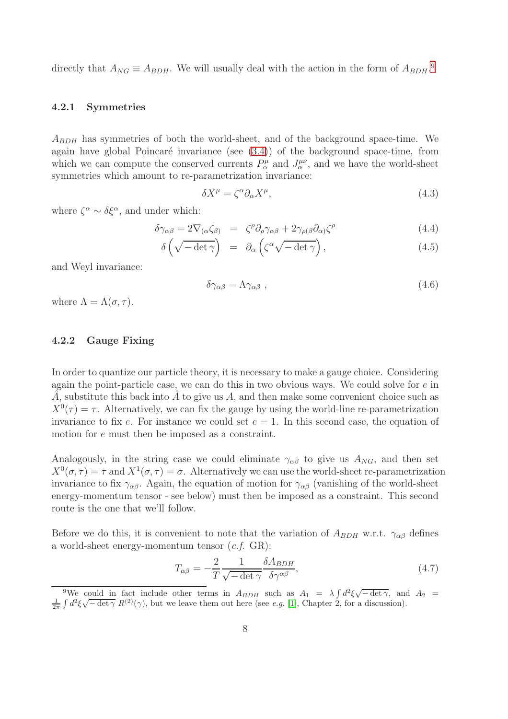directly that  $A_{NG} \equiv A_{BDH}$ . We will usually deal with the action in the form of  $A_{BDH}$ .<sup>[9](#page-8-0)</sup>

#### 4.2.1 Symmetries

 $A_{BDH}$  has symmetries of both the world-sheet, and of the background space-time. We again have global Poincaré invariance (see  $(3.4)$ ) of the background space-time, from which we can compute the conserved currents  $P^{\mu}_{\alpha}$  and  $J^{\mu\nu}_{\alpha}$ , and we have the world-sheet symmetries which amount to re-parametrization invariance:

$$
\delta X^{\mu} = \zeta^{\alpha} \partial_{\alpha} X^{\mu}, \qquad (4.3)
$$

where  $\zeta^{\alpha} \sim \delta \xi^{\alpha}$ , and under which:

$$
\delta \gamma_{\alpha\beta} = 2 \nabla_{(\alpha} \zeta_{\beta)} = \zeta^{\rho} \partial_{\rho} \gamma_{\alpha\beta} + 2 \gamma_{\rho(\beta} \partial_{\alpha)} \zeta^{\rho} \tag{4.4}
$$

$$
\delta\left(\sqrt{-\det\gamma}\right) = \partial_{\alpha}\left(\zeta^{\alpha}\sqrt{-\det\gamma}\right),\tag{4.5}
$$

and Weyl invariance:

$$
\delta \gamma_{\alpha\beta} = \Lambda \gamma_{\alpha\beta} \tag{4.6}
$$

where  $\Lambda = \Lambda(\sigma, \tau)$ .

#### 4.2.2 Gauge Fixing

In order to quantize our particle theory, it is necessary to make a gauge choice. Considering again the point-particle case, we can do this in two obvious ways. We could solve for  $e$  in  $\hat{A}$ , substitute this back into  $\hat{A}$  to give us  $A$ , and then make some convenient choice such as  $X^0(\tau) = \tau$ . Alternatively, we can fix the gauge by using the world-line re-parametrization invariance to fix e. For instance we could set  $e = 1$ . In this second case, the equation of motion for e must then be imposed as a constraint.

Analogously, in the string case we could eliminate  $\gamma_{\alpha\beta}$  to give us  $A_{NG}$ , and then set  $X^0(\sigma, \tau) = \tau$  and  $X^1(\sigma, \tau) = \sigma$ . Alternatively we can use the world-sheet re-parametrization invariance to fix  $\gamma_{\alpha\beta}$ . Again, the equation of motion for  $\gamma_{\alpha\beta}$  (vanishing of the world-sheet energy-momentum tensor - see below) must then be imposed as a constraint. This second route is the one that we'll follow.

Before we do this, it is convenient to note that the variation of  $A_{BDH}$  w.r.t.  $\gamma_{\alpha\beta}$  defines a world-sheet energy-momentum tensor (*c.f.* GR):

<span id="page-8-1"></span>
$$
T_{\alpha\beta} = -\frac{2}{T} \frac{1}{\sqrt{-\det \gamma}} \frac{\delta A_{BDH}}{\delta \gamma^{\alpha\beta}},\tag{4.7}
$$

<span id="page-8-0"></span><sup>&</sup>lt;sup>9</sup>We could in fact include other terms in  $A_{BDH}$  such as  $A_1 = \lambda \int d^2 \xi \sqrt{-\det \gamma}$ , and  $A_2 =$  $\frac{1}{2\pi} \int d^2\xi \sqrt{-\det \gamma} R^{(2)}(\gamma)$ , but we leave them out here (see *e.g.* [\[1\]](#page-99-0), Chapter 2, for a discussion).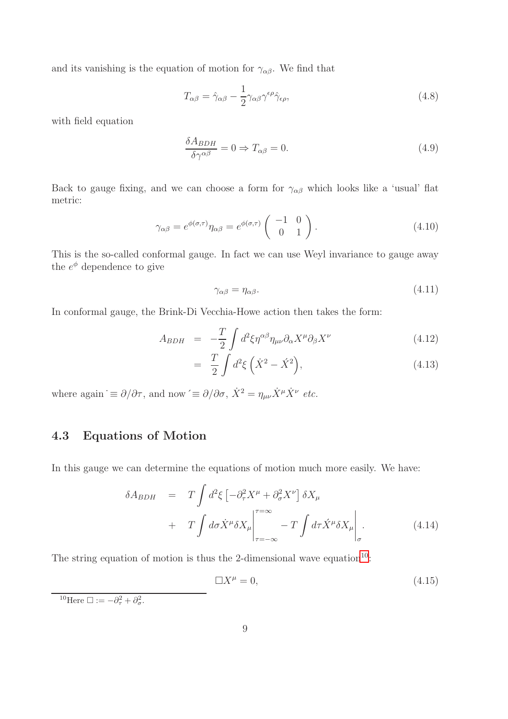and its vanishing is the equation of motion for  $\gamma_{\alpha\beta}$ . We find that

$$
T_{\alpha\beta} = \hat{\gamma}_{\alpha\beta} - \frac{1}{2} \gamma_{\alpha\beta} \gamma^{\epsilon\rho} \hat{\gamma}_{\epsilon\rho},
$$
\n(4.8)

with field equation

$$
\frac{\delta A_{BDH}}{\delta \gamma^{\alpha \beta}} = 0 \Rightarrow T_{\alpha \beta} = 0. \tag{4.9}
$$

Back to gauge fixing, and we can choose a form for  $\gamma_{\alpha\beta}$  which looks like a 'usual' flat metric:

$$
\gamma_{\alpha\beta} = e^{\phi(\sigma,\tau)} \eta_{\alpha\beta} = e^{\phi(\sigma,\tau)} \begin{pmatrix} -1 & 0\\ 0 & 1 \end{pmatrix} . \tag{4.10}
$$

This is the so-called conformal gauge. In fact we can use Weyl invariance to gauge away the  $e^{\phi}$  dependence to give

$$
\gamma_{\alpha\beta} = \eta_{\alpha\beta}.\tag{4.11}
$$

In conformal gauge, the Brink-Di Vecchia-Howe action then takes the form:

<span id="page-9-1"></span>
$$
A_{BDH} = -\frac{T}{2} \int d^2 \xi \eta^{\alpha \beta} \eta_{\mu\nu} \partial_{\alpha} X^{\mu} \partial_{\beta} X^{\nu}
$$
 (4.12)

$$
= \frac{T}{2} \int d^2 \xi \left( \dot{X}^2 - \dot{X}^2 \right), \tag{4.13}
$$

where again  $\dot{\equiv} \partial/\partial \tau$ , and now  $\dot{\equiv} \partial/\partial \sigma$ ,  $\dot{X}^2 = \eta_{\mu\nu} \dot{X}^{\mu} \dot{X}^{\nu}$  *etc.* 

# 4.3 Equations of Motion

In this gauge we can determine the equations of motion much more easily. We have:

$$
\delta A_{BDH} = T \int d^2 \xi \left[ -\partial_\tau^2 X^\mu + \partial_\sigma^2 X^\nu \right] \delta X_\mu + T \int d\sigma \dot{X}^\mu \delta X_\mu \Big|_{\tau = -\infty}^{\tau = \infty} - T \int d\tau \dot{X}^\mu \delta X_\mu \Big|_{\sigma}.
$$
 (4.14)

The string equation of motion is thus the 2-dimensional wave equation<sup>[10](#page-9-0)</sup>:

$$
\Box X^{\mu} = 0, \tag{4.15}
$$

<span id="page-9-0"></span><sup>10</sup>Here  $\Box := -\partial_{\tau}^2 + \partial_{\sigma}^2$ .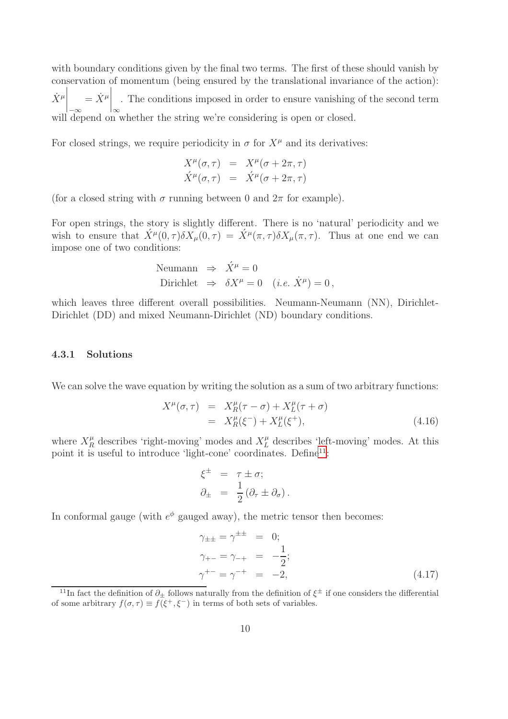with boundary conditions given by the final two terms. The first of these should vanish by conservation of momentum (being ensured by the translational invariance of the action):  $\left.\frac{\dot{X}^{\mu}}{\nu}\right|_{-\infty}$  $=\dot{X}^{\mu}\Big|_{\infty}$ . The conditions imposed in order to ensure vanishing of the second term will depend on whether the string we're considering is open or closed.

For closed strings, we require periodicity in  $\sigma$  for  $X^{\mu}$  and its derivatives:

$$
X^{\mu}(\sigma, \tau) = X^{\mu}(\sigma + 2\pi, \tau)
$$
  

$$
\acute{X}^{\mu}(\sigma, \tau) = \acute{X}^{\mu}(\sigma + 2\pi, \tau)
$$

(for a closed string with  $\sigma$  running between 0 and  $2\pi$  for example).

For open strings, the story is slightly different. There is no 'natural' periodicity and we wish to ensure that  $\acute{X}^{\mu}(0,\tau)\delta X_{\mu}(0,\tau) = \acute{X}^{\mu}(\pi,\tau)\delta X_{\mu}(\pi,\tau)$ . Thus at one end we can impose one of two conditions:

Neumann 
$$
\Rightarrow \hat{X}^{\mu} = 0
$$
  
Dirichlet  $\Rightarrow \delta X^{\mu} = 0$  (*i.e.*  $\hat{X}^{\mu} = 0$ ,

which leaves three different overall possibilities. Neumann-Neumann (NN), Dirichlet-Dirichlet (DD) and mixed Neumann-Dirichlet (ND) boundary conditions.

#### 4.3.1 Solutions

We can solve the wave equation by writing the solution as a sum of two arbitrary functions:

$$
X^{\mu}(\sigma,\tau) = X_R^{\mu}(\tau-\sigma) + X_L^{\mu}(\tau+\sigma) = X_R^{\mu}(\xi^-) + X_L^{\mu}(\xi^+),
$$
\n(4.16)

where  $X_R^{\mu}$  describes 'right-moving' modes and  $X_L^{\mu}$  describes 'left-moving' modes. At this point it is useful to introduce 'light-cone' coordinates. Define<sup>[11](#page-10-0)</sup>:

$$
\xi^{\pm} = \tau \pm \sigma; \n\partial_{\pm} = \frac{1}{2} (\partial_{\tau} \pm \partial_{\sigma}).
$$

In conformal gauge (with  $e^{\phi}$  gauged away), the metric tensor then becomes:

$$
\gamma_{\pm\pm} = \gamma^{\pm\pm} = 0; \n\gamma_{+-} = \gamma_{-+} = -\frac{1}{2}; \n\gamma^{+-} = \gamma^{-+} = -2,
$$
\n(4.17)

<span id="page-10-0"></span><sup>&</sup>lt;sup>11</sup>In fact the definition of  $\partial_{\pm}$  follows naturally from the definition of  $\xi^{\pm}$  if one considers the differential of some arbitrary  $f(\sigma, \tau) \equiv f(\xi^+, \xi^-)$  in terms of both sets of variables.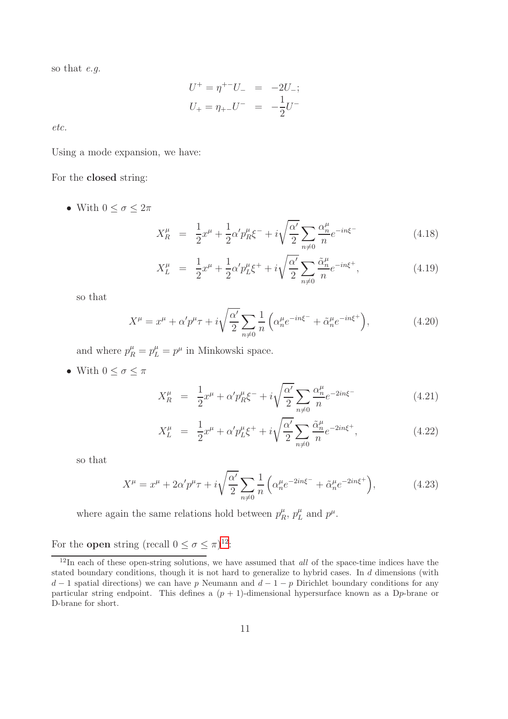so that *e.g.*

$$
U^{+} = \eta^{+-} U_{-} = -2U_{-};
$$
  

$$
U_{+} = \eta_{+-} U^{-} = -\frac{1}{2} U^{-}
$$

*etc.*

Using a mode expansion, we have:

#### For the closed string:

• With  $0 \leq \sigma \leq 2\pi$ 

$$
X_R^{\mu} = \frac{1}{2}x^{\mu} + \frac{1}{2}\alpha' p_R^{\mu} \xi^- + i\sqrt{\frac{\alpha'}{2}} \sum_{n \neq 0} \frac{\alpha_n^{\mu}}{n} e^{-in\xi^-}
$$
 (4.18)

$$
X_L^{\mu} = \frac{1}{2}x^{\mu} + \frac{1}{2}\alpha' p_L^{\mu} \xi^+ + i\sqrt{\frac{\alpha'}{2}} \sum_{n \neq 0} \frac{\tilde{\alpha}_n^{\mu}}{n} e^{-in\xi^+}, \qquad (4.19)
$$

so that

$$
X^{\mu} = x^{\mu} + \alpha' p^{\mu} \tau + i \sqrt{\frac{\alpha'}{2}} \sum_{n \neq 0} \frac{1}{n} \left( \alpha_n^{\mu} e^{-in\xi^{-}} + \tilde{\alpha}_n^{\mu} e^{-in\xi^{+}} \right), \tag{4.20}
$$

and where  $p_R^{\mu} = p_L^{\mu} = p^{\mu}$  in Minkowski space.

• With  $0 \leq \sigma \leq \pi$ 

$$
X_R^{\mu} = \frac{1}{2}x^{\mu} + \alpha' p_R^{\mu} \xi^{-} + i \sqrt{\frac{\alpha'}{2}} \sum_{n \neq 0} \frac{\alpha_n^{\mu}}{n} e^{-2in\xi^{-}}
$$
(4.21)

$$
X_L^{\mu} = \frac{1}{2}x^{\mu} + \alpha' p_L^{\mu} \xi^+ + i \sqrt{\frac{\alpha'}{2}} \sum_{n \neq 0} \frac{\tilde{\alpha}_n^{\mu}}{n} e^{-2in\xi^+}, \qquad (4.22)
$$

so that

$$
X^{\mu} = x^{\mu} + 2\alpha' p^{\mu} \tau + i \sqrt{\frac{\alpha'}{2}} \sum_{n \neq 0} \frac{1}{n} \left( \alpha_n^{\mu} e^{-2in\xi^{-}} + \tilde{\alpha}_n^{\mu} e^{-2in\xi^{+}} \right), \tag{4.23}
$$

where again the same relations hold between  $p_R^{\mu}$  $p_R^{\mu}, p_L^{\mu}$  $_{L}^{\mu}$  and  $p^{\mu}$ .

For the **open** string (recall  $0 \le \sigma \le \pi$ )<sup>[12](#page-11-0)</sup>:

<span id="page-11-0"></span> $12$ In each of these open-string solutions, we have assumed that *all* of the space-time indices have the stated boundary conditions, though it is not hard to generalize to hybrid cases. In d dimensions (with  $d-1$  spatial directions) we can have p Neumann and  $d-1-p$  Dirichlet boundary conditions for any particular string endpoint. This defines a  $(p + 1)$ -dimensional hypersurface known as a D<sub>p</sub>-brane or D-brane for short.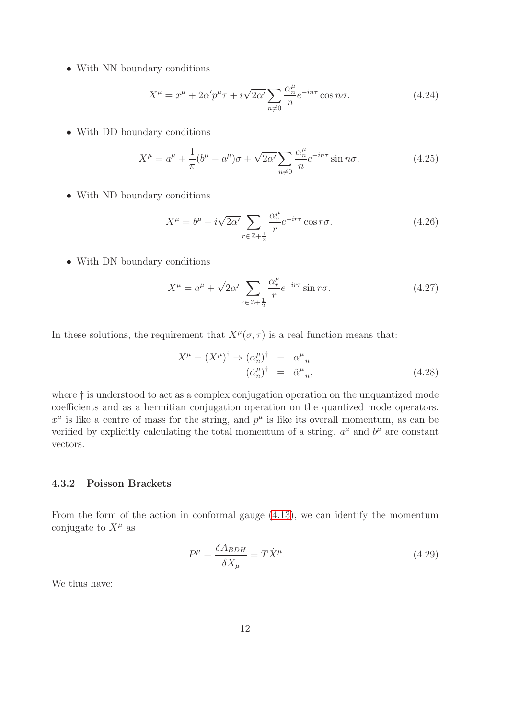• With NN boundary conditions

<span id="page-12-0"></span>
$$
X^{\mu} = x^{\mu} + 2\alpha' p^{\mu} \tau + i\sqrt{2\alpha'} \sum_{n \neq 0} \frac{\alpha_n^{\mu}}{n} e^{-in\tau} \cos n\sigma.
$$
 (4.24)

• With DD boundary conditions

$$
X^{\mu} = a^{\mu} + \frac{1}{\pi} (b^{\mu} - a^{\mu}) \sigma + \sqrt{2\alpha'} \sum_{n \neq 0} \frac{\alpha_n^{\mu}}{n} e^{-in\tau} \sin n\sigma.
$$
 (4.25)

• With ND boundary conditions

$$
X^{\mu} = b^{\mu} + i\sqrt{2\alpha'} \sum_{r \in \mathbb{Z} + \frac{1}{2}} \frac{\alpha_r^{\mu}}{r} e^{-ir\tau} \cos r\sigma.
$$
 (4.26)

• With DN boundary conditions

$$
X^{\mu} = a^{\mu} + \sqrt{2\alpha'} \sum_{r \in \mathbb{Z} + \frac{1}{2}} \frac{\alpha_r^{\mu}}{r} e^{-ir\tau} \sin r\sigma.
$$
 (4.27)

In these solutions, the requirement that  $X^{\mu}(\sigma, \tau)$  is a real function means that:

$$
X^{\mu} = (X^{\mu})^{\dagger} \Rightarrow (\alpha_n^{\mu})^{\dagger} = \alpha_{-n}^{\mu}
$$
  
\n
$$
(\tilde{\alpha}_n^{\mu})^{\dagger} = \tilde{\alpha}_{-n}^{\mu},
$$
\n(4.28)

where  $\dagger$  is understood to act as a complex conjugation operation on the unquantized mode coefficients and as a hermitian conjugation operation on the quantized mode operators.  $x^{\mu}$  is like a centre of mass for the string, and  $p^{\mu}$  is like its overall momentum, as can be verified by explicitly calculating the total momentum of a string.  $a^{\mu}$  and  $b^{\mu}$  are constant vectors.

### 4.3.2 Poisson Brackets

From the form of the action in conformal gauge [\(4.13\)](#page-9-1), we can identify the momentum conjugate to  $X^{\mu}$  as

$$
P^{\mu} \equiv \frac{\delta A_{BDH}}{\delta \dot{X}_{\mu}} = T \dot{X}^{\mu}.
$$
\n(4.29)

We thus have: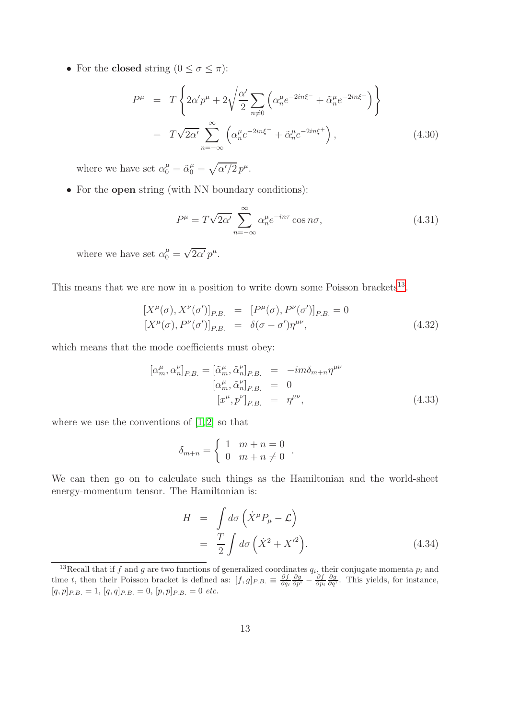• For the **closed** string  $(0 \leq \sigma \leq \pi)$ :

$$
P^{\mu} = T \left\{ 2\alpha' p^{\mu} + 2\sqrt{\frac{\alpha'}{2}} \sum_{n \neq 0} \left( \alpha''_{n} e^{-2in\xi^{-}} + \tilde{\alpha}^{\mu}_{n} e^{-2in\xi^{+}} \right) \right\}
$$
  

$$
= T \sqrt{2\alpha'} \sum_{n=-\infty}^{\infty} \left( \alpha''_{n} e^{-2in\xi^{-}} + \tilde{\alpha}^{\mu}_{n} e^{-2in\xi^{+}} \right), \qquad (4.30)
$$

where we have set  $\alpha_0^{\mu} = \tilde{\alpha}_0^{\mu} = \sqrt{\alpha'/2} p^{\mu}$ .

• For the open string (with NN boundary conditions):

$$
P^{\mu} = T\sqrt{2\alpha'} \sum_{n=-\infty}^{\infty} \alpha_n^{\mu} e^{-in\tau} \cos n\sigma,
$$
 (4.31)

where we have set  $\alpha_0^{\mu} = \sqrt{2\alpha'} p^{\mu}$ .

This means that we are now in a position to write down some Poisson brackets<sup>[13](#page-13-0)</sup>.

<span id="page-13-1"></span>
$$
[X^{\mu}(\sigma), X^{\nu}(\sigma')]_{P.B.} = [P^{\mu}(\sigma), P^{\nu}(\sigma')]_{P.B.} = 0
$$
  

$$
[X^{\mu}(\sigma), P^{\nu}(\sigma')]_{P.B.} = \delta(\sigma - \sigma')\eta^{\mu\nu},
$$
 (4.32)

which means that the mode coefficients must obey:

<span id="page-13-2"></span>
$$
[\alpha_m^{\mu}, \alpha_n^{\nu}]_{P.B.} = [\tilde{\alpha}_m^{\mu}, \tilde{\alpha}_n^{\nu}]_{P.B.} = -im\delta_{m+n}\eta^{\mu\nu}
$$
  

$$
[\alpha_m^{\mu}, \tilde{\alpha}_n^{\nu}]_{P.B.} = 0
$$
  

$$
[x^{\mu}, p^{\nu}]_{P.B.} = \eta^{\mu\nu},
$$
 (4.33)

where we use the conventions of  $[1, 2]$  $[1, 2]$  so that

$$
\delta_{m+n} = \begin{cases} 1 & m+n=0 \\ 0 & m+n \neq 0 \end{cases}.
$$

We can then go on to calculate such things as the Hamiltonian and the world-sheet energy-momentum tensor. The Hamiltonian is:

$$
H = \int d\sigma \left( \dot{X}^{\mu} P_{\mu} - \mathcal{L} \right)
$$
  
=  $\frac{T}{2} \int d\sigma \left( \dot{X}^2 + X^{\prime 2} \right).$  (4.34)

<span id="page-13-0"></span><sup>&</sup>lt;sup>13</sup>Recall that if f and g are two functions of generalized coordinates  $q_i$ , their conjugate momenta  $p_i$  and time t, then their Poisson bracket is defined as:  $[f, g]_{P.B.} \equiv \frac{\partial f}{\partial q_i} \frac{\partial g}{\partial p^i} - \frac{\partial f}{\partial p_i} \frac{\partial g}{\partial q^i}$ . This yields, for instance,  $[q, p]_{P.B.} = 1, [q, q]_{P.B.} = 0, [p, p]_{P.B.} = 0$  etc.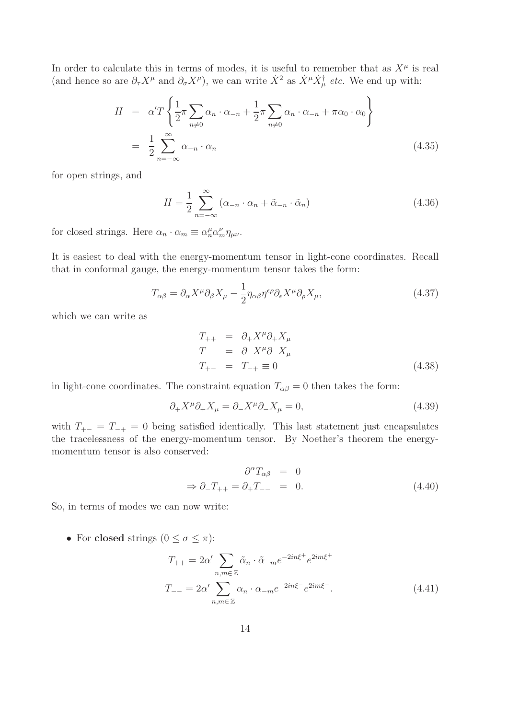In order to calculate this in terms of modes, it is useful to remember that as  $X^{\mu}$  is real (and hence so are  $\partial_{\tau}X^{\mu}$  and  $\partial_{\sigma}X^{\mu}$ ), we can write  $\dot{X}^2$  as  $\dot{X}^{\mu}\dot{X}^{\dagger}_{\mu}$  *etc.* We end up with:

$$
H = \alpha' T \left\{ \frac{1}{2} \pi \sum_{n \neq 0} \alpha_n \cdot \alpha_{-n} + \frac{1}{2} \pi \sum_{n \neq 0} \alpha_n \cdot \alpha_{-n} + \pi \alpha_0 \cdot \alpha_0 \right\}
$$
  

$$
= \frac{1}{2} \sum_{n = -\infty}^{\infty} \alpha_{-n} \cdot \alpha_n
$$
 (4.35)

for open strings, and

$$
H = \frac{1}{2} \sum_{n=-\infty}^{\infty} (\alpha_{-n} \cdot \alpha_n + \tilde{\alpha}_{-n} \cdot \tilde{\alpha}_n)
$$
 (4.36)

for closed strings. Here  $\alpha_n \cdot \alpha_m \equiv \alpha_n^{\mu} \alpha_m^{\nu} \eta_{\mu\nu}$ .

It is easiest to deal with the energy-momentum tensor in light-cone coordinates. Recall that in conformal gauge, the energy-momentum tensor takes the form:

$$
T_{\alpha\beta} = \partial_{\alpha} X^{\mu} \partial_{\beta} X_{\mu} - \frac{1}{2} \eta_{\alpha\beta} \eta^{\epsilon\rho} \partial_{\epsilon} X^{\mu} \partial_{\rho} X_{\mu}, \qquad (4.37)
$$

which we can write as

$$
T_{++} = \partial_+ X^\mu \partial_+ X_\mu
$$
  
\n
$$
T_{--} = \partial_- X^\mu \partial_- X_\mu
$$
  
\n
$$
T_{+-} = T_{-+} \equiv 0
$$
\n(4.38)

in light-cone coordinates. The constraint equation  $T_{\alpha\beta} = 0$  then takes the form:

$$
\partial_{+}X^{\mu}\partial_{+}X_{\mu} = \partial_{-}X^{\mu}\partial_{-}X_{\mu} = 0, \tag{4.39}
$$

with  $T_{+-} = T_{-+} = 0$  being satisfied identically. This last statement just encapsulates the tracelessness of the energy-momentum tensor. By Noether's theorem the energymomentum tensor is also conserved:

$$
\partial^{\alpha} T_{\alpha\beta} = 0
$$
  
\n
$$
\Rightarrow \partial_{-} T_{++} = \partial_{+} T_{--} = 0.
$$
\n(4.40)

So, in terms of modes we can now write:

• For closed strings  $(0 \le \sigma \le \pi)$ :

$$
T_{++} = 2\alpha' \sum_{n,m \in \mathbb{Z}} \tilde{\alpha}_n \cdot \tilde{\alpha}_{-m} e^{-2in\xi^+} e^{2im\xi^+}
$$

$$
T_{--} = 2\alpha' \sum_{n,m \in \mathbb{Z}} \alpha_n \cdot \alpha_{-m} e^{-2in\xi^-} e^{2im\xi^-}.
$$
(4.41)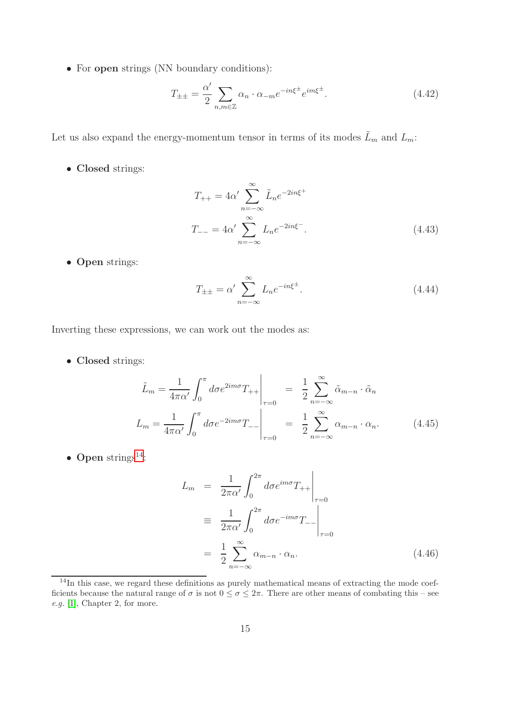• For open strings (NN boundary conditions):

$$
T_{\pm\pm} = \frac{\alpha'}{2} \sum_{n,m \in \mathbb{Z}} \alpha_n \cdot \alpha_{-m} e^{-in\xi^{\pm}} e^{im\xi^{\pm}}.
$$
 (4.42)

Let us also expand the energy-momentum tensor in terms of its modes  $\tilde{L}_m$  and  $L_m$ :

• Closed strings:

$$
T_{++} = 4\alpha' \sum_{n=-\infty}^{\infty} \tilde{L}_n e^{-2in\xi^+}
$$
  

$$
T_{--} = 4\alpha' \sum_{n=-\infty}^{\infty} L_n e^{-2in\xi^-}.
$$
 (4.43)

• Open strings:

$$
T_{\pm\pm} = \alpha' \sum_{n=-\infty}^{\infty} L_n e^{-in\xi^{\pm}}.
$$
\n(4.44)

Inverting these expressions, we can work out the modes as:

• Closed strings:

<span id="page-15-1"></span>
$$
\tilde{L}_m = \frac{1}{4\pi\alpha'} \int_0^\pi d\sigma e^{2im\sigma} T_{++} \Big|_{\tau=0} = \frac{1}{2} \sum_{n=-\infty}^\infty \tilde{\alpha}_{m-n} \cdot \tilde{\alpha}_n
$$
\n
$$
L_m = \frac{1}{4\pi\alpha'} \int_0^\pi d\sigma e^{-2im\sigma} T_{--} \Big|_{\tau=0} = \frac{1}{2} \sum_{n=-\infty}^\infty \alpha_{m-n} \cdot \alpha_n. \tag{4.45}
$$

• Open strings $^{14}$  $^{14}$  $^{14}$ :

<span id="page-15-2"></span>
$$
L_m = \frac{1}{2\pi\alpha'} \int_0^{2\pi} d\sigma e^{im\sigma} T_{++} \Big|_{\tau=0}
$$
  

$$
\equiv \frac{1}{2\pi\alpha'} \int_0^{2\pi} d\sigma e^{-im\sigma} T_{--} \Big|_{\tau=0}
$$
  

$$
= \frac{1}{2} \sum_{n=-\infty}^{\infty} \alpha_{m-n} \cdot \alpha_n.
$$
 (4.46)

<span id="page-15-0"></span> $14$ In this case, we regard these definitions as purely mathematical means of extracting the mode coefficients because the natural range of  $\sigma$  is not  $0 \leq \sigma \leq 2\pi$ . There are other means of combating this – see e.g. [\[1\]](#page-99-0), Chapter 2, for more.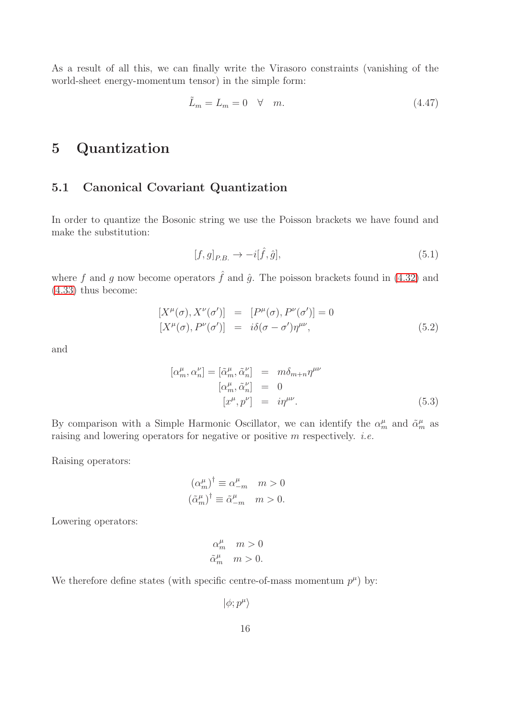As a result of all this, we can finally write the Virasoro constraints (vanishing of the world-sheet energy-momentum tensor) in the simple form:

<span id="page-16-0"></span>
$$
\tilde{L}_m = L_m = 0 \quad \forall \quad m. \tag{4.47}
$$

# 5 Quantization

### 5.1 Canonical Covariant Quantization

In order to quantize the Bosonic string we use the Poisson brackets we have found and make the substitution:

$$
[f,g]_{P.B.} \to -i[\hat{f},\hat{g}],\tag{5.1}
$$

where f and g now become operators  $\hat{f}$  and  $\hat{g}$ . The poisson brackets found in [\(4.32\)](#page-13-1) and [\(4.33\)](#page-13-2) thus become:

$$
[X^{\mu}(\sigma), X^{\nu}(\sigma')] = [P^{\mu}(\sigma), P^{\nu}(\sigma')] = 0
$$
  
\n
$$
[X^{\mu}(\sigma), P^{\nu}(\sigma')] = i\delta(\sigma - \sigma')\eta^{\mu\nu},
$$
\n(5.2)

and

$$
[\alpha_m^{\mu}, \alpha_n^{\nu}] = [\tilde{\alpha}_m^{\mu}, \tilde{\alpha}_n^{\nu}] = m \delta_{m+n} \eta^{\mu\nu}
$$
  
\n
$$
[\alpha_m^{\mu}, \tilde{\alpha}_n^{\nu}] = 0
$$
  
\n
$$
[x^{\mu}, p^{\nu}] = i\eta^{\mu\nu}.
$$
 (5.3)

By comparison with a Simple Harmonic Oscillator, we can identify the  $\alpha_m^{\mu}$  and  $\tilde{\alpha}_m^{\mu}$  as raising and lowering operators for negative or positive m respectively. *i.e.*

Raising operators:

$$
(\alpha_m^{\mu})^{\dagger} \equiv \alpha_{-m}^{\mu} \quad m > 0
$$
  

$$
(\tilde{\alpha}_m^{\mu})^{\dagger} \equiv \tilde{\alpha}_{-m}^{\mu} \quad m > 0.
$$

Lowering operators:

$$
\begin{aligned}\n\alpha_m^\mu & m > 0 \\
\tilde{\alpha}_m^\mu & m > 0.\n\end{aligned}
$$

We therefore define states (with specific centre-of-mass momentum  $p^{\mu}$ ) by:

 $|\phi;p^{\mu}\rangle$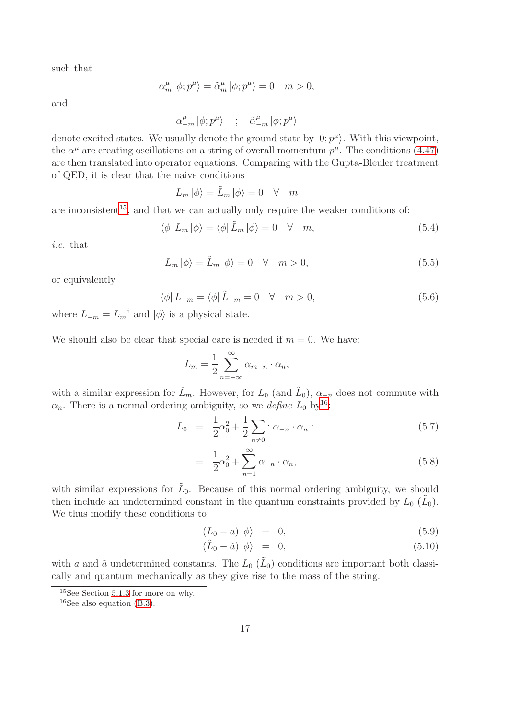such that

$$
\alpha_m^{\mu} \left| \phi; p^{\mu} \right\rangle = \tilde{\alpha}_m^{\mu} \left| \phi; p^{\mu} \right\rangle = 0 \quad m > 0,
$$

and

$$
\alpha_{-m}^\mu \left| \phi ; p^\mu \right\rangle \quad \, ; \quad \, \tilde{\alpha}_{-m}^\mu \left| \phi ; p^\mu \right\rangle
$$

denote excited states. We usually denote the ground state by  $|0; p^{\mu}\rangle$ . With this viewpoint, the  $\alpha^{\mu}$  are creating oscillations on a string of overall momentum  $p^{\mu}$ . The conditions [\(4.47\)](#page-16-0) are then translated into operator equations. Comparing with the Gupta-Bleuler treatment of QED, it is clear that the naive conditions

 $L_m |\phi\rangle = \tilde{L}_m |\phi\rangle = 0 \quad \forall \quad m$ 

are inconsistent<sup>[15](#page-17-0)</sup>, and that we can actually only require the weaker conditions of:

$$
\langle \phi | L_m | \phi \rangle = \langle \phi | \tilde{L}_m | \phi \rangle = 0 \quad \forall \quad m,
$$
\n(5.4)

*i.e.* that

$$
L_m |\phi\rangle = \tilde{L}_m |\phi\rangle = 0 \quad \forall \quad m > 0,\tag{5.5}
$$

or equivalently

$$
\langle \phi | L_{-m} = \langle \phi | \tilde{L}_{-m} = 0 \quad \forall \quad m > 0,\tag{5.6}
$$

where  $L_{-m} = L_m^{\dagger}$  and  $|\phi\rangle$  is a physical state.

We should also be clear that special care is needed if  $m = 0$ . We have:

$$
L_m = \frac{1}{2} \sum_{n=-\infty}^{\infty} \alpha_{m-n} \cdot \alpha_n,
$$

with a similar expression for  $\tilde{L}_m$ . However, for  $L_0$  (and  $\tilde{L}_0$ ),  $\alpha_{-n}$  does not commute with  $\alpha_n$ . There is a normal ordering ambiguity, so we *define*  $L_0$  by<sup>[16](#page-17-1)</sup>:

$$
L_0 = \frac{1}{2}\alpha_0^2 + \frac{1}{2}\sum_{n \neq 0} : \alpha_{-n} \cdot \alpha_n : \tag{5.7}
$$

$$
= \frac{1}{2}\alpha_0^2 + \sum_{n=1}^{\infty} \alpha_{-n} \cdot \alpha_n, \qquad (5.8)
$$

with similar expressions for  $\tilde{L}_0$ . Because of this normal ordering ambiguity, we should then include an undetermined constant in the quantum constraints provided by  $L_0(\tilde{L}_0)$ . We thus modify these conditions to:

$$
(L_0 - a) |\phi\rangle = 0, \tag{5.9}
$$

$$
(\tilde{L}_0 - \tilde{a}) \mid \phi \rangle = 0, \tag{5.10}
$$

with a and  $\tilde{a}$  undetermined constants. The  $L_0$  ( $\tilde{L}_0$ ) conditions are important both classically and quantum mechanically as they give rise to the mass of the string.

<sup>15</sup>See Section [5.1.3](#page-20-0) for more on why.

<span id="page-17-1"></span><span id="page-17-0"></span><sup>&</sup>lt;sup>16</sup>See also equation  $(B.3)$ .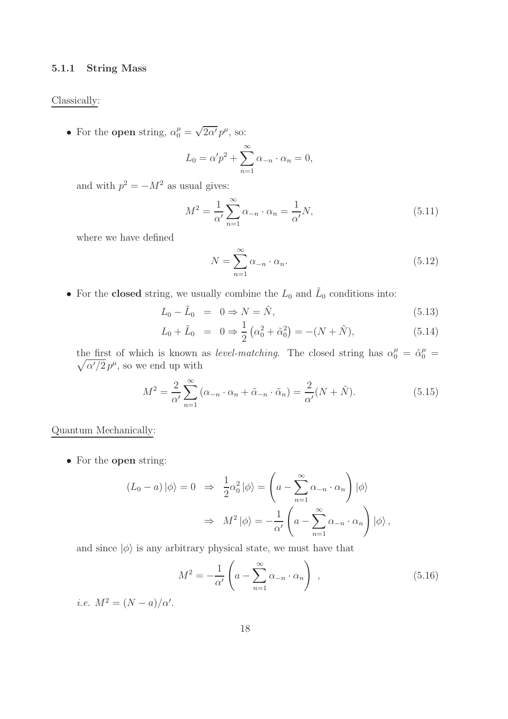#### 5.1.1 String Mass

#### Classically:

• For the open string,  $\alpha_0^{\mu} = \sqrt{2\alpha'} p^{\mu}$ , so:

$$
L_0 = \alpha' p^2 + \sum_{n=1}^{\infty} \alpha_{-n} \cdot \alpha_n = 0,
$$

and with  $p^2 = -M^2$  as usual gives:

$$
M^2 = \frac{1}{\alpha'} \sum_{n=1}^{\infty} \alpha_{-n} \cdot \alpha_n = \frac{1}{\alpha'} N,
$$
\n(5.11)

where we have defined

$$
N = \sum_{n=1}^{\infty} \alpha_{-n} \cdot \alpha_n.
$$
\n(5.12)

• For the **closed** string, we usually combine the  $L_0$  and  $\tilde{L}_0$  conditions into:

$$
L_0 - \tilde{L}_0 = 0 \Rightarrow N = \tilde{N}, \tag{5.13}
$$

$$
L_0 + \tilde{L}_0 = 0 \Rightarrow \frac{1}{2} \left( \alpha_0^2 + \tilde{\alpha}_0^2 \right) = -(N + \tilde{N}), \tag{5.14}
$$

the first of which is known as *level-matching*. The closed string has  $\alpha_0^{\mu} = \tilde{\alpha}_0^{\mu}$  $\sqrt{ }$  $\frac{\mu}{0} =$  $\overline{\alpha'/2} p^{\mu}$ , so we end up with

$$
M^2 = \frac{2}{\alpha'} \sum_{n=1}^{\infty} (\alpha_{-n} \cdot \alpha_n + \tilde{\alpha}_{-n} \cdot \tilde{\alpha}_n) = \frac{2}{\alpha'} (N + \tilde{N}).
$$
 (5.15)

### Quantum Mechanically:

• For the open string:

$$
(L_0 - a) |\phi\rangle = 0 \Rightarrow \frac{1}{2} \alpha_0^2 |\phi\rangle = \left( a - \sum_{n=1}^{\infty} \alpha_{-n} \cdot \alpha_n \right) |\phi\rangle
$$

$$
\Rightarrow M^2 |\phi\rangle = -\frac{1}{\alpha'} \left( a - \sum_{n=1}^{\infty} \alpha_{-n} \cdot \alpha_n \right) |\phi\rangle,
$$

and since  $|\phi\rangle$  is any arbitrary physical state, we must have that

$$
M^{2} = -\frac{1}{\alpha'} \left( a - \sum_{n=1}^{\infty} \alpha_{-n} \cdot \alpha_{n} \right) , \qquad (5.16)
$$

*i.e.*  $M^2 = (N - a)/\alpha'$ .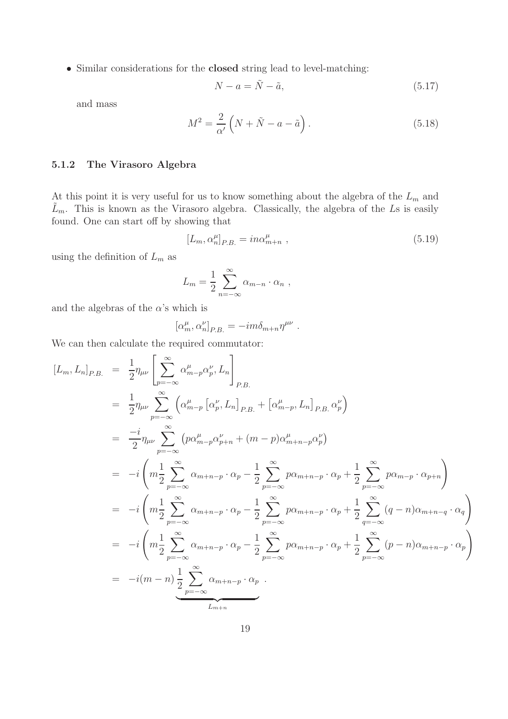• Similar considerations for the closed string lead to level-matching:

$$
N - a = \tilde{N} - \tilde{a},\tag{5.17}
$$

and mass

$$
M^2 = \frac{2}{\alpha'} \left( N + \tilde{N} - a - \tilde{a} \right). \tag{5.18}
$$

### 5.1.2 The Virasoro Algebra

At this point it is very useful for us to know something about the algebra of the  $L_m$  and  $\tilde{L}_m$ . This is known as the Virasoro algebra. Classically, the algebra of the Ls is easily found. One can start off by showing that

<span id="page-19-0"></span>
$$
[L_m, \alpha_n^{\mu}]_{P.B.} = in \alpha_{m+n}^{\mu} , \qquad (5.19)
$$

using the definition of  $L_m$  as

$$
L_m = \frac{1}{2} \sum_{n=-\infty}^{\infty} \alpha_{m-n} \cdot \alpha_n ,
$$

and the algebras of the  $\alpha$ 's which is

$$
[\alpha_m^{\mu}, \alpha_n^{\nu}]_{P.B.} = -im\delta_{m+n}\eta^{\mu\nu} .
$$

We can then calculate the required commutator:

$$
[L_m, L_n]_{P.B.} = \frac{1}{2} \eta_{\mu\nu} \left[ \sum_{p=-\infty}^{\infty} \alpha_{m-p}^{\mu} \alpha_p^{\nu}, L_n \right]_{P.B.}
$$
  
\n
$$
= \frac{1}{2} \eta_{\mu\nu} \sum_{p=-\infty}^{\infty} \left( \alpha_{m-p}^{\mu} \left[ \alpha_p^{\nu}, L_n \right]_{P.B.} + \left[ \alpha_{m-p}^{\mu}, L_n \right]_{P.B.} \alpha_p^{\nu} \right)
$$
  
\n
$$
= \frac{-i}{2} \eta_{\mu\nu} \sum_{p=-\infty}^{\infty} \left( p \alpha_{m-p}^{\mu} \alpha_{p+n}^{\nu} + (m-p) \alpha_{m+n-p}^{\mu} \alpha_p^{\nu} \right)
$$
  
\n
$$
= -i \left( m \frac{1}{2} \sum_{p=-\infty}^{\infty} \alpha_{m+n-p} \cdot \alpha_p - \frac{1}{2} \sum_{p=-\infty}^{\infty} p \alpha_{m+n-p} \cdot \alpha_p + \frac{1}{2} \sum_{p=-\infty}^{\infty} p \alpha_{m-p} \cdot \alpha_{p+n} \right)
$$
  
\n
$$
= -i \left( m \frac{1}{2} \sum_{p=-\infty}^{\infty} \alpha_{m+n-p} \cdot \alpha_p - \frac{1}{2} \sum_{p=-\infty}^{\infty} p \alpha_{m+n-p} \cdot \alpha_p + \frac{1}{2} \sum_{q=-\infty}^{\infty} (q-n) \alpha_{m+n-q} \cdot \alpha_q \right)
$$
  
\n
$$
= -i \left( m \frac{1}{2} \sum_{p=-\infty}^{\infty} \alpha_{m+n-p} \cdot \alpha_p - \frac{1}{2} \sum_{p=-\infty}^{\infty} p \alpha_{m+n-p} \cdot \alpha_p + \frac{1}{2} \sum_{p=-\infty}^{\infty} (p-n) \alpha_{m+n-p} \cdot \alpha_p \right)
$$
  
\n
$$
= -i(m-n) \frac{1}{2} \sum_{p=-\infty}^{\infty} \alpha_{m+n-p} \cdot \alpha_p
$$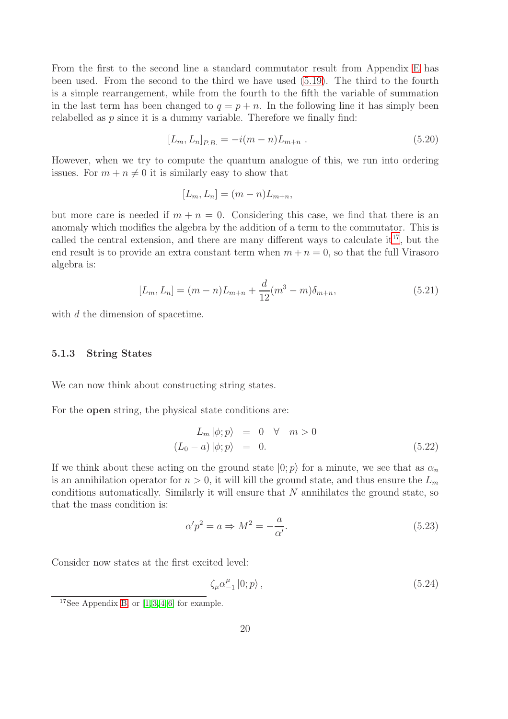From the first to the second line a standard commutator result from Appendix [E](#page-97-0) has been used. From the second to the third we have used [\(5.19\)](#page-19-0). The third to the fourth is a simple rearrangement, while from the fourth to the fifth the variable of summation in the last term has been changed to  $q = p + n$ . In the following line it has simply been relabelled as p since it is a dummy variable. Therefore we finally find:

$$
[L_m, L_n]_{P.B.} = -i(m - n)L_{m+n} . \t\t(5.20)
$$

However, when we try to compute the quantum analogue of this, we run into ordering issues. For  $m + n \neq 0$  it is similarly easy to show that

$$
[L_m, L_n] = (m - n)L_{m+n},
$$

but more care is needed if  $m + n = 0$ . Considering this case, we find that there is an anomaly which modifies the algebra by the addition of a term to the commutator. This is called the central extension, and there are many different ways to calculate  $it^{17}$  $it^{17}$  $it^{17}$ , but the end result is to provide an extra constant term when  $m + n = 0$ , so that the full Virasoro algebra is:

$$
[L_m, L_n] = (m - n)L_{m+n} + \frac{d}{12}(m^3 - m)\delta_{m+n},
$$
\n(5.21)

<span id="page-20-0"></span>with d the dimension of spacetime.

#### 5.1.3 String States

We can now think about constructing string states.

For the open string, the physical state conditions are:

$$
L_m |\phi; p\rangle = 0 \quad \forall \quad m > 0
$$
  

$$
(L_0 - a) |\phi; p\rangle = 0.
$$
 (5.22)

If we think about these acting on the ground state  $|0; p\rangle$  for a minute, we see that as  $\alpha_n$ is an annihilation operator for  $n > 0$ , it will kill the ground state, and thus ensure the  $L_m$ conditions automatically. Similarly it will ensure that N annihilates the ground state, so that the mass condition is:

$$
\alpha' p^2 = a \Rightarrow M^2 = -\frac{a}{\alpha'}.\tag{5.23}
$$

Consider now states at the first excited level:

$$
\zeta_{\mu}\alpha_{-1}^{\mu}\left|0;p\right\rangle,\tag{5.24}
$$

<span id="page-20-1"></span><sup>&</sup>lt;sup>17</sup>See Appendix [B,](#page-68-0) or  $[1, 3, 4, 6]$  $[1, 3, 4, 6]$  $[1, 3, 4, 6]$  $[1, 3, 4, 6]$  for example.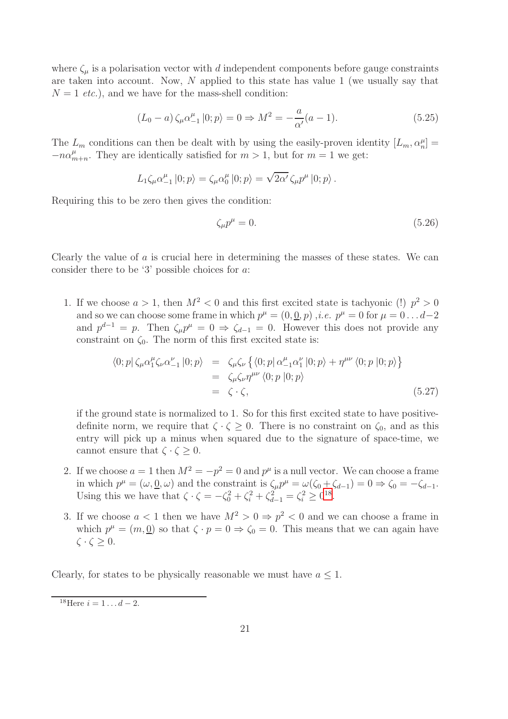where  $\zeta_{\mu}$  is a polarisation vector with d independent components before gauge constraints are taken into account. Now, N applied to this state has value 1 (we usually say that  $N = 1$  *etc.*), and we have for the mass-shell condition:

$$
(L_0 - a) \zeta_{\mu} \alpha_{-1}^{\mu} |0; p \rangle = 0 \Rightarrow M^2 = -\frac{a}{\alpha'} (a - 1).
$$
 (5.25)

The  $L_m$  conditions can then be dealt with by using the easily-proven identity  $[L_m, \alpha_n^{\mu}] =$  $-n\alpha_n^{\mu}$  $_{m+n}^{\mu}$ . They are identically satisfied for  $m > 1$ , but for  $m = 1$  we get:

$$
L_1\zeta_\mu\alpha_{-1}^\mu\ket{0;p}=\zeta_\mu\alpha_0^\mu\ket{0;p}=\sqrt{2\alpha'}\,\zeta_\mu p^\mu\ket{0;p}.
$$

Requiring this to be zero then gives the condition:

$$
\zeta_{\mu}p^{\mu} = 0. \tag{5.26}
$$

Clearly the value of a is crucial here in determining the masses of these states. We can consider there to be '3' possible choices for a:

1. If we choose  $a > 1$ , then  $M^2 < 0$  and this first excited state is tachyonic (!)  $p^2 > 0$ and so we can choose some frame in which  $p^{\mu} = (0, \underline{0}, p)$ , *i.e.*  $p^{\mu} = 0$  for  $\mu = 0 \dots d-2$ and  $p^{d-1} = p$ . Then  $\zeta_{\mu} p^{\mu} = 0 \Rightarrow \zeta_{d-1} = 0$ . However this does not provide any constraint on  $\zeta_0$ . The norm of this first excited state is:

$$
\langle 0; p | \zeta_{\mu} \alpha_{1}^{\mu} \zeta_{\nu} \alpha_{-1}^{\nu} | 0; p \rangle = \zeta_{\mu} \zeta_{\nu} \left\{ \langle 0; p | \alpha_{-1}^{\mu} \alpha_{1}^{\nu} | 0; p \rangle + \eta^{\mu \nu} \langle 0; p | 0; p \rangle \right\}
$$
  

$$
= \zeta_{\mu} \zeta_{\nu} \eta^{\mu \nu} \langle 0; p | 0; p \rangle
$$
  

$$
= \zeta \cdot \zeta,
$$
 (5.27)

if the ground state is normalized to 1. So for this first excited state to have positivedefinite norm, we require that  $\zeta \cdot \zeta \geq 0$ . There is no constraint on  $\zeta_0$ , and as this entry will pick up a minus when squared due to the signature of space-time, we cannot ensure that  $\zeta \cdot \zeta \geq 0$ .

- 2. If we choose  $a = 1$  then  $M^2 = -p^2 = 0$  and  $p^{\mu}$  is a null vector. We can choose a frame in which  $p^{\mu} = (\omega, \underline{0}, \omega)$  and the constraint is  $\zeta_{\mu}p^{\mu} = \omega(\zeta_0 + \zeta_{d-1}) = 0 \Rightarrow \zeta_0 = -\zeta_{d-1}.$ Using this we have that  $\zeta \cdot \zeta = -\zeta_0^2 + \zeta_i^2 + \zeta_{d-1}^2 = \zeta_i^2 \ge 0^{18}$  $\zeta \cdot \zeta = -\zeta_0^2 + \zeta_i^2 + \zeta_{d-1}^2 = \zeta_i^2 \ge 0^{18}$  $\zeta \cdot \zeta = -\zeta_0^2 + \zeta_i^2 + \zeta_{d-1}^2 = \zeta_i^2 \ge 0^{18}$ .
- 3. If we choose  $a < 1$  then we have  $M^2 > 0 \Rightarrow p^2 < 0$  and we can choose a frame in which  $p^{\mu} = (m, \underline{0})$  so that  $\zeta \cdot p = 0 \Rightarrow \zeta_0 = 0$ . This means that we can again have  $\zeta \cdot \zeta \geq 0$ .

Clearly, for states to be physically reasonable we must have  $a \leq 1$ .

<span id="page-21-0"></span> $18$ Here  $i = 1 \dots d - 2$ .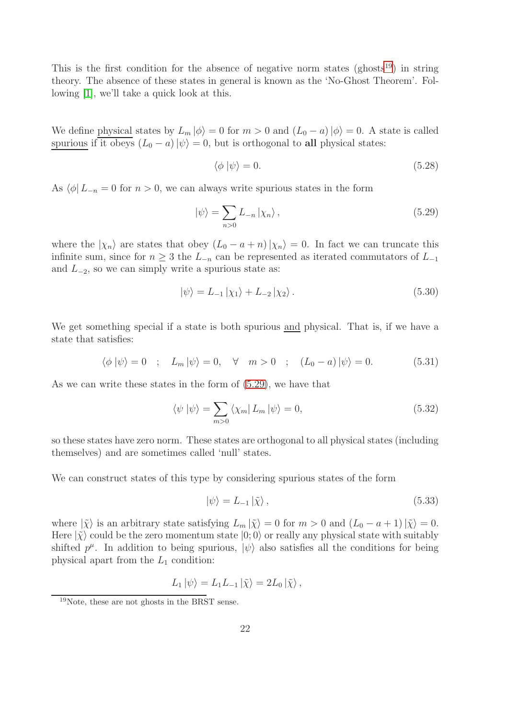This is the first condition for the absence of negative norm states  $(g\text{host}^{19})$  $(g\text{host}^{19})$  $(g\text{host}^{19})$  in string theory. The absence of these states in general is known as the 'No-Ghost Theorem'. Following [\[1\]](#page-99-0), we'll take a quick look at this.

We define physical states by  $L_m |\phi\rangle = 0$  for  $m > 0$  and  $(L_0 - a)|\phi\rangle = 0$ . A state is called spurious if it obeys  $(L_0 - a)|\psi\rangle = 0$ , but is orthogonal to all physical states:

$$
\langle \phi | \psi \rangle = 0. \tag{5.28}
$$

As  $\langle \phi | L_{-n} = 0$  for  $n > 0$ , we can always write spurious states in the form

<span id="page-22-1"></span>
$$
|\psi\rangle = \sum_{n>0} L_{-n} |\chi_n\rangle , \qquad (5.29)
$$

where the  $|\chi_n\rangle$  are states that obey  $(L_0 - a + n)|\chi_n\rangle = 0$ . In fact we can truncate this infinite sum, since for  $n \geq 3$  the  $L_{-n}$  can be represented as iterated commutators of  $L_{-1}$ and  $L_{-2}$ , so we can simply write a spurious state as:

$$
|\psi\rangle = L_{-1} |\chi_1\rangle + L_{-2} |\chi_2\rangle. \tag{5.30}
$$

We get something special if a state is both spurious <u>and</u> physical. That is, if we have a state that satisfies:

$$
\langle \phi | \psi \rangle = 0 \quad ; \quad L_m | \psi \rangle = 0, \quad \forall \quad m > 0 \quad ; \quad (L_0 - a) | \psi \rangle = 0. \tag{5.31}
$$

As we can write these states in the form of [\(5.29\)](#page-22-1), we have that

$$
\langle \psi | \psi \rangle = \sum_{m>0} \langle \chi_m | L_m | \psi \rangle = 0, \tag{5.32}
$$

so these states have zero norm. These states are orthogonal to all physical states (including themselves) and are sometimes called 'null' states.

We can construct states of this type by considering spurious states of the form

$$
|\psi\rangle = L_{-1} |\tilde{\chi}\rangle, \qquad (5.33)
$$

where  $|\tilde{\chi}\rangle$  is an arbitrary state satisfying  $L_m |\tilde{\chi}\rangle = 0$  for  $m > 0$  and  $(L_0 - a + 1)|\tilde{\chi}\rangle = 0$ . Here  $|\tilde{\chi}\rangle$  could be the zero momentum state  $|0;0\rangle$  or really any physical state with suitably shifted  $p^{\mu}$ . In addition to being spurious,  $|\psi\rangle$  also satisfies all the conditions for being physical apart from the  $L_1$  condition:

$$
L_1 |\psi\rangle = L_1 L_{-1} |\tilde{\chi}\rangle = 2L_0 |\tilde{\chi}\rangle ,
$$

<span id="page-22-0"></span><sup>19</sup>Note, these are not ghosts in the BRST sense.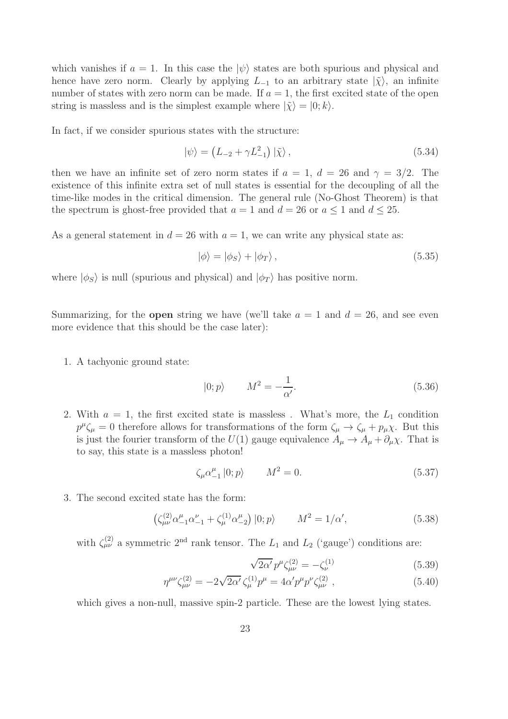which vanishes if  $a = 1$ . In this case the  $|\psi\rangle$  states are both spurious and physical and hence have zero norm. Clearly by applying  $L_{-1}$  to an arbitrary state  $|\tilde{\chi}\rangle$ , an infinite number of states with zero norm can be made. If  $a = 1$ , the first excited state of the open string is massless and is the simplest example where  $|\tilde{\chi}\rangle = |0; k\rangle$ .

In fact, if we consider spurious states with the structure:

$$
|\psi\rangle = (L_{-2} + \gamma L_{-1}^2) |\tilde{\chi}\rangle, \qquad (5.34)
$$

then we have an infinite set of zero norm states if  $a = 1, d = 26$  and  $\gamma = 3/2$ . The existence of this infinite extra set of null states is essential for the decoupling of all the time-like modes in the critical dimension. The general rule (No-Ghost Theorem) is that the spectrum is ghost-free provided that  $a = 1$  and  $d = 26$  or  $a \le 1$  and  $d \le 25$ .

As a general statement in  $d = 26$  with  $a = 1$ , we can write any physical state as:

$$
|\phi\rangle = |\phi_S\rangle + |\phi_T\rangle, \qquad (5.35)
$$

where  $|\phi_S\rangle$  is null (spurious and physical) and  $|\phi_T\rangle$  has positive norm.

Summarizing, for the **open** string we have (we'll take  $a = 1$  and  $d = 26$ , and see even more evidence that this should be the case later):

1. A tachyonic ground state:

$$
|0; p\rangle \qquad M^2 = -\frac{1}{\alpha'}.\tag{5.36}
$$

2. With  $a = 1$ , the first excited state is massless. What's more, the  $L_1$  condition  $p^{\mu}\zeta_{\mu} = 0$  therefore allows for transformations of the form  $\zeta_{\mu} \to \zeta_{\mu} + p_{\mu}\chi$ . But this is just the fourier transform of the  $U(1)$  gauge equivalence  $A_{\mu} \to A_{\mu} + \partial_{\mu} \chi$ . That is to say, this state is a massless photon!

$$
\zeta_{\mu}\alpha_{-1}^{\mu}|0;p\rangle \qquad M^2=0. \qquad (5.37)
$$

3. The second excited state has the form:

$$
\left(\zeta_{\mu\nu}^{(2)}\alpha_{-1}^{\mu}\alpha_{-1}^{\nu} + \zeta_{\mu}^{(1)}\alpha_{-2}^{\mu}\right)|0;p\rangle \qquad M^{2} = 1/\alpha',\tag{5.38}
$$

with  $\zeta_{\mu\nu}^{(2)}$  a symmetric 2<sup>nd</sup> rank tensor. The  $L_1$  and  $L_2$  ('gauge') conditions are:

$$
\sqrt{2\alpha'} p^{\mu} \zeta_{\mu\nu}^{(2)} = -\zeta_{\nu}^{(1)} \tag{5.39}
$$

$$
\eta^{\mu\nu}\zeta_{\mu\nu}^{(2)} = -2\sqrt{2\alpha'}\,\zeta_{\mu}^{(1)}p^{\mu} = 4\alpha'p^{\mu}p^{\nu}\zeta_{\mu\nu}^{(2)}\,,\tag{5.40}
$$

which gives a non-null, massive spin-2 particle. These are the lowest lying states.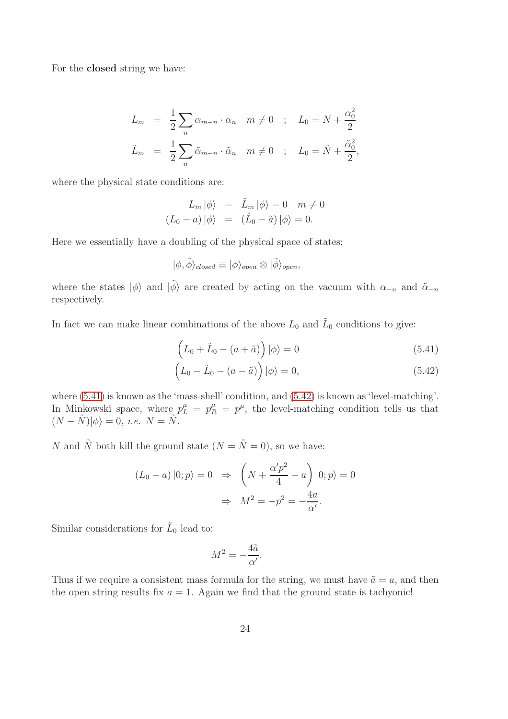For the closed string we have:

$$
L_m = \frac{1}{2} \sum_n \alpha_{m-n} \cdot \alpha_n \quad m \neq 0 \quad ; \quad L_0 = N + \frac{\alpha_0^2}{2}
$$
  

$$
\tilde{L}_m = \frac{1}{2} \sum_n \tilde{\alpha}_{m-n} \cdot \tilde{\alpha}_n \quad m \neq 0 \quad ; \quad L_0 = \tilde{N} + \frac{\tilde{\alpha}_0^2}{2},
$$

where the physical state conditions are:

$$
L_m |\phi\rangle = \tilde{L}_m |\phi\rangle = 0 \quad m \neq 0
$$
  

$$
(L_0 - a) |\phi\rangle = (\tilde{L}_0 - \tilde{a}) |\phi\rangle = 0.
$$

Here we essentially have a doubling of the physical space of states:

$$
|\phi,\tilde{\phi}\rangle_{closed} \equiv |\phi\rangle_{open} \otimes |\tilde{\phi}\rangle_{open},
$$

where the states  $|\phi\rangle$  and  $|\tilde{\phi}\rangle$  are created by acting on the vacuum with  $\alpha_{-n}$  and  $\tilde{\alpha}_{-n}$ respectively.

In fact we can make linear combinations of the above  $L_0$  and  $\tilde{L}_0$  conditions to give:

<span id="page-24-0"></span>
$$
\left(L_0 + \tilde{L}_0 - (a + \tilde{a})\right)|\phi\rangle = 0\tag{5.41}
$$

$$
\left(L_0 - \tilde{L}_0 - (a - \tilde{a})\right)|\phi\rangle = 0,
$$
\n(5.42)

where [\(5.41\)](#page-24-0) is known as the 'mass-shell' condition, and [\(5.42\)](#page-24-0) is known as 'level-matching'. In Minkowski space, where  $p_L^{\mu} = p_R^{\mu} = p^{\mu}$ , the level-matching condition tells us that  $(N - \tilde{N})|\phi\rangle = 0$ , *i.e.*  $N = \tilde{N}$ .

N and  $\tilde{N}$  both kill the ground state  $(N = \tilde{N} = 0)$ , so we have:

$$
(L_0 - a) |0; p\rangle = 0 \Rightarrow \left(N + \frac{\alpha' p^2}{4} - a\right)|0; p\rangle = 0
$$

$$
\Rightarrow M^2 = -p^2 = -\frac{4a}{\alpha'}.
$$

Similar considerations for  $\tilde{L}_0$  lead to:

$$
M^2 = -\frac{4\tilde{a}}{\alpha'}.
$$

Thus if we require a consistent mass formula for the string, we must have  $\tilde{a} = a$ , and then the open string results fix  $a = 1$ . Again we find that the ground state is tachyonic!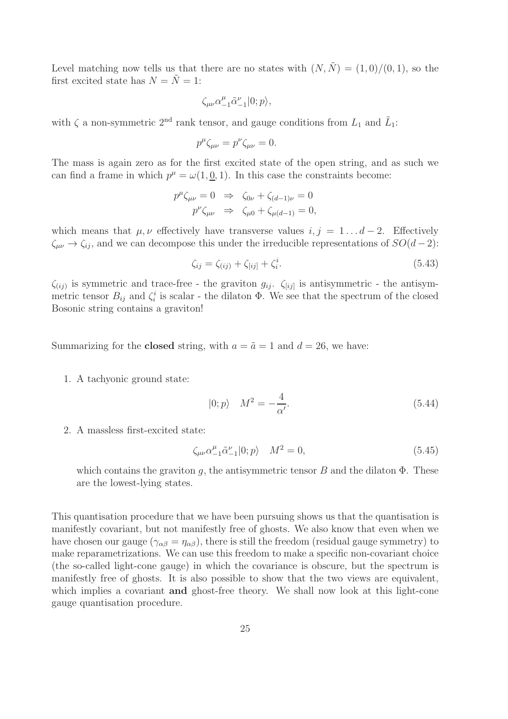Level matching now tells us that there are no states with  $(N, \tilde{N}) = (1, 0)/(0, 1)$ , so the first excited state has  $N = \tilde{N} = 1$ :

$$
\zeta_{\mu\nu}\alpha_{-1}^\mu\tilde{\alpha}_{-1}^\nu|0;p\rangle,
$$

with  $\zeta$  a non-symmetric 2<sup>nd</sup> rank tensor, and gauge conditions from  $L_1$  and  $\tilde{L}_1$ :

$$
p^{\mu}\zeta_{\mu\nu} = p^{\nu}\zeta_{\mu\nu} = 0.
$$

The mass is again zero as for the first excited state of the open string, and as such we can find a frame in which  $p^{\mu} = \omega(1, \underline{0}, 1)$ . In this case the constraints become:

$$
p^{\mu}\zeta_{\mu\nu} = 0 \Rightarrow \zeta_{0\nu} + \zeta_{(d-1)\nu} = 0
$$
  

$$
p^{\nu}\zeta_{\mu\nu} \Rightarrow \zeta_{\mu 0} + \zeta_{\mu(d-1)} = 0,
$$

which means that  $\mu, \nu$  effectively have transverse values  $i, j = 1...d - 2$ . Effectively  $\zeta_{\mu\nu} \rightarrow \zeta_{ij}$ , and we can decompose this under the irreducible representations of  $SO(d-2)$ :

$$
\zeta_{ij} = \zeta_{(ij)} + \zeta_{[ij]} + \zeta_i^i.
$$
\n(5.43)

 $\zeta_{(ij)}$  is symmetric and trace-free - the graviton  $g_{ij}$ .  $\zeta_{[ij]}$  is antisymmetric - the antisymmetric tensor  $B_{ij}$  and  $\zeta_i^i$  is scalar - the dilaton  $\Phi$ . We see that the spectrum of the closed Bosonic string contains a graviton!

Summarizing for the **closed** string, with  $a = \tilde{a} = 1$  and  $d = 26$ , we have:

1. A tachyonic ground state:

$$
|0; p\rangle \quad M^2 = -\frac{4}{\alpha'}.\tag{5.44}
$$

2. A massless first-excited state:

$$
\zeta_{\mu\nu}\alpha_{-1}^{\mu}\tilde{\alpha}_{-1}^{\nu}|0;p\rangle \quad M^2=0,\tag{5.45}
$$

which contains the graviton q, the antisymmetric tensor B and the dilaton  $\Phi$ . These are the lowest-lying states.

This quantisation procedure that we have been pursuing shows us that the quantisation is manifestly covariant, but not manifestly free of ghosts. We also know that even when we have chosen our gauge ( $\gamma_{\alpha\beta} = \eta_{\alpha\beta}$ ), there is still the freedom (residual gauge symmetry) to make reparametrizations. We can use this freedom to make a specific non-covariant choice (the so-called light-cone gauge) in which the covariance is obscure, but the spectrum is manifestly free of ghosts. It is also possible to show that the two views are equivalent, which implies a covariant **and** ghost-free theory. We shall now look at this light-cone gauge quantisation procedure.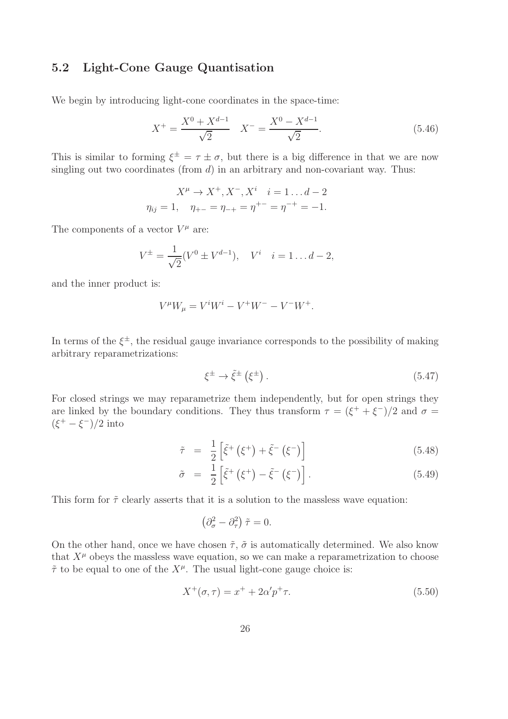## 5.2 Light-Cone Gauge Quantisation

We begin by introducing light-cone coordinates in the space-time:

$$
X^{+} = \frac{X^{0} + X^{d-1}}{\sqrt{2}} \quad X^{-} = \frac{X^{0} - X^{d-1}}{\sqrt{2}}.
$$
\n(5.46)

This is similar to forming  $\xi^{\pm} = \tau \pm \sigma$ , but there is a big difference in that we are now singling out two coordinates (from  $d$ ) in an arbitrary and non-covariant way. Thus:

$$
X^{\mu} \to X^{+}, X^{-}, X^{i} \quad i = 1...d-2
$$
  

$$
\eta_{ij} = 1, \quad \eta_{+-} = \eta_{-+} = \eta^{+-} = \eta^{-+} = -1.
$$

The components of a vector  $V^{\mu}$  are:

$$
V^{\pm} = \frac{1}{\sqrt{2}} (V^0 \pm V^{d-1}), \quad V^i \quad i = 1 \dots d - 2,
$$

and the inner product is:

$$
V^{\mu}W_{\mu} = V^{i}W^{i} - V^{+}W^{-} - V^{-}W^{+}.
$$

In terms of the  $\xi^{\pm}$ , the residual gauge invariance corresponds to the possibility of making arbitrary reparametrizations:

$$
\xi^{\pm} \to \tilde{\xi}^{\pm} \left( \xi^{\pm} \right). \tag{5.47}
$$

For closed strings we may reparametrize them independently, but for open strings they are linked by the boundary conditions. They thus transform  $\tau = (\xi^+ + \xi^-)/2$  and  $\sigma =$  $(\xi^+ - \xi^-)/2$  into

$$
\tilde{\tau} = \frac{1}{2} \left[ \tilde{\xi}^+ \left( \xi^+ \right) + \tilde{\xi}^- \left( \xi^- \right) \right] \tag{5.48}
$$

$$
\tilde{\sigma} = \frac{1}{2} \left[ \tilde{\xi}^+ \left( \xi^+ \right) - \tilde{\xi}^- \left( \xi^- \right) \right]. \tag{5.49}
$$

This form for  $\tilde{\tau}$  clearly asserts that it is a solution to the massless wave equation:

$$
\left(\partial_{\sigma}^{2} - \partial_{\tau}^{2}\right)\tilde{\tau} = 0.
$$

On the other hand, once we have chosen  $\tilde{\tau}$ ,  $\tilde{\sigma}$  is automatically determined. We also know that  $X^{\mu}$  obeys the massless wave equation, so we can make a reparametrization to choose  $\tilde{\tau}$  to be equal to one of the  $X^{\mu}$ . The usual light-cone gauge choice is:

$$
X^{+}(\sigma,\tau) = x^{+} + 2\alpha' p^{+} \tau.
$$
\n(5.50)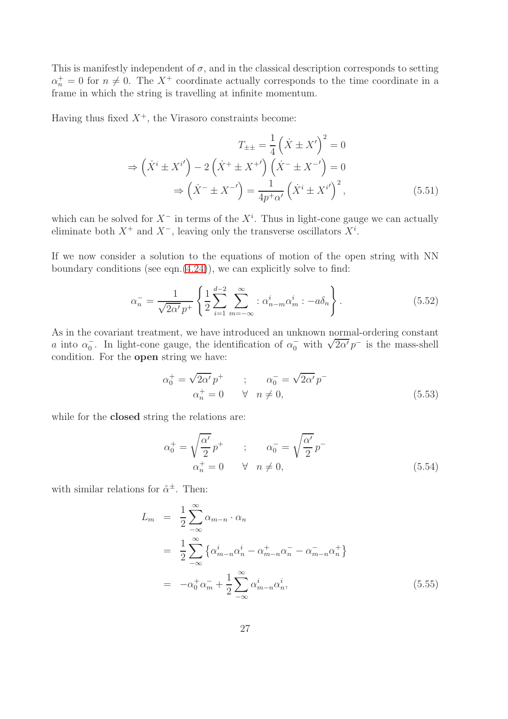This is manifestly independent of  $\sigma$ , and in the classical description corresponds to setting  $\alpha_n^+ = 0$  for  $n \neq 0$ . The X<sup>+</sup> coordinate actually corresponds to the time coordinate in a frame in which the string is travelling at infinite momentum.

Having thus fixed  $X^+$ , the Virasoro constraints become:

$$
T_{\pm\pm} = \frac{1}{4} \left( \dot{X} \pm X' \right)^2 = 0
$$
  
\n
$$
\Rightarrow \left( \dot{X}^i \pm X^{i'} \right) - 2 \left( \dot{X}^+ \pm X^{+'} \right) \left( \dot{X}^- \pm X^{-'} \right) = 0
$$
  
\n
$$
\Rightarrow \left( \dot{X}^- \pm X^{-'} \right) = \frac{1}{4p^+ \alpha'} \left( \dot{X}^i \pm X^{i'} \right)^2, \tag{5.51}
$$

which can be solved for  $X^-$  in terms of the  $X^i$ . Thus in light-cone gauge we can actually eliminate both  $X^+$  and  $X^-$ , leaving only the transverse oscillators  $X^i$ .

If we now consider a solution to the equations of motion of the open string with NN boundary conditions (see eqn. $(4.24)$ ), we can explicitly solve to find:

$$
\alpha_n^- = \frac{1}{\sqrt{2\alpha'} p^+} \left\{ \frac{1}{2} \sum_{i=1}^{d-2} \sum_{m=-\infty}^{\infty} : \alpha_{n-m}^i \alpha_m^i : -a \delta_n \right\}.
$$
 (5.52)

As in the covariant treatment, we have introduced an unknown normal-ordering constant a into  $\alpha_0^-$ . In light-cone gauge, the identification of  $\alpha_0^-$  with  $\sqrt{2\alpha'}p^-$  is the mass-shell condition. For the open string we have:

$$
\alpha_0^+ = \sqrt{2\alpha'} p^+ \qquad ; \qquad \alpha_0^- = \sqrt{2\alpha'} p^-
$$
  

$$
\alpha_n^+ = 0 \qquad \forall \quad n \neq 0,
$$
 (5.53)

while for the **closed** string the relations are:

$$
\alpha_0^+ = \sqrt{\frac{\alpha'}{2}} p^+ \qquad ; \qquad \alpha_0^- = \sqrt{\frac{\alpha'}{2}} p^-
$$
  

$$
\alpha_n^+ = 0 \qquad \forall \quad n \neq 0,
$$
 (5.54)

with similar relations for  $\tilde{\alpha}^{\pm}$ . Then:

$$
L_m = \frac{1}{2} \sum_{-\infty}^{\infty} \alpha_{m-n} \cdot \alpha_n
$$
  
\n
$$
= \frac{1}{2} \sum_{-\infty}^{\infty} \left\{ \alpha_{m-n}^i \alpha_n^i - \alpha_{m-n}^+ \alpha_n^- - \alpha_{m-n}^- \alpha_n^+ \right\}
$$
  
\n
$$
= -\alpha_0^+ \alpha_m^- + \frac{1}{2} \sum_{-\infty}^{\infty} \alpha_{m-n}^i \alpha_n^i,
$$
\n(5.55)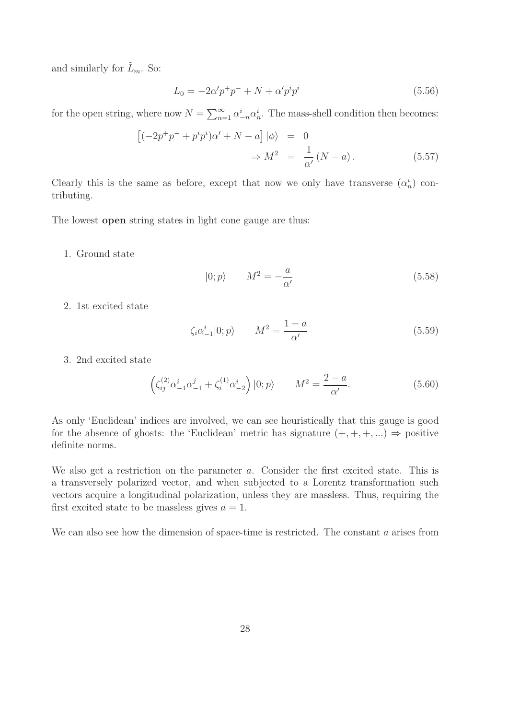and similarly for  $\tilde{L}_m$ . So:

$$
L_0 = -2\alpha' p^+ p^- + N + \alpha' p^i p^i \tag{5.56}
$$

for the open string, where now  $N = \sum_{n=1}^{\infty} \alpha_{-n}^{i} \alpha_{n}^{i}$ . The mass-shell condition then becomes:

$$
\begin{aligned}\n\left[(-2p^+p^- + p^i p^i)\alpha' + N - a\right]|\phi\rangle &= 0 \\
\Rightarrow M^2 &= \frac{1}{\alpha'}(N - a).\n\end{aligned} \tag{5.57}
$$

Clearly this is the same as before, except that now we only have transverse  $(\alpha_n^i)$  contributing.

The lowest open string states in light cone gauge are thus:

1. Ground state

$$
|0; p\rangle \qquad M^2 = -\frac{a}{\alpha'} \tag{5.58}
$$

2. 1st excited state

$$
\zeta_i \alpha_{-1}^i |0; p\rangle \qquad M^2 = \frac{1 - a}{\alpha'} \tag{5.59}
$$

3. 2nd excited state

$$
\left(\zeta_{ij}^{(2)}\alpha_{-1}^{i}\alpha_{-1}^{j} + \zeta_{i}^{(1)}\alpha_{-2}^{i}\right)|0;p\rangle \qquad M^{2} = \frac{2-a}{\alpha'}.\tag{5.60}
$$

As only 'Euclidean' indices are involved, we can see heuristically that this gauge is good for the absence of ghosts: the 'Euclidean' metric has signature  $(+, +, +, ...) \Rightarrow$  positive definite norms.

We also get a restriction on the parameter a. Consider the first excited state. This is a transversely polarized vector, and when subjected to a Lorentz transformation such vectors acquire a longitudinal polarization, unless they are massless. Thus, requiring the first excited state to be massless gives  $a = 1$ .

We can also see how the dimension of space-time is restricted. The constant a arises from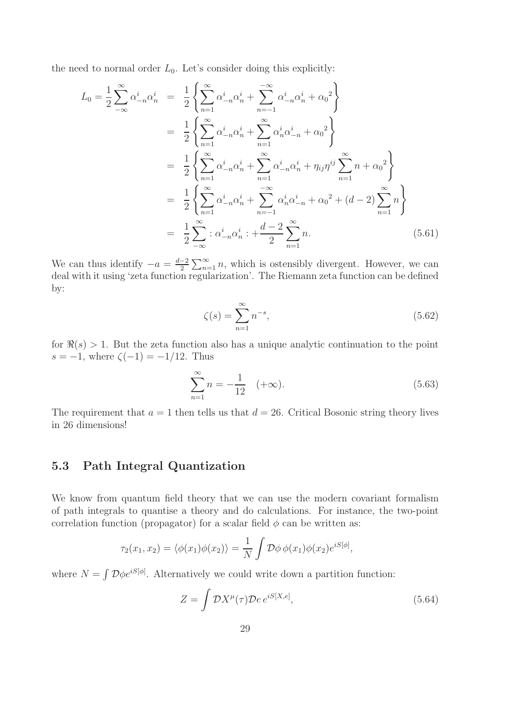the need to normal order  $L_0$ . Let's consider doing this explicitly:

$$
L_0 = \frac{1}{2} \sum_{-\infty}^{\infty} \alpha_{-n}^i \alpha_n^i = \frac{1}{2} \left\{ \sum_{n=1}^{\infty} \alpha_{-n}^i \alpha_n^i + \sum_{n=-1}^{-\infty} \alpha_{-n}^i \alpha_n^i + \alpha_0^2 \right\}
$$
  
\n
$$
= \frac{1}{2} \left\{ \sum_{n=1}^{\infty} \alpha_{-n}^i \alpha_n^i + \sum_{n=1}^{\infty} \alpha_n^i \alpha_{-n}^i + \alpha_0^2 \right\}
$$
  
\n
$$
= \frac{1}{2} \left\{ \sum_{n=1}^{\infty} \alpha_{-n}^i \alpha_n^i + \sum_{n=1}^{\infty} \alpha_{-n}^i \alpha_n^i + \eta_{ij} \eta^{ij} \sum_{n=1}^{\infty} n + \alpha_0^2 \right\}
$$
  
\n
$$
= \frac{1}{2} \left\{ \sum_{n=1}^{\infty} \alpha_{-n}^i \alpha_n^i + \sum_{n=-1}^{-\infty} \alpha_n^i \alpha_{-n}^i + \alpha_0^2 + (d-2) \sum_{n=1}^{\infty} n \right\}
$$
  
\n
$$
= \frac{1}{2} \sum_{-\infty}^{\infty} \alpha_{-n}^i \alpha_n^i + \frac{d-2}{2} \sum_{n=1}^{\infty} n.
$$
 (5.61)

We can thus identify  $-a = \frac{d-2}{2} \sum_{n=1}^{\infty} n$ , which is ostensibly divergent. However, we can deal with it using 'zeta function regularization'. The Riemann zeta function can be defined by:

$$
\zeta(s) = \sum_{n=1}^{\infty} n^{-s},\tag{5.62}
$$

for  $\Re(s) > 1$ . But the zeta function also has a unique analytic continuation to the point s = -1, where  $\zeta(-1) = -1/12$ . Thus

$$
\sum_{n=1}^{\infty} n = -\frac{1}{12} \quad (+\infty). \tag{5.63}
$$

The requirement that  $a = 1$  then tells us that  $d = 26$ . Critical Bosonic string theory lives in 26 dimensions!

## 5.3 Path Integral Quantization

We know from quantum field theory that we can use the modern covariant formalism of path integrals to quantise a theory and do calculations. For instance, the two-point correlation function (propagator) for a scalar field  $\phi$  can be written as:

$$
\tau_2(x_1, x_2) = \langle \phi(x_1)\phi(x_2) \rangle = \frac{1}{N} \int \mathcal{D}\phi \, \phi(x_1)\phi(x_2) e^{iS[\phi]},
$$

where  $N = \int \mathcal{D}\phi e^{iS[\phi]}$ . Alternatively we could write down a partition function:

$$
Z = \int \mathcal{D}X^{\mu}(\tau)\mathcal{D}e \, e^{iS[X,e]},\tag{5.64}
$$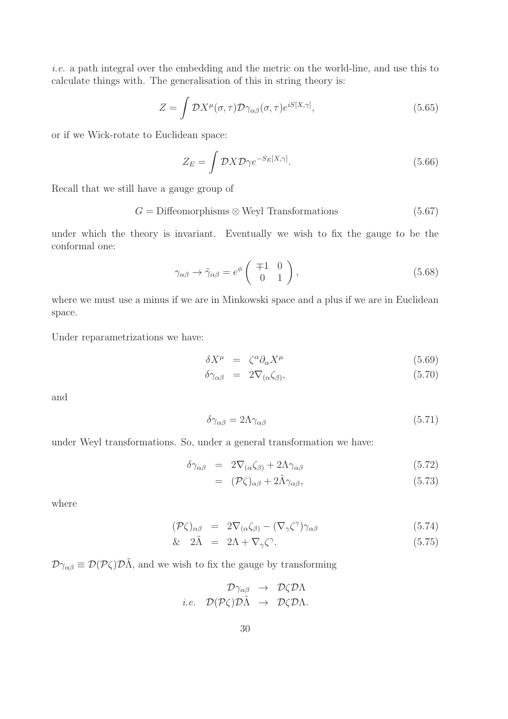*i.e.* a path integral over the embedding and the metric on the world-line, and use this to calculate things with. The generalisation of this in string theory is:

$$
Z = \int \mathcal{D}X^{\mu}(\sigma,\tau)\mathcal{D}\gamma_{\alpha\beta}(\sigma,\tau)e^{iS[X,\gamma]}, \qquad (5.65)
$$

or if we Wick-rotate to Euclidean space:

$$
Z_E = \int \mathcal{D}X \mathcal{D}\gamma e^{-S_E[X,\gamma]}.
$$
\n(5.66)

Recall that we still have a gauge group of

 $G =$  Diffeomorphisms  $\otimes$  Weyl Transformations (5.67)

under which the theory is invariant. Eventually we wish to fix the gauge to be the conformal one:

$$
\gamma_{\alpha\beta} \to \tilde{\gamma}_{\alpha\beta} = e^{\phi} \begin{pmatrix} \mp 1 & 0 \\ 0 & 1 \end{pmatrix}, \tag{5.68}
$$

where we must use a minus if we are in Minkowski space and a plus if we are in Euclidean space.

Under reparametrizations we have:

$$
\delta X^{\mu} = \zeta^{\alpha} \partial_{\alpha} X^{\mu} \tag{5.69}
$$

$$
\delta \gamma_{\alpha\beta} = 2 \nabla_{(\alpha} \zeta_{\beta)}, \tag{5.70}
$$

and

$$
\delta \gamma_{\alpha\beta} = 2\Lambda \gamma_{\alpha\beta} \tag{5.71}
$$

under Weyl transformations. So, under a general transformation we have:

$$
\delta \gamma_{\alpha\beta} = 2 \nabla_{(\alpha} \zeta_{\beta)} + 2 \Lambda \gamma_{\alpha\beta} \tag{5.72}
$$

$$
= (\mathcal{P}\zeta)_{\alpha\beta} + 2\tilde{\Lambda}\gamma_{\alpha\beta}, \qquad (5.73)
$$

where

$$
(\mathcal{P}\zeta)_{\alpha\beta} = 2\nabla_{(\alpha}\zeta_{\beta)} - (\nabla_{\gamma}\zeta^{\gamma})\gamma_{\alpha\beta} \tag{5.74}
$$

$$
\& \quad 2\tilde{\Lambda} = 2\Lambda + \nabla_{\gamma}\zeta^{\gamma}.\tag{5.75}
$$

 $\mathcal{D}\gamma_{\alpha\beta} \equiv \mathcal{D}(\mathcal{P}\zeta)\mathcal{D}\tilde{\Lambda}$ , and we wish to fix the gauge by transforming

$$
\mathcal{D}\gamma_{\alpha\beta} \rightarrow \mathcal{D}\zeta \mathcal{D}\Lambda
$$
  
*i.e.*  $\mathcal{D}(\mathcal{P}\zeta)\mathcal{D}\tilde{\Lambda} \rightarrow \mathcal{D}\zeta \mathcal{D}\Lambda.$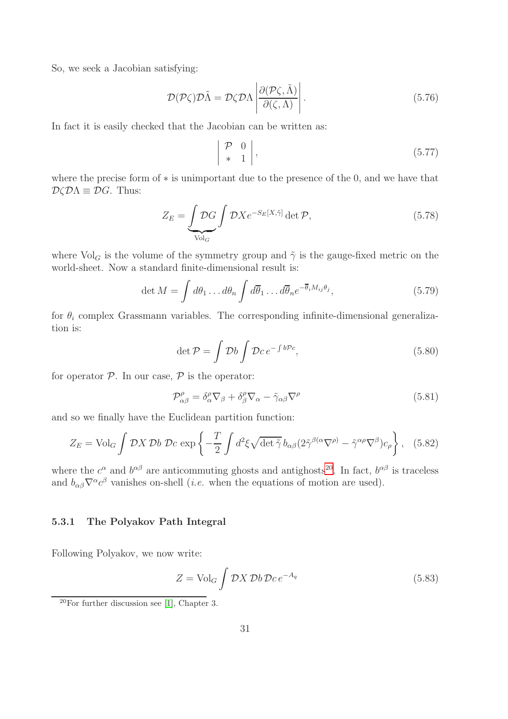So, we seek a Jacobian satisfying:

$$
\mathcal{D}(\mathcal{P}\zeta)\mathcal{D}\tilde{\Lambda} = \mathcal{D}\zeta\mathcal{D}\Lambda \left| \frac{\partial(\mathcal{P}\zeta, \tilde{\Lambda})}{\partial(\zeta, \Lambda)} \right|.
$$
\n(5.76)

In fact it is easily checked that the Jacobian can be written as:

$$
\left| \begin{array}{cc} \mathcal{P} & 0 \\ * & 1 \end{array} \right|,\tag{5.77}
$$

where the precise form of ∗ is unimportant due to the presence of the 0, and we have that  $\mathcal{D}\zeta \mathcal{D}\Lambda \equiv \mathcal{D}G$ . Thus:

$$
Z_E = \underbrace{\int \mathcal{D}G}_{\text{Vol}_G} \int \mathcal{D}X e^{-S_E[X,\tilde{\gamma}]} \det \mathcal{P},\tag{5.78}
$$

where  $\text{Vol}_G$  is the volume of the symmetry group and  $\tilde{\gamma}$  is the gauge-fixed metric on the world-sheet. Now a standard finite-dimensional result is:

$$
\det M = \int d\theta_1 \dots d\theta_n \int d\overline{\theta}_1 \dots d\overline{\theta}_n e^{-\overline{\theta}_i M_{ij} \theta_j}, \qquad (5.79)
$$

for  $\theta_i$  complex Grassmann variables. The corresponding infinite-dimensional generalization is:

$$
\det \mathcal{P} = \int \mathcal{D}b \int \mathcal{D}c \, e^{-\int b\mathcal{P}c},\tag{5.80}
$$

for operator  $P$ . In our case,  $P$  is the operator:

$$
\mathcal{P}^{\rho}_{\alpha\beta} = \delta^{\rho}_{\alpha}\nabla_{\beta} + \delta^{\rho}_{\beta}\nabla_{\alpha} - \tilde{\gamma}_{\alpha\beta}\nabla^{\rho} \tag{5.81}
$$

and so we finally have the Euclidean partition function:

$$
Z_E = \text{Vol}_G \int \mathcal{D}X \, \mathcal{D}b \, \mathcal{D}c \, \exp\left\{-\frac{T}{2} \int d^2\xi \sqrt{\det \tilde{\gamma}} \, b_{\alpha\beta} (2\tilde{\gamma}^{\beta(\alpha}\nabla^{\rho)} - \tilde{\gamma}^{\alpha\rho}\nabla^{\beta}) c_{\rho}\right\}, \quad (5.82)
$$

where the  $c^{\alpha}$  and  $b^{\alpha\beta}$  are anticommuting ghosts and antighosts<sup>[20](#page-31-0)</sup>. In fact,  $b^{\alpha\beta}$  is traceless and  $b_{\alpha\beta}\nabla^{\alpha}c^{\beta}$  vanishes on-shell (*i.e.* when the equations of motion are used).

#### 5.3.1 The Polyakov Path Integral

Following Polyakov, we now write:

$$
Z = \text{Vol}_G \int \mathcal{D}X \, \mathcal{D}b \, \mathcal{D}c \, e^{-A_q} \tag{5.83}
$$

<span id="page-31-0"></span> $20$ For further discussion see [\[1\]](#page-99-0), Chapter 3.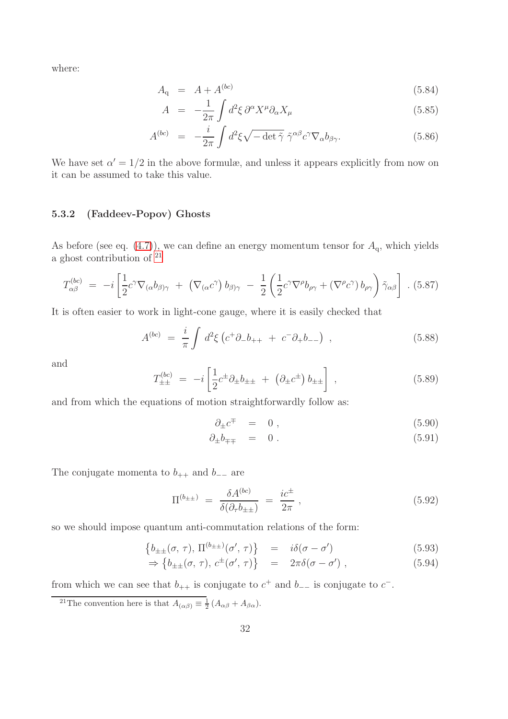where:

$$
A_{\rm q} = A + A^{(bc)} \tag{5.84}
$$

$$
A = -\frac{1}{2\pi} \int d^2 \xi \, \partial^\alpha X^\mu \partial_\alpha X_\mu \tag{5.85}
$$

$$
A^{(bc)} = -\frac{i}{2\pi} \int d^2\xi \sqrt{-\det \tilde{\gamma}} \tilde{\gamma}^{\alpha\beta} c^{\gamma} \nabla_{\alpha} b_{\beta\gamma}.
$$
 (5.86)

We have set  $\alpha' = 1/2$  in the above formulæ, and unless it appears explicitly from now on it can be assumed to take this value.

#### 5.3.2 (Faddeev-Popov) Ghosts

As before (see eq.  $(4.7)$ ), we can define an energy momentum tensor for  $A<sub>q</sub>$ , which yields a ghost contribution of  $21$ 

$$
T^{(bc)}_{\alpha\beta} = -i \left[ \frac{1}{2} c^{\gamma} \nabla_{(\alpha} b_{\beta)\gamma} + \left( \nabla_{(\alpha} c^{\gamma}) b_{\beta)\gamma} - \frac{1}{2} \left( \frac{1}{2} c^{\gamma} \nabla^{\rho} b_{\rho\gamma} + (\nabla^{\rho} c^{\gamma}) b_{\rho\gamma} \right) \tilde{\gamma}_{\alpha\beta} \right] . (5.87)
$$

It is often easier to work in light-cone gauge, where it is easily checked that

$$
A^{(bc)} = \frac{i}{\pi} \int d^2 \xi \left( c^+ \partial_- b_{++} + c^- \partial_+ b_{--} \right) , \qquad (5.88)
$$

and

$$
T_{\pm\pm}^{(bc)} = -i \left[ \frac{1}{2} c^{\pm} \partial_{\pm} b_{\pm\pm} + \left( \partial_{\pm} c^{\pm} \right) b_{\pm\pm} \right] , \qquad (5.89)
$$

and from which the equations of motion straightforwardly follow as:

<span id="page-32-2"></span>
$$
\partial_{\pm}c^{\mp} = 0 , \qquad (5.90)
$$

$$
\partial_{\pm}b_{\mp\mp} = 0. \tag{5.91}
$$

The conjugate momenta to  $b_{++}$  and  $b_{--}$  are

$$
\Pi^{(b_{\pm\pm})} = \frac{\delta A^{(bc)}}{\delta(\partial_{\tau} b_{\pm\pm})} = \frac{ic^{\pm}}{2\pi} , \qquad (5.92)
$$

so we should impose quantum anti-commutation relations of the form:

<span id="page-32-1"></span>
$$
\left\{ b_{\pm\pm}(\sigma,\,\tau),\,\Pi^{(b_{\pm\pm})}(\sigma',\,\tau) \right\} \quad = \quad i\delta(\sigma-\sigma') \tag{5.93}
$$

$$
\Rightarrow \{b_{\pm\pm}(\sigma,\,\tau),\,c^{\pm}(\sigma',\,\tau)\}\quad =\quad 2\pi\delta(\sigma-\sigma')\ ,\tag{5.94}
$$

from which we can see that  $b_{++}$  is conjugate to  $c^+$  and  $b_{--}$  is conjugate to  $c^-$ .

<span id="page-32-0"></span><sup>21</sup>The convention here is that  $A_{(\alpha\beta)} \equiv \frac{1}{2} (A_{\alpha\beta} + A_{\beta\alpha}).$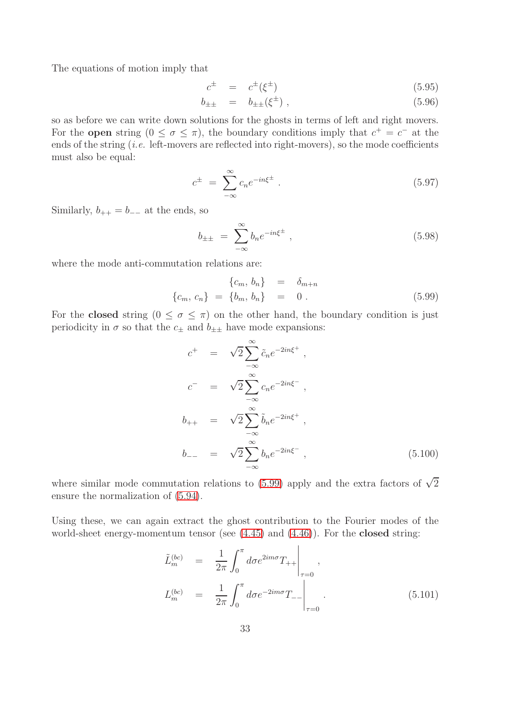The equations of motion imply that

$$
c^{\pm} = c^{\pm}(\xi^{\pm}) \tag{5.95}
$$

$$
b_{\pm\pm} = b_{\pm\pm}(\xi^{\pm}) , \qquad (5.96)
$$

so as before we can write down solutions for the ghosts in terms of left and right movers. For the **open** string  $(0 \le \sigma \le \pi)$ , the boundary conditions imply that  $c^+ = c^-$  at the ends of the string *(i.e.* left-movers are reflected into right-movers), so the mode coefficients must also be equal:

$$
c^{\pm} = \sum_{-\infty}^{\infty} c_n e^{-in\xi^{\pm}}.
$$
\n(5.97)

Similarly,  $b_{++} = b_{--}$  at the ends, so

$$
b_{\pm\pm} = \sum_{-\infty}^{\infty} b_n e^{-in\xi^{\pm}} , \qquad (5.98)
$$

where the mode anti-commutation relations are:

<span id="page-33-0"></span>
$$
\begin{aligned}\n\{c_m, b_n\} &= \delta_{m+n} \\
\{c_m, c_n\} &= \{b_m, b_n\} &= 0 .\n\end{aligned}
$$
\n(5.99)

For the **closed** string  $(0 \le \sigma \le \pi)$  on the other hand, the boundary condition is just periodicity in  $\sigma$  so that the  $c_{\pm}$  and  $b_{\pm\pm}$  have mode expansions:

$$
c^{+} = \sqrt{2} \sum_{-\infty}^{\infty} \tilde{c}_{n} e^{-2in\xi^{+}},
$$
  
\n
$$
c^{-} = \sqrt{2} \sum_{-\infty}^{\infty} c_{n} e^{-2in\xi^{-}},
$$
  
\n
$$
b_{++} = \sqrt{2} \sum_{-\infty}^{\infty} \tilde{b}_{n} e^{-2in\xi^{+}},
$$
  
\n
$$
b_{--} = \sqrt{2} \sum_{-\infty}^{\infty} b_{n} e^{-2in\xi^{-}},
$$
  
\n(5.100)

where similar mode commutation relations to [\(5.99\)](#page-33-0) apply and the extra factors of  $\sqrt{2}$ ensure the normalization of [\(5.94\)](#page-32-1).

Using these, we can again extract the ghost contribution to the Fourier modes of the world-sheet energy-momentum tensor (see  $(4.45)$ ) and  $(4.46)$ ). For the **closed** string:

$$
\tilde{L}_{m}^{(bc)} = \frac{1}{2\pi} \int_{0}^{\pi} d\sigma e^{2im\sigma} T_{++} \Big|_{\tau=0},
$$
\n
$$
L_{m}^{(bc)} = \frac{1}{2\pi} \int_{0}^{\pi} d\sigma e^{-2im\sigma} T_{--} \Big|_{\tau=0}.
$$
\n(5.101)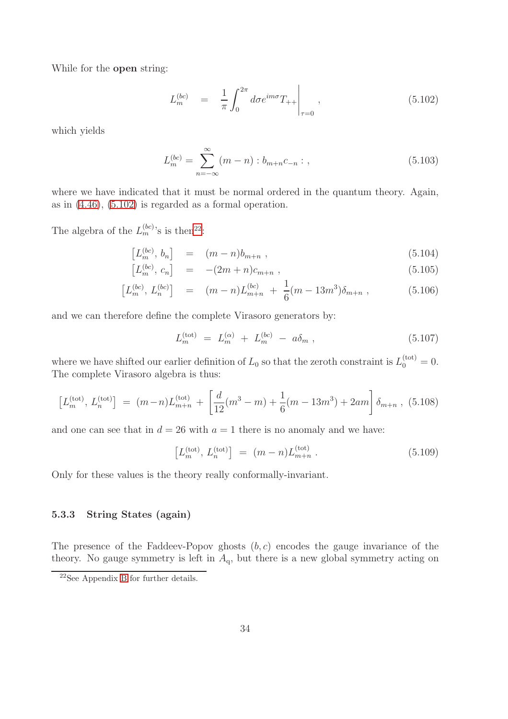While for the open string:

<span id="page-34-0"></span>
$$
L_m^{(bc)} = \frac{1}{\pi} \int_0^{2\pi} d\sigma e^{im\sigma} T_{++} \Big|_{\tau=0}, \qquad (5.102)
$$

which yields

$$
L_m^{(bc)} = \sum_{n=-\infty}^{\infty} (m - n) : b_{m+n}c_{-n} : , \qquad (5.103)
$$

where we have indicated that it must be normal ordered in the quantum theory. Again, as in [\(4.46\)](#page-15-2), [\(5.102\)](#page-34-0) is regarded as a formal operation.

The algebra of the  $L_m^{(bc)}$ 's is then<sup>[22](#page-34-1)</sup>:

$$
[L_m^{(bc)}, b_n] = (m-n)b_{m+n} , \qquad (5.104)
$$

$$
[L_m^{(bc)}, c_n] = -(2m+n)c_{m+n}, \qquad (5.105)
$$

$$
\left[L_m^{(bc)}, L_n^{(bc)}\right] = (m-n)L_{m+n}^{(bc)} + \frac{1}{6}(m-13m^3)\delta_{m+n} ,\qquad (5.106)
$$

and we can therefore define the complete Virasoro generators by:

$$
L_m^{(\text{tot})} = L_m^{(\alpha)} + L_m^{(bc)} - a\delta_m , \qquad (5.107)
$$

where we have shifted our earlier definition of  $L_0$  so that the zeroth constraint is  $L_0^{(\text{tot})} = 0$ . The complete Virasoro algebra is thus:

$$
\left[L_m^{(\text{tot})}, L_n^{(\text{tot})}\right] = (m-n)L_{m+n}^{(\text{tot})} + \left[\frac{d}{12}(m^3 - m) + \frac{1}{6}(m - 13m^3) + 2am\right]\delta_{m+n}, (5.108)
$$

and one can see that in  $d = 26$  with  $a = 1$  there is no anomaly and we have:

$$
\left[L_m^{(\text{tot})}, L_n^{(\text{tot})}\right] = (m - n)L_{m+n}^{(\text{tot})}.
$$
\n(5.109)

Only for these values is the theory really conformally-invariant.

#### 5.3.3 String States (again)

The presence of the Faddeev-Popov ghosts  $(b, c)$  encodes the gauge invariance of the theory. No gauge symmetry is left in  $A<sub>q</sub>$ , but there is a new global symmetry acting on

<span id="page-34-1"></span><sup>22</sup>See Appendix [B](#page-68-0) for further details.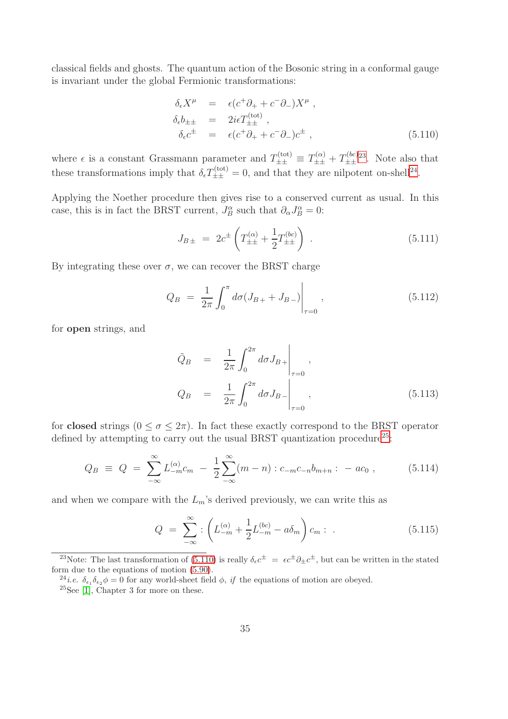classical fields and ghosts. The quantum action of the Bosonic string in a conformal gauge is invariant under the global Fermionic transformations:

<span id="page-35-3"></span>
$$
\delta_{\epsilon} X^{\mu} = \epsilon (c^{+} \partial_{+} + c^{-} \partial_{-}) X^{\mu} ,
$$
  
\n
$$
\delta_{\epsilon} b_{\pm \pm} = 2i \epsilon T_{\pm \pm}^{(\text{tot})} ,
$$
  
\n
$$
\delta_{\epsilon} c^{\pm} = \epsilon (c^{+} \partial_{+} + c^{-} \partial_{-}) c^{\pm} ,
$$
\n(5.110)

where  $\epsilon$  is a constant Grassmann parameter and  $T_{\pm\pm}^{(\text{tot})} \equiv T_{\pm\pm}^{(\alpha)} + T_{\pm\pm}^{(bc)}$  $\frac{\Delta_{\pm}}{\pm \pm}$ <sup>*tlec*)[23](#page-35-0)</sup>. Note also that these transformations imply that  $\delta_{\epsilon} T_{\pm\pm}^{(\text{tot})} = 0$ , and that they are nilpotent on-shell<sup>[24](#page-35-1)</sup>.

Applying the Noether procedure then gives rise to a conserved current as usual. In this case, this is in fact the BRST current,  $J_B^{\alpha}$  such that  $\partial_{\alpha}J_B^{\alpha} = 0$ :

$$
J_{B\pm} = 2c^{\pm} \left( T_{\pm\pm}^{(\alpha)} + \frac{1}{2} T_{\pm\pm}^{(bc)} \right) . \tag{5.111}
$$

By integrating these over  $\sigma$ , we can recover the BRST charge

$$
Q_B = \frac{1}{2\pi} \int_0^{\pi} d\sigma (J_{B+} + J_{B-}) \Big|_{\tau=0}, \qquad (5.112)
$$

for open strings, and

$$
\tilde{Q}_B = \frac{1}{2\pi} \int_0^{2\pi} d\sigma J_{B+} \Big|_{\tau=0},
$$
\n
$$
Q_B = \frac{1}{2\pi} \int_0^{2\pi} d\sigma J_{B-} \Big|_{\tau=0},
$$
\n(5.113)

for **closed** strings  $(0 \le \sigma \le 2\pi)$ . In fact these exactly correspond to the BRST operator defined by attempting to carry out the usual BRST quantization procedure  $25$ :

$$
Q_B \equiv Q = \sum_{-\infty}^{\infty} L_{-m}^{(\alpha)} c_m - \frac{1}{2} \sum_{-\infty}^{\infty} (m - n) : c_{-m} c_{-n} b_{m+n} : -ac_0 , \qquad (5.114)
$$

and when we compare with the  $L_m$ 's derived previously, we can write this as

$$
Q = \sum_{-\infty}^{\infty} : \left( L_{-m}^{(\alpha)} + \frac{1}{2} L_{-m}^{(bc)} - a \delta_m \right) c_m : . \tag{5.115}
$$

<sup>&</sup>lt;sup>23</sup>Note: The last transformation of [\(5.110\)](#page-35-3) is really  $\delta_{\epsilon}c^{\pm} = \epsilon c^{\pm}\partial_{\pm}c^{\pm}$ , but can be written in the stated form due to the equations of motion [\(5.90\)](#page-32-2).

<span id="page-35-0"></span><sup>&</sup>lt;sup>24</sup>*i.e.*  $\delta_{\epsilon_1} \delta_{\epsilon_2} \phi = 0$  for any world-sheet field  $\phi$ , *if* the equations of motion are obeyed.

<span id="page-35-2"></span><span id="page-35-1"></span> $25$ See [\[1\]](#page-99-0), Chapter 3 for more on these.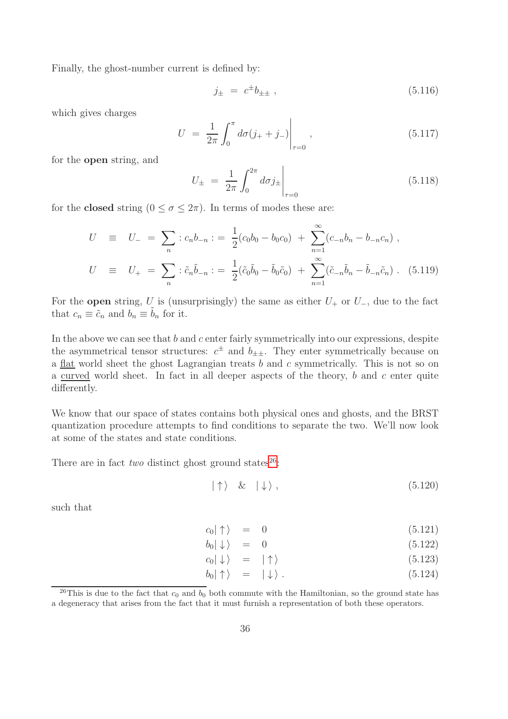Finally, the ghost-number current is defined by:

$$
j_{\pm} = c^{\pm} b_{\pm \pm} , \qquad (5.116)
$$

which gives charges

$$
U = \frac{1}{2\pi} \int_0^{\pi} d\sigma (j_+ + j_-) \Big|_{\tau=0}, \qquad (5.117)
$$

for the open string, and

$$
U_{\pm} = \frac{1}{2\pi} \int_0^{2\pi} d\sigma j_{\pm} \Big|_{\tau=0}
$$
 (5.118)

for the **closed** string  $(0 \le \sigma \le 2\pi)$ . In terms of modes these are:

$$
U \equiv U_{-} = \sum_{n} :c_{n}b_{-n} := \frac{1}{2}(c_{0}b_{0} - b_{0}c_{0}) + \sum_{n=1}^{\infty}(c_{-n}b_{n} - b_{-n}c_{n}),
$$
  
\n
$$
U \equiv U_{+} = \sum_{n} : \tilde{c}_{n}\tilde{b}_{-n} := \frac{1}{2}(\tilde{c}_{0}\tilde{b}_{0} - \tilde{b}_{0}\tilde{c}_{0}) + \sum_{n=1}^{\infty}(\tilde{c}_{-n}\tilde{b}_{n} - \tilde{b}_{-n}\tilde{c}_{n}).
$$
 (5.119)

For the **open** string, U is (unsurprisingly) the same as either  $U_+$  or  $U_-,$  due to the fact that  $c_n \equiv \tilde{c}_n$  and  $b_n \equiv \tilde{b}_n$  for it.

In the above we can see that  $b$  and  $c$  enter fairly symmetrically into our expressions, despite the asymmetrical tensor structures:  $c^{\pm}$  and  $b_{\pm\pm}$ . They enter symmetrically because on a flat world sheet the ghost Lagrangian treats b and c symmetrically. This is not so on a curved world sheet. In fact in all deeper aspects of the theory,  $b$  and  $c$  enter quite differently.

We know that our space of states contains both physical ones and ghosts, and the BRST quantization procedure attempts to find conditions to separate the two. We'll now look at some of the states and state conditions.

There are in fact *two* distinct ghost ground states<sup>[26](#page-36-0)</sup>:

$$
|\uparrow\rangle \quad \& \quad |\downarrow\rangle \,, \tag{5.120}
$$

such that

$$
c_0|\uparrow\rangle = 0 \tag{5.121}
$$

$$
b_0|\downarrow\rangle = 0 \tag{5.122}
$$

$$
c_0|\downarrow\rangle = |\uparrow\rangle \tag{5.123}
$$

$$
b_0|\uparrow\rangle = |\downarrow\rangle. \tag{5.124}
$$

<span id="page-36-0"></span><sup>&</sup>lt;sup>26</sup>This is due to the fact that  $c_0$  and  $b_0$  both commute with the Hamiltonian, so the ground state has a degeneracy that arises from the fact that it must furnish a representation of both these operators.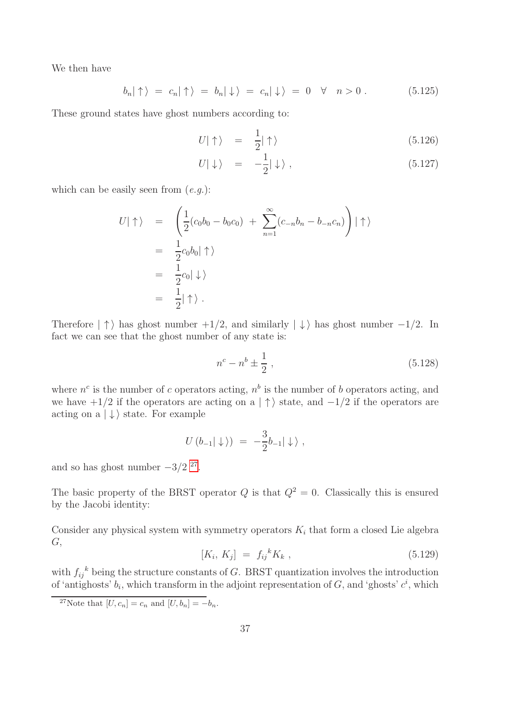We then have

$$
b_n|\uparrow\rangle = c_n|\uparrow\rangle = b_n|\downarrow\rangle = c_n|\downarrow\rangle = 0 \quad \forall \quad n > 0. \tag{5.125}
$$

These ground states have ghost numbers according to:

$$
U|\uparrow\rangle = \frac{1}{2}|\uparrow\rangle \tag{5.126}
$$

$$
U|\downarrow\rangle = -\frac{1}{2}|\downarrow\rangle , \qquad (5.127)
$$

which can be easily seen from (*e.g.*):

$$
U|\uparrow\rangle = \left(\frac{1}{2}(c_0b_0 - b_0c_0) + \sum_{n=1}^{\infty}(c_{-n}b_n - b_{-n}c_n)\right)|\uparrow\rangle
$$
  
=  $\frac{1}{2}c_0b_0|\uparrow\rangle$   
=  $\frac{1}{2}c_0|\downarrow\rangle$   
=  $\frac{1}{2}|\uparrow\rangle$ .

Therefore  $|\uparrow\rangle$  has ghost number  $+1/2$ , and similarly  $|\downarrow\rangle$  has ghost number  $-1/2$ . In fact we can see that the ghost number of any state is:

$$
n^c - n^b \pm \frac{1}{2} \,,\tag{5.128}
$$

where  $n^c$  is the number of c operators acting,  $n^b$  is the number of b operators acting, and we have  $+1/2$  if the operators are acting on a  $|\uparrow\rangle$  state, and  $-1/2$  if the operators are acting on a  $|\downarrow\rangle$  state. For example

$$
U(b_{-1}|\downarrow\rangle) = -\frac{3}{2}b_{-1}|\downarrow\rangle,
$$

and so has ghost number  $-3/2$  <sup>[27](#page-37-0)</sup>.

The basic property of the BRST operator  $Q$  is that  $Q^2 = 0$ . Classically this is ensured by the Jacobi identity:

Consider any physical system with symmetry operators  $K_i$  that form a closed Lie algebra  $G,$ 

$$
[K_i, K_j] = f_{ij}{}^k K_k \t{,} \t(5.129)
$$

with  $f_{ij}^k$  being the structure constants of G. BRST quantization involves the introduction of 'antighosts'  $b_i$ , which transform in the adjoint representation of G, and 'ghosts'  $c^i$ , which

<span id="page-37-0"></span><sup>&</sup>lt;sup>27</sup>Note that  $[U, c_n] = c_n$  and  $[U, b_n] = -b_n$ .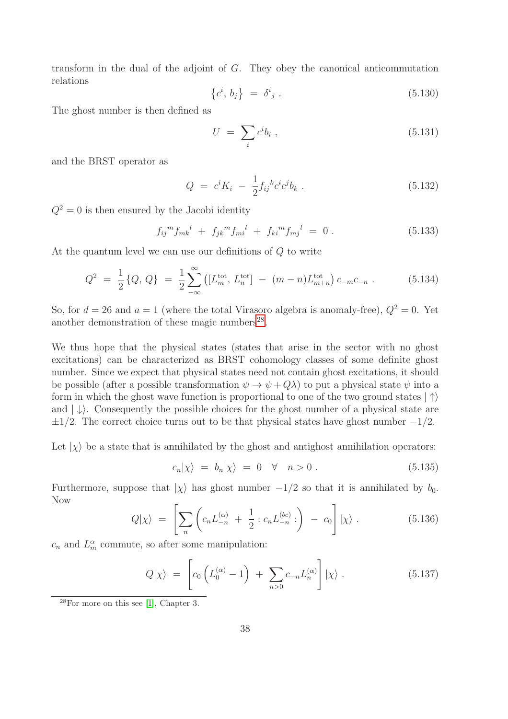transform in the dual of the adjoint of G. They obey the canonical anticommutation relations

$$
\left\{c^i, b_j\right\} = \delta^i{}_j \ . \tag{5.130}
$$

The ghost number is then defined as

$$
U = \sum_{i} c^{i} b_{i} , \qquad (5.131)
$$

and the BRST operator as

$$
Q = c^i K_i - \frac{1}{2} f_{ij}{}^k c^i c^j b_k . \qquad (5.132)
$$

 $Q^2 = 0$  is then ensured by the Jacobi identity

$$
f_{ij}{}^{m}f_{mk}{}^{l} + f_{jk}{}^{m}f_{mi}{}^{l} + f_{ki}{}^{m}f_{mj}{}^{l} = 0.
$$
 (5.133)

At the quantum level we can use our definitions of Q to write

$$
Q^{2} = \frac{1}{2} \{Q, Q\} = \frac{1}{2} \sum_{-\infty}^{\infty} \left( [L_{m}^{\text{tot}}, L_{n}^{\text{tot}}] - (m - n)L_{m+n}^{\text{tot}} \right) c_{-m} c_{-n} . \tag{5.134}
$$

So, for  $d = 26$  and  $a = 1$  (where the total Virasoro algebra is anomaly-free),  $Q^2 = 0$ . Yet another demonstration of these magic numbers<sup>[28](#page-38-0)</sup>.

We thus hope that the physical states (states that arise in the sector with no ghost excitations) can be characterized as BRST cohomology classes of some definite ghost number. Since we expect that physical states need not contain ghost excitations, it should be possible (after a possible transformation  $\psi \to \psi + Q\lambda$ ) to put a physical state  $\psi$  into a form in which the ghost wave function is proportional to one of the two ground states  $|\uparrow\rangle$ and  $|\downarrow\rangle$ . Consequently the possible choices for the ghost number of a physical state are  $\pm 1/2$ . The correct choice turns out to be that physical states have ghost number  $-1/2$ .

Let  $|\chi\rangle$  be a state that is annihilated by the ghost and antighost annihilation operators:

$$
c_n|\chi\rangle = b_n|\chi\rangle = 0 \quad \forall \quad n > 0. \tag{5.135}
$$

Furthermore, suppose that  $|\chi\rangle$  has ghost number  $-1/2$  so that it is annihilated by  $b_0$ . Now

$$
Q|\chi\rangle = \left[\sum_{n} \left(c_n L_{-n}^{(\alpha)} + \frac{1}{2} : c_n L_{-n}^{(bc)}: \right) - c_0\right]|\chi\rangle. \tag{5.136}
$$

 $c_n$  and  $L_m^{\alpha}$  commute, so after some manipulation:

$$
Q|\chi\rangle = \left[c_0 \left(L_0^{(\alpha)} - 1\right) + \sum_{n>0} c_{-n} L_n^{(\alpha)}\right] |\chi\rangle. \tag{5.137}
$$

<span id="page-38-0"></span> $28$ For more on this see [\[1\]](#page-99-0), Chapter 3.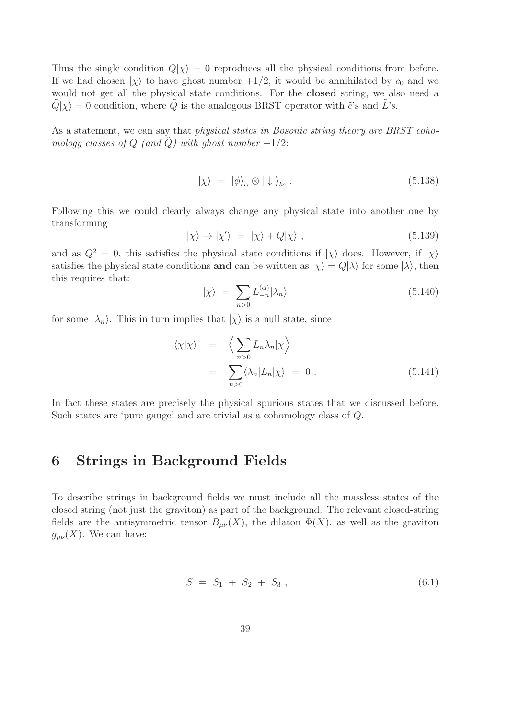Thus the single condition  $Q|\chi\rangle = 0$  reproduces all the physical conditions from before. If we had chosen  $|\chi\rangle$  to have ghost number  $+1/2$ , it would be annihilated by  $c_0$  and we would not get all the physical state conditions. For the closed string, we also need a  $Q|\chi\rangle = 0$  condition, where Q is the analogous BRST operator with  $\tilde{c}$ 's and L's.

As a statement, we can say that *physical states in Bosonic string theory are BRST cohomology classes of*  $Q$  *(and Q)* with ghost number  $-1/2$ :

$$
|\chi\rangle = |\phi\rangle_{\alpha} \otimes |\downarrow\rangle_{bc} . \tag{5.138}
$$

Following this we could clearly always change any physical state into another one by transforming

$$
|\chi\rangle \to |\chi'\rangle = |\chi\rangle + Q|\chi\rangle , \qquad (5.139)
$$

and as  $Q^2 = 0$ , this satisfies the physical state conditions if  $|\chi\rangle$  does. However, if  $|\chi\rangle$ satisfies the physical state conditions and can be written as  $|\chi\rangle = Q|\lambda\rangle$  for some  $|\lambda\rangle$ , then this requires that:

$$
|\chi\rangle = \sum_{n>0} L_{-n}^{(\alpha)} |\lambda_n\rangle \tag{5.140}
$$

for some  $|\lambda_n\rangle$ . This in turn implies that  $|\chi\rangle$  is a null state, since

$$
\langle \chi | \chi \rangle = \left\langle \sum_{n>0} L_n \lambda_n | \chi \right\rangle
$$
  
= 
$$
\sum_{n>0} \langle \lambda_n | L_n | \chi \rangle = 0.
$$
 (5.141)

In fact these states are precisely the physical spurious states that we discussed before. Such states are 'pure gauge' and are trivial as a cohomology class of Q.

### 6 Strings in Background Fields

To describe strings in background fields we must include all the massless states of the closed string (not just the graviton) as part of the background. The relevant closed-string fields are the antisymmetric tensor  $B_{\mu\nu}(X)$ , the dilaton  $\Phi(X)$ , as well as the graviton  $g_{\mu\nu}(X)$ . We can have:

$$
S = S_1 + S_2 + S_3 , \t\t(6.1)
$$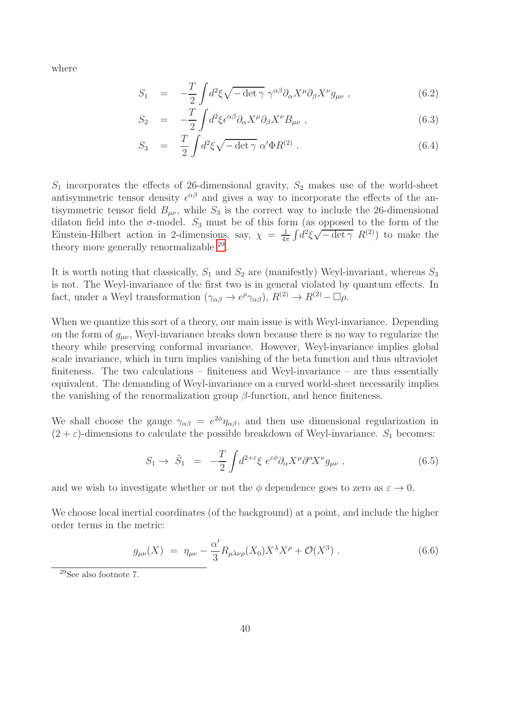where

$$
S_1 = -\frac{T}{2} \int d^2 \xi \sqrt{-\det \gamma} \ \gamma^{\alpha \beta} \partial_{\alpha} X^{\mu} \partial_{\beta} X^{\nu} g_{\mu \nu} , \qquad (6.2)
$$

$$
S_2 = -\frac{T}{2} \int d^2 \xi \epsilon^{\alpha \beta} \partial_\alpha X^\mu \partial_\beta X^\nu B_{\mu\nu} , \qquad (6.3)
$$

$$
S_3 = \frac{T}{2} \int d^2 \xi \sqrt{-\det \gamma} \, \alpha' \Phi R^{(2)} \,. \tag{6.4}
$$

 $S_1$  incorporates the effects of 26-dimensional gravity,  $S_2$  makes use of the world-sheet antisymmetric tensor density  $\epsilon^{\alpha\beta}$  and gives a way to incorporate the effects of the antisymmetric tensor field  $B_{\mu\nu}$ , while  $S_3$  is the correct way to include the 26-dimensional dilaton field into the  $\sigma$ -model.  $S_3$  must be of this form (as opposed to the form of the Einstein-Hilbert action in 2-dimensions, say,  $\chi = \frac{1}{4\pi}$  $\frac{1}{4\pi} \int d^2 \xi \sqrt{-\det \gamma} R^{(2)}$  to make the theory more generally renormalizable  $^{29}$  $^{29}$  $^{29}$ .

It is worth noting that classically,  $S_1$  and  $S_2$  are (manifestly) Weyl-invariant, whereas  $S_3$ is not. The Weyl-invariance of the first two is in general violated by quantum effects. In fact, under a Weyl transformation  $(\gamma_{\alpha\beta} \to e^{\rho} \gamma_{\alpha\beta})$ ,  $R^{(2)} \to R^{(2)} - \Box \rho$ .

When we quantize this sort of a theory, our main issue is with Weyl-invariance. Depending on the form of  $g_{\mu\nu}$ , Weyl-invariance breaks down because there is no way to regularize the theory while preserving conformal invariance. However, Weyl-invariance implies global scale invariance, which in turn implies vanishing of the beta function and thus ultraviolet finiteness. The two calculations – finiteness and Weyl-invariance – are thus essentially equivalent. The demanding of Weyl-invariance on a curved world-sheet necessarily implies the vanishing of the renormalization group  $\beta$ -function, and hence finiteness.

We shall choose the gauge  $\gamma_{\alpha\beta} = e^{2\phi}\eta_{\alpha\beta}$ , and then use dimensional regularization in  $(2 + \varepsilon)$ -dimensions to calculate the possible breakdown of Weyl-invariance.  $S_1$  becomes:

$$
S_1 \to \tilde{S}_1 = -\frac{T}{2} \int d^{2+\epsilon} \xi \ e^{\epsilon \phi} \partial_\alpha X^\mu \partial^\alpha X^\nu g_{\mu\nu} , \qquad (6.5)
$$

and we wish to investigate whether or not the  $\phi$  dependence goes to zero as  $\varepsilon \to 0$ .

We choose local inertial coordinates (of the background) at a point, and include the higher order terms in the metric:

$$
g_{\mu\nu}(X) = \eta_{\mu\nu} - \frac{\alpha'}{3} R_{\mu\lambda\nu\rho}(X_0) X^{\lambda} X^{\rho} + \mathcal{O}(X^3) \tag{6.6}
$$

<span id="page-40-0"></span><sup>29</sup>See also footnote 7.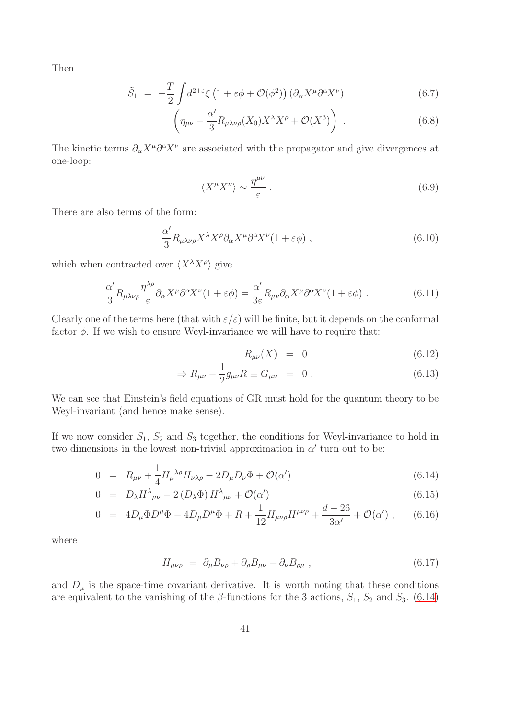Then

$$
\tilde{S}_1 = -\frac{T}{2} \int d^{2+\epsilon} \xi \left( 1 + \epsilon \phi + \mathcal{O}(\phi^2) \right) \left( \partial_\alpha X^\mu \partial^\alpha X^\nu \right) \tag{6.7}
$$

$$
\left(\eta_{\mu\nu} - \frac{\alpha'}{3} R_{\mu\lambda\nu\rho}(X_0) X^{\lambda} X^{\rho} + \mathcal{O}(X^3)\right) . \tag{6.8}
$$

The kinetic terms  $\partial_{\alpha}X^{\mu}\partial^{\alpha}X^{\nu}$  are associated with the propagator and give divergences at one-loop:

$$
\langle X^{\mu} X^{\nu} \rangle \sim \frac{\eta^{\mu \nu}}{\varepsilon} \ . \tag{6.9}
$$

There are also terms of the form:

$$
\frac{\alpha'}{3} R_{\mu\lambda\nu\rho} X^{\lambda} X^{\rho} \partial_{\alpha} X^{\mu} \partial^{\alpha} X^{\nu} (1 + \varepsilon \phi) , \qquad (6.10)
$$

which when contracted over  $\langle X^{\lambda} X^{\rho} \rangle$  give

$$
\frac{\alpha'}{3}R_{\mu\lambda\nu\rho}\frac{\eta^{\lambda\rho}}{\varepsilon}\partial_{\alpha}X^{\mu}\partial^{\alpha}X^{\nu}(1+\varepsilon\phi) = \frac{\alpha'}{3\varepsilon}R_{\mu\nu}\partial_{\alpha}X^{\mu}\partial^{\alpha}X^{\nu}(1+\varepsilon\phi) .
$$
 (6.11)

Clearly one of the terms here (that with  $\varepsilon/\varepsilon$ ) will be finite, but it depends on the conformal factor  $\phi$ . If we wish to ensure Weyl-invariance we will have to require that:

$$
R_{\mu\nu}(X) = 0 \tag{6.12}
$$

$$
\Rightarrow R_{\mu\nu} - \frac{1}{2}g_{\mu\nu}R \equiv G_{\mu\nu} = 0.
$$
 (6.13)

We can see that Einstein's field equations of GR must hold for the quantum theory to be Weyl-invariant (and hence make sense).

If we now consider  $S_1$ ,  $S_2$  and  $S_3$  together, the conditions for Weyl-invariance to hold in two dimensions in the lowest non-trivial approximation in  $\alpha'$  turn out to be:

<span id="page-41-0"></span>
$$
0 = R_{\mu\nu} + \frac{1}{4} H_{\mu}^{\ \lambda\rho} H_{\nu\lambda\rho} - 2D_{\mu} D_{\nu} \Phi + \mathcal{O}(\alpha')
$$
\n(6.14)

$$
0 = D_{\lambda} H^{\lambda}{}_{\mu\nu} - 2 (D_{\lambda} \Phi) H^{\lambda}{}_{\mu\nu} + \mathcal{O}(\alpha')
$$
\n(6.15)

$$
0 = 4D_{\mu}\Phi D^{\mu}\Phi - 4D_{\mu}D^{\mu}\Phi + R + \frac{1}{12}H_{\mu\nu\rho}H^{\mu\nu\rho} + \frac{d-26}{3\alpha'} + \mathcal{O}(\alpha') , \qquad (6.16)
$$

where

$$
H_{\mu\nu\rho} = \partial_{\mu}B_{\nu\rho} + \partial_{\rho}B_{\mu\nu} + \partial_{\nu}B_{\rho\mu} , \qquad (6.17)
$$

and  $D_{\mu}$  is the space-time covariant derivative. It is worth noting that these conditions are equivalent to the vanishing of the  $\beta$ -functions for the 3 actions,  $S_1$ ,  $S_2$  and  $S_3$ . [\(6.14\)](#page-41-0)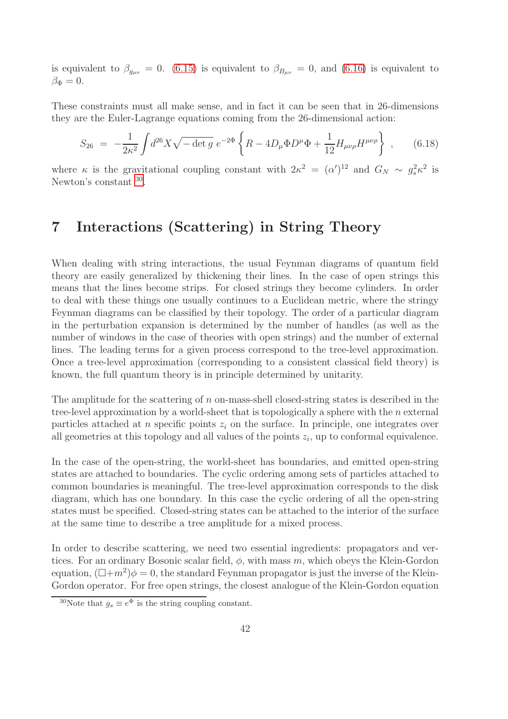is equivalent to  $\beta_{q_{\mu\nu}} = 0$ . [\(6.15\)](#page-41-0) is equivalent to  $\beta_{B_{\mu\nu}} = 0$ , and [\(6.16\)](#page-41-0) is equivalent to  $\beta_{\Phi}=0.$ 

These constraints must all make sense, and in fact it can be seen that in 26-dimensions they are the Euler-Lagrange equations coming from the 26-dimensional action:

$$
S_{26} = -\frac{1}{2\kappa^2} \int d^{26}X \sqrt{-\det g} \ e^{-2\Phi} \left\{ R - 4D_{\mu} \Phi D^{\mu} \Phi + \frac{1}{12} H_{\mu\nu\rho} H^{\mu\nu\rho} \right\} , \qquad (6.18)
$$

where  $\kappa$  is the gravitational coupling constant with  $2\kappa^2 = (\alpha')^{12}$  and  $G_N \sim g_s^2 \kappa^2$  is Newton's constant  $30$ .

# 7 Interactions (Scattering) in String Theory

When dealing with string interactions, the usual Feynman diagrams of quantum field theory are easily generalized by thickening their lines. In the case of open strings this means that the lines become strips. For closed strings they become cylinders. In order to deal with these things one usually continues to a Euclidean metric, where the stringy Feynman diagrams can be classified by their topology. The order of a particular diagram in the perturbation expansion is determined by the number of handles (as well as the number of windows in the case of theories with open strings) and the number of external lines. The leading terms for a given process correspond to the tree-level approximation. Once a tree-level approximation (corresponding to a consistent classical field theory) is known, the full quantum theory is in principle determined by unitarity.

The amplitude for the scattering of n on-mass-shell closed-string states is described in the tree-level approximation by a world-sheet that is topologically a sphere with the  $n$  external particles attached at n specific points  $z_i$  on the surface. In principle, one integrates over all geometries at this topology and all values of the points  $z_i$ , up to conformal equivalence.

In the case of the open-string, the world-sheet has boundaries, and emitted open-string states are attached to boundaries. The cyclic ordering among sets of particles attached to common boundaries is meaningful. The tree-level approximation corresponds to the disk diagram, which has one boundary. In this case the cyclic ordering of all the open-string states must be specified. Closed-string states can be attached to the interior of the surface at the same time to describe a tree amplitude for a mixed process.

In order to describe scattering, we need two essential ingredients: propagators and vertices. For an ordinary Bosonic scalar field,  $\phi$ , with mass m, which obeys the Klein-Gordon equation,  $(\Box + m^2)\phi = 0$ , the standard Feynman propagator is just the inverse of the Klein-Gordon operator. For free open strings, the closest analogue of the Klein-Gordon equation

<span id="page-42-0"></span><sup>&</sup>lt;sup>30</sup>Note that  $g_s \equiv e^{\Phi}$  is the string coupling constant.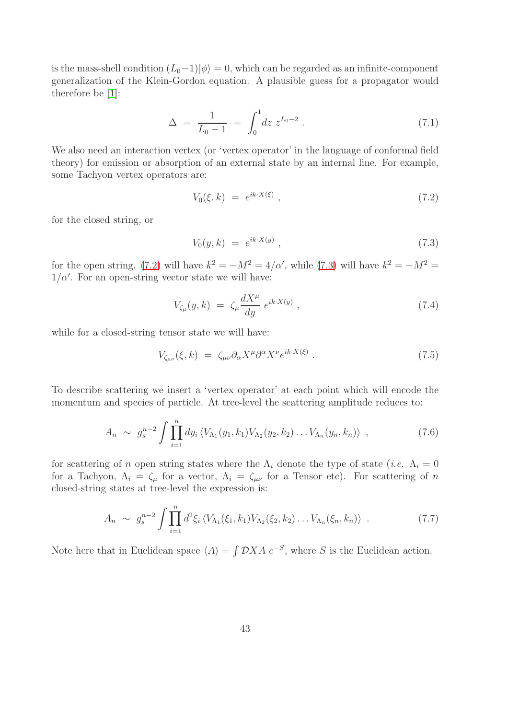is the mass-shell condition  $(L_0-1)|\phi\rangle = 0$ , which can be regarded as an infinite-component generalization of the Klein-Gordon equation. A plausible guess for a propagator would therefore be [\[1\]](#page-99-0):

$$
\Delta = \frac{1}{L_0 - 1} = \int_0^1 dz \ z^{L_0 - 2} \ . \tag{7.1}
$$

We also need an interaction vertex (or 'vertex operator' in the language of conformal field theory) for emission or absorption of an external state by an internal line. For example, some Tachyon vertex operators are:

<span id="page-43-0"></span>
$$
V_0(\xi, k) = e^{ik \cdot X(\xi)}, \qquad (7.2)
$$

for the closed string, or

<span id="page-43-1"></span>
$$
V_0(y,k) = e^{ik \cdot X(y)}, \tag{7.3}
$$

for the open string. [\(7.2\)](#page-43-0) will have  $k^2 = -M^2 = 4/\alpha'$ , while [\(7.3\)](#page-43-1) will have  $k^2 = -M^2 =$  $1/\alpha'$ . For an open-string vector state we will have:

$$
V_{\zeta_{\mu}}(y,k) = \zeta_{\mu} \frac{dX^{\mu}}{dy} e^{ik \cdot X(y)} , \qquad (7.4)
$$

while for a closed-string tensor state we will have:

$$
V_{\zeta_{\mu\nu}}(\xi, k) = \zeta_{\mu\nu} \partial_{\alpha} X^{\mu} \partial^{\alpha} X^{\nu} e^{ik \cdot X(\xi)} \,. \tag{7.5}
$$

To describe scattering we insert a 'vertex operator' at each point which will encode the momentum and species of particle. At tree-level the scattering amplitude reduces to:

$$
A_n \sim g_s^{n-2} \int \prod_{i=1}^n dy_i \langle V_{\Lambda_1}(y_1, k_1) V_{\Lambda_2}(y_2, k_2) \dots V_{\Lambda_n}(y_n, k_n) \rangle , \qquad (7.6)
$$

for scattering of n open string states where the  $\Lambda_i$  denote the type of state (*i.e.*  $\Lambda_i = 0$ for a Tachyon,  $\Lambda_i = \zeta_\mu$  for a vector,  $\Lambda_i = \zeta_{\mu\nu}$  for a Tensor etc). For scattering of n closed-string states at tree-level the expression is:

$$
A_n \sim g_s^{n-2} \int \prod_{i=1}^n d^2 \xi_i \langle V_{\Lambda_1}(\xi_1, k_1) V_{\Lambda_2}(\xi_2, k_2) \dots V_{\Lambda_n}(\xi_n, k_n) \rangle . \tag{7.7}
$$

Note here that in Euclidean space  $\langle A \rangle = \int \mathcal{D}XA \ e^{-S}$ , where S is the Euclidean action.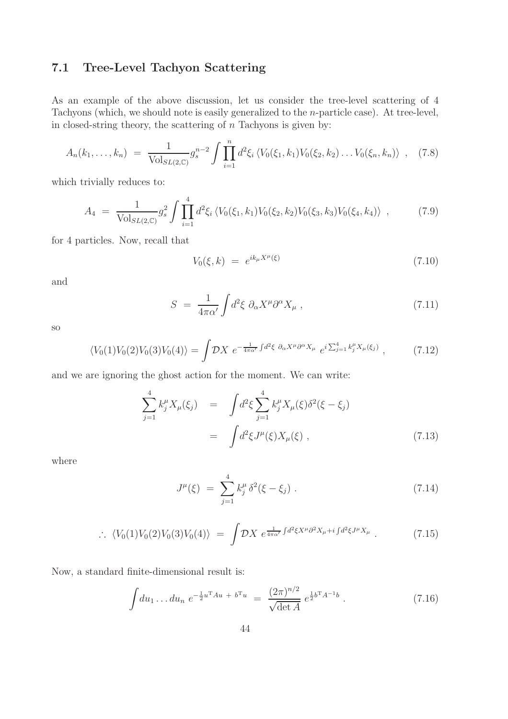### 7.1 Tree-Level Tachyon Scattering

As an example of the above discussion, let us consider the tree-level scattering of 4 Tachyons (which, we should note is easily generalized to the n-particle case). At tree-level, in closed-string theory, the scattering of  $n$  Tachyons is given by:

<span id="page-44-1"></span>
$$
A_n(k_1,\ldots,k_n) = \frac{1}{\text{Vol}_{SL(2,\mathbb{C})}} g_s^{n-2} \int \prod_{i=1}^n d^2\xi_i \langle V_0(\xi_1,k_1) V_0(\xi_2,k_2) \ldots V_0(\xi_n,k_n) \rangle , \quad (7.8)
$$

which trivially reduces to:

$$
A_4 = \frac{1}{\text{Vol}_{SL(2,\mathbb{C})}} g_s^2 \int \prod_{i=1}^4 d^2\xi_i \langle V_0(\xi_1, k_1) V_0(\xi_2, k_2) V_0(\xi_3, k_3) V_0(\xi_4, k_4) \rangle , \qquad (7.9)
$$

for 4 particles. Now, recall that

$$
V_0(\xi, k) = e^{ik_{\mu}X^{\mu}(\xi)}
$$
\n(7.10)

and

$$
S = \frac{1}{4\pi\alpha'} \int d^2 \xi \ \partial_\alpha X^\mu \partial^\alpha X_\mu \ , \tag{7.11}
$$

so

$$
\langle V_0(1)V_0(2)V_0(3)V_0(4)\rangle = \int \mathcal{D}X \ e^{-\frac{1}{4\pi\alpha'}\int d^2\xi \ \partial_\alpha X^\mu \partial^\alpha X_\mu} \ e^{i\sum_{j=1}^4 k_j^\mu X_\mu(\xi_j)} \ , \tag{7.12}
$$

and we are ignoring the ghost action for the moment. We can write:

$$
\sum_{j=1}^{4} k_j^{\mu} X_{\mu}(\xi_j) = \int d^2 \xi \sum_{j=1}^{4} k_j^{\mu} X_{\mu}(\xi) \delta^2(\xi - \xi_j)
$$
  
= 
$$
\int d^2 \xi J^{\mu}(\xi) X_{\mu}(\xi) , \qquad (7.13)
$$

where

$$
J^{\mu}(\xi) = \sum_{j=1}^{4} k_j^{\mu} \delta^2(\xi - \xi_j) . \qquad (7.14)
$$

<span id="page-44-0"></span>
$$
\therefore \langle V_0(1)V_0(2)V_0(3)V_0(4)\rangle = \int \mathcal{D}X \ e^{\frac{1}{4\pi\alpha'}\int d^2\xi X^\mu \partial^2 X_\mu + i \int d^2\xi J^\mu X_\mu} \ . \tag{7.15}
$$

Now, a standard finite-dimensional result is:

$$
\int du_1 \dots du_n \ e^{-\frac{1}{2}u^{\mathrm{T}}Au + b^{\mathrm{T}}u} \ = \ \frac{(2\pi)^{n/2}}{\sqrt{\det A}} \ e^{\frac{1}{2}b^{\mathrm{T}}A^{-1}b} \ . \tag{7.16}
$$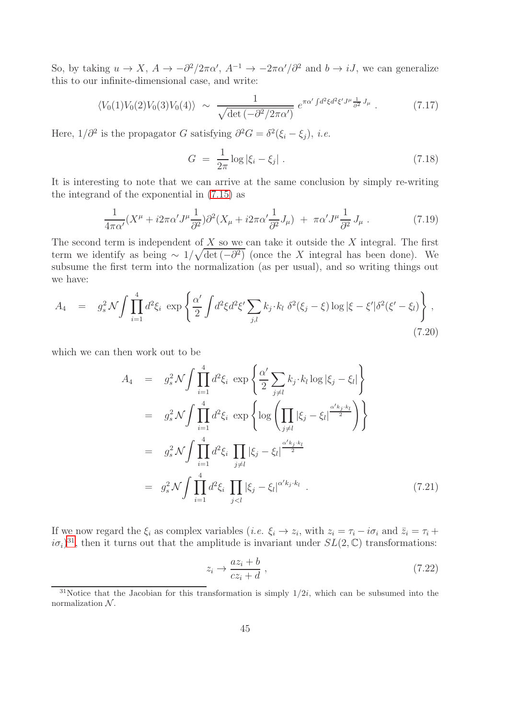So, by taking  $u \to X$ ,  $A \to -\partial^2/2\pi\alpha'$ ,  $A^{-1} \to -2\pi\alpha'/\partial^2$  and  $b \to iJ$ , we can generalize this to our infinite-dimensional case, and write:

$$
\langle V_0(1)V_0(2)V_0(3)V_0(4)\rangle \sim \frac{1}{\sqrt{\det\left(-\partial^2/2\pi\alpha'\right)}} e^{\pi\alpha'\int d^2\xi d^2\xi'J^\mu\frac{1}{\partial^2}J_\mu} \ . \tag{7.17}
$$

Here,  $1/\partial^2$  is the propagator G satisfying  $\partial^2 G = \delta^2(\xi_i - \xi_j)$ , *i.e.* 

$$
G = \frac{1}{2\pi} \log |\xi_i - \xi_j| \ . \tag{7.18}
$$

It is interesting to note that we can arrive at the same conclusion by simply re-writing the integrand of the exponential in [\(7.15\)](#page-44-0) as

$$
\frac{1}{4\pi\alpha'}(X^{\mu} + i2\pi\alpha'J^{\mu}\frac{1}{\partial^{2}})\partial^{2}(X_{\mu} + i2\pi\alpha'\frac{1}{\partial^{2}}J_{\mu}) + \pi\alpha'J^{\mu}\frac{1}{\partial^{2}}J_{\mu}.
$$
\n(7.19)

The second term is independent of  $X$  so we can take it outside the  $X$  integral. The first term we identify as being  $\sim 1/\sqrt{\det(-\partial^2)}$  (once the X integral has been done). We subsume the first term into the normalization (as per usual), and so writing things out we have:

$$
A_4 = g_s^2 \mathcal{N} \int \prod_{i=1}^4 d^2 \xi_i \, \exp \left\{ \frac{\alpha'}{2} \int d^2 \xi d^2 \xi' \sum_{j,l} k_j \cdot k_l \, \delta^2(\xi_j - \xi) \log |\xi - \xi'| \delta^2(\xi' - \xi_l) \right\},\tag{7.20}
$$

which we can then work out to be

<span id="page-45-1"></span>
$$
A_4 = g_s^2 \mathcal{N} \int \prod_{i=1}^4 d^2 \xi_i \exp \left\{ \frac{\alpha'}{2} \sum_{j \neq l} k_j \cdot k_l \log |\xi_j - \xi_l| \right\}
$$
  
\n
$$
= g_s^2 \mathcal{N} \int \prod_{i=1}^4 d^2 \xi_i \exp \left\{ \log \left( \prod_{j \neq l} |\xi_j - \xi_l|^{\frac{\alpha' k_j \cdot k_l}{2}} \right) \right\}
$$
  
\n
$$
= g_s^2 \mathcal{N} \int \prod_{i=1}^4 d^2 \xi_i \prod_{j \neq l} |\xi_j - \xi_l|^{\frac{\alpha' k_j \cdot k_l}{2}}
$$
  
\n
$$
= g_s^2 \mathcal{N} \int \prod_{i=1}^4 d^2 \xi_i \prod_{j < l} |\xi_j - \xi_l|^{\alpha' k_j \cdot k_l} . \tag{7.21}
$$

If we now regard the  $\xi_i$  as complex variables (*i.e.*  $\xi_i \to z_i$ , with  $z_i = \tau_i - i\sigma_i$  and  $\bar{z}_i = \tau_i + i\sigma_i$  $i\sigma_i$ <sup>[31](#page-45-0)</sup>, then it turns out that the amplitude is invariant under  $SL(2,\mathbb{C})$  transformations:

<span id="page-45-2"></span>
$$
z_i \to \frac{az_i + b}{cz_i + d} \,,\tag{7.22}
$$

<span id="page-45-0"></span><sup>&</sup>lt;sup>31</sup>Notice that the Jacobian for this transformation is simply  $1/2i$ , which can be subsumed into the normalization  $N$ .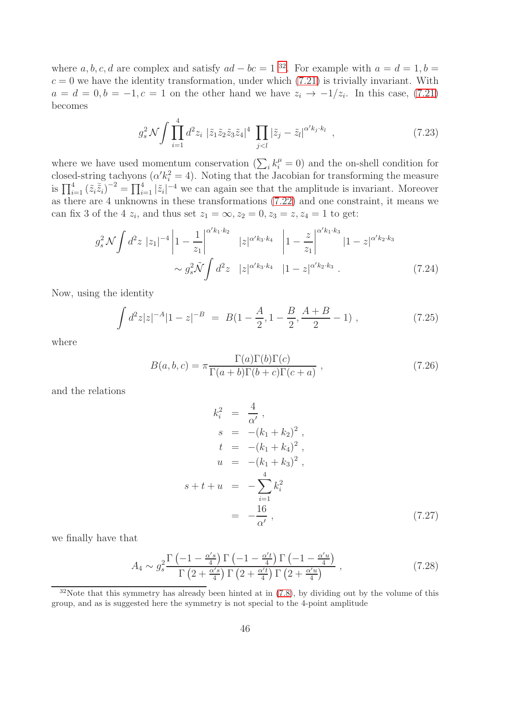where a, b, c, d are complex and satisfy  $ad - bc = 1^{32}$  $ad - bc = 1^{32}$  $ad - bc = 1^{32}$ . For example with  $a = d = 1, b =$  $c = 0$  we have the identity transformation, under which  $(7.21)$  is trivially invariant. With  $a = d = 0, b = -1, c = 1$  on the other hand we have  $z_i \rightarrow -1/z_i$ . In this case, [\(7.21\)](#page-45-1) becomes

$$
g_s^2 \mathcal{N} \int \prod_{i=1}^4 d^2 z_i \; |\tilde{z}_1 \tilde{z}_2 \tilde{z}_3 \tilde{z}_4|^4 \; \prod_{j < l} |\tilde{z}_j - \tilde{z}_l|^{\alpha' k_j \cdot k_l} \;, \tag{7.23}
$$

where we have used momentum conservation  $(\sum_i k_i^{\mu} = 0)$  and the on-shell condition for closed-string tachyons  $(\alpha' k_i^2 = 4)$ . Noting that the Jacobian for transforming the measure is  $\prod_{i=1}^4 (\tilde{z}_i \tilde{z}_i)^{-2} = \prod_{i=1}^4 |\tilde{z}_i|^{-4}$  we can again see that the amplitude is invariant. Moreover as there are 4 unknowns in these transformations [\(7.22\)](#page-45-2) and one constraint, it means we can fix 3 of the 4  $z_i$ , and thus set  $z_1 = \infty, z_2 = 0, z_3 = z, z_4 = 1$  to get:

$$
g_s^2 \mathcal{N} \int d^2 z \; |z_1|^{-4} \left| 1 - \frac{1}{z_1} \right|^{\alpha' k_1 \cdot k_2} \; |z|^{\alpha' k_3 \cdot k_4} \; \left| 1 - \frac{z}{z_1} \right|^{\alpha' k_1 \cdot k_3} |1 - z|^{\alpha' k_2 \cdot k_3} \sim g_s^2 \tilde{\mathcal{N}} \int d^2 z \; |z|^{\alpha' k_3 \cdot k_4} \; |1 - z|^{\alpha' k_2 \cdot k_3} \; . \tag{7.24}
$$

Now, using the identity

$$
\int d^2z |z|^{-A} |1-z|^{-B} = B(1 - \frac{A}{2}, 1 - \frac{B}{2}, \frac{A+B}{2} - 1) , \qquad (7.25)
$$

where

$$
B(a, b, c) = \pi \frac{\Gamma(a)\Gamma(b)\Gamma(c)}{\Gamma(a+b)\Gamma(b+c)\Gamma(c+a)},
$$
\n(7.26)

and the relations

$$
k_i^2 = \frac{4}{\alpha'},
$$
  
\n
$$
s = -(k_1 + k_2)^2,
$$
  
\n
$$
t = -(k_1 + k_4)^2,
$$
  
\n
$$
u = -(k_1 + k_3)^2,
$$
  
\n
$$
s + t + u = -\sum_{i=1}^4 k_i^2
$$
  
\n
$$
= -\frac{16}{\alpha'},
$$
\n(7.27)

we finally have that

$$
A_4 \sim g_s^2 \frac{\Gamma\left(-1 - \frac{\alpha's}{4}\right) \Gamma\left(-1 - \frac{\alpha't}{4}\right) \Gamma\left(-1 - \frac{\alpha'u}{4}\right)}{\Gamma\left(2 + \frac{\alpha's}{4}\right) \Gamma\left(2 + \frac{\alpha't}{4}\right) \Gamma\left(2 + \frac{\alpha'u}{4}\right)} ,\tag{7.28}
$$

<span id="page-46-0"></span> $32$ Note that this symmetry has already been hinted at in [\(7.8\)](#page-44-1), by dividing out by the volume of this group, and as is suggested here the symmetry is not special to the 4-point amplitude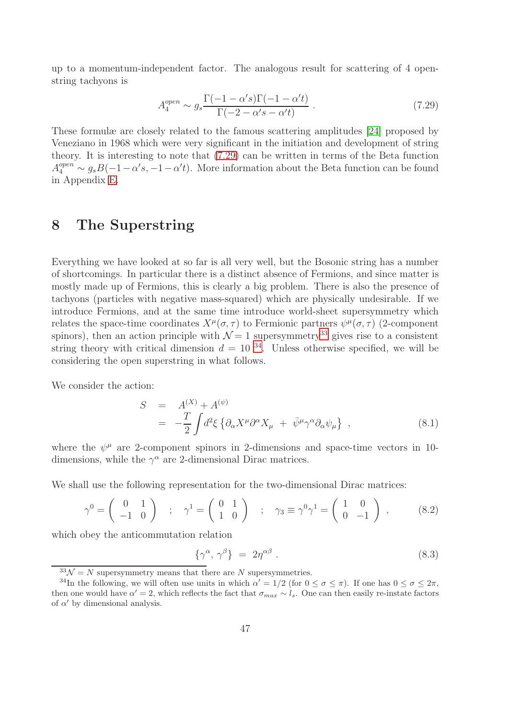up to a momentum-independent factor. The analogous result for scattering of 4 openstring tachyons is

<span id="page-47-0"></span>
$$
A_4^{open} \sim g_s \frac{\Gamma(-1 - \alpha's)\Gamma(-1 - \alpha't)}{\Gamma(-2 - \alpha's - \alpha't)} \ . \tag{7.29}
$$

These formulæ are closely related to the famous scattering amplitudes [\[24\]](#page-100-0) proposed by Veneziano in 1968 which were very significant in the initiation and development of string theory. It is interesting to note that [\(7.29\)](#page-47-0) can be written in terms of the Beta function  $A_4^{open} \sim g_s B(-1-\alpha' s, -1-\alpha' t)$ . More information about the Beta function can be found in Appendix [E.](#page-97-0)

## 8 The Superstring

Everything we have looked at so far is all very well, but the Bosonic string has a number of shortcomings. In particular there is a distinct absence of Fermions, and since matter is mostly made up of Fermions, this is clearly a big problem. There is also the presence of tachyons (particles with negative mass-squared) which are physically undesirable. If we introduce Fermions, and at the same time introduce world-sheet supersymmetry which relates the space-time coordinates  $X^{\mu}(\sigma, \tau)$  to Fermionic partners  $\psi^{\mu}(\sigma, \tau)$  (2-component spinors), then an action principle with  $\mathcal{N} = 1$  supersymmetry<sup>[33](#page-47-1)</sup> gives rise to a consistent string theory with critical dimension  $d = 10^{34}$  $d = 10^{34}$  $d = 10^{34}$ . Unless otherwise specified, we will be considering the open superstring in what follows.

We consider the action:

<span id="page-47-4"></span>
$$
S = A^{(X)} + A^{(\psi)} = -\frac{T}{2} \int d^2 \xi \left\{ \partial_\alpha X^\mu \partial^\alpha X_\mu + \bar{\psi}^\mu \gamma^\alpha \partial_\alpha \psi_\mu \right\} ,
$$
(8.1)

where the  $\psi^{\mu}$  are 2-component spinors in 2-dimensions and space-time vectors in 10dimensions, while the  $\gamma^{\alpha}$  are 2-dimensional Dirac matrices.

We shall use the following representation for the two-dimensional Dirac matrices:

<span id="page-47-3"></span>
$$
\gamma^0 = \begin{pmatrix} 0 & 1 \\ -1 & 0 \end{pmatrix} \quad ; \quad \gamma^1 = \begin{pmatrix} 0 & 1 \\ 1 & 0 \end{pmatrix} \quad ; \quad \gamma_3 \equiv \gamma^0 \gamma^1 = \begin{pmatrix} 1 & 0 \\ 0 & -1 \end{pmatrix} \quad , \tag{8.2}
$$

which obey the anticommutation relation

$$
\{\gamma^{\alpha}, \gamma^{\beta}\} = 2\eta^{\alpha\beta} . \tag{8.3}
$$

<span id="page-47-1"></span> $33\mathcal{N} = N$  supersymmetry means that there are N supersymmetries.

<span id="page-47-2"></span><sup>&</sup>lt;sup>34</sup>In the following, we will often use units in which  $\alpha' = 1/2$  (for  $0 \le \sigma \le \pi$ ). If one has  $0 \le \sigma \le 2\pi$ , then one would have  $\alpha' = 2$ , which reflects the fact that  $\sigma_{max} \sim l_s$ . One can then easily re-instate factors of  $\alpha'$  by dimensional analysis.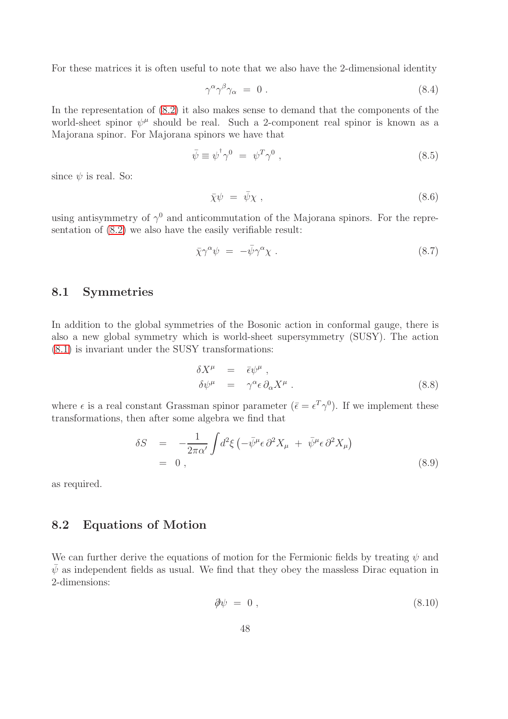For these matrices it is often useful to note that we also have the 2-dimensional identity

$$
\gamma^{\alpha} \gamma^{\beta} \gamma_{\alpha} = 0 \tag{8.4}
$$

In the representation of [\(8.2\)](#page-47-3) it also makes sense to demand that the components of the world-sheet spinor  $\psi^{\mu}$  should be real. Such a 2-component real spinor is known as a Majorana spinor. For Majorana spinors we have that

$$
\bar{\psi} \equiv \psi^{\dagger} \gamma^0 = \psi^T \gamma^0 , \qquad (8.5)
$$

since  $\psi$  is real. So:

$$
\bar{\chi}\psi = \bar{\psi}\chi \tag{8.6}
$$

using antisymmetry of  $\gamma^0$  and anticommutation of the Majorana spinors. For the representation of [\(8.2\)](#page-47-3) we also have the easily verifiable result:

$$
\bar{\chi}\gamma^{\alpha}\psi = -\bar{\psi}\gamma^{\alpha}\chi . \qquad (8.7)
$$

#### 8.1 Symmetries

In addition to the global symmetries of the Bosonic action in conformal gauge, there is also a new global symmetry which is world-sheet supersymmetry (SUSY). The action [\(8.1\)](#page-47-4) is invariant under the SUSY transformations:

<span id="page-48-0"></span>
$$
\delta X^{\mu} = \bar{\epsilon} \psi^{\mu} ,
$$
  
\n
$$
\delta \psi^{\mu} = \gamma^{\alpha} \epsilon \partial_{\alpha} X^{\mu} .
$$
\n(8.8)

where  $\epsilon$  is a real constant Grassman spinor parameter  $(\bar{\epsilon} = \epsilon^T \gamma^0)$ . If we implement these transformations, then after some algebra we find that

$$
\delta S = -\frac{1}{2\pi\alpha'} \int d^2\xi \left( -\bar{\psi}^\mu \epsilon \, \partial^2 X_\mu + \bar{\psi}^\mu \epsilon \, \partial^2 X_\mu \right) \n= 0 ,
$$
\n(8.9)

as required.

#### 8.2 Equations of Motion

We can further derive the equations of motion for the Fermionic fields by treating  $\psi$  and  $\bar{\psi}$  as independent fields as usual. We find that they obey the massless Dirac equation in 2-dimensions:

<span id="page-48-1"></span>
$$
\partial \psi = 0 \tag{8.10}
$$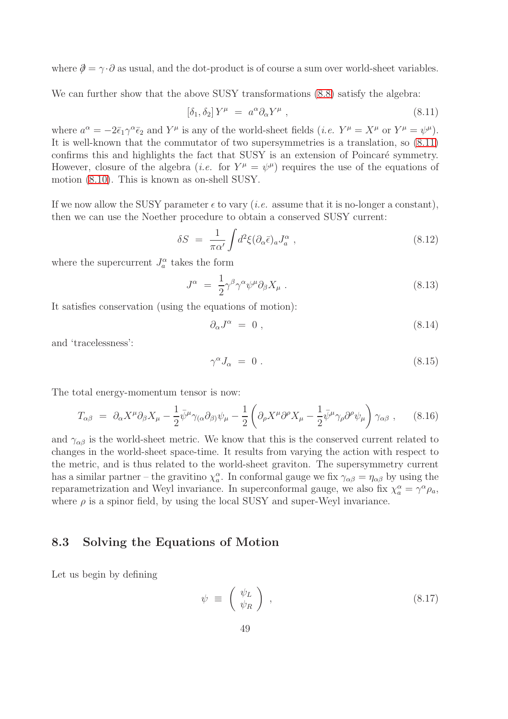where  $\partial = \gamma \cdot \partial$  as usual, and the dot-product is of course a sum over world-sheet variables.

We can further show that the above SUSY transformations  $(8.8)$  satisfy the algebra:

<span id="page-49-0"></span>
$$
\left[\delta_1, \delta_2\right] Y^\mu = a^\alpha \partial_\alpha Y^\mu \,,\tag{8.11}
$$

where  $a^{\alpha} = -2\bar{\epsilon}_1\gamma^{\alpha}\bar{\epsilon}_2$  and  $Y^{\mu}$  is any of the world-sheet fields (*i.e.*  $Y^{\mu} = X^{\mu}$  or  $Y^{\mu} = \psi^{\mu}$ ). It is well-known that the commutator of two supersymmetries is a translation, so [\(8.11\)](#page-49-0) confirms this and highlights the fact that SUSY is an extension of Poincaré symmetry. However, closure of the algebra (*i.e.* for  $Y^{\mu} = \psi^{\mu}$ ) requires the use of the equations of motion [\(8.10\)](#page-48-1). This is known as on-shell SUSY.

If we now allow the SUSY parameter  $\epsilon$  to vary (*i.e.* assume that it is no-longer a constant), then we can use the Noether procedure to obtain a conserved SUSY current:

$$
\delta S = \frac{1}{\pi \alpha'} \int d^2 \xi (\partial_\alpha \bar{\epsilon})_a J_a^\alpha \;, \tag{8.12}
$$

where the supercurrent  $J_a^{\alpha}$  takes the form

$$
J^{\alpha} = \frac{1}{2} \gamma^{\beta} \gamma^{\alpha} \psi^{\mu} \partial_{\beta} X_{\mu} . \tag{8.13}
$$

It satisfies conservation (using the equations of motion):

$$
\partial_{\alpha}J^{\alpha} = 0 , \qquad (8.14)
$$

and 'tracelessness':

$$
\gamma^{\alpha} J_{\alpha} = 0. \tag{8.15}
$$

The total energy-momentum tensor is now:

$$
T_{\alpha\beta} = \partial_{\alpha} X^{\mu} \partial_{\beta} X_{\mu} - \frac{1}{2} \bar{\psi}^{\mu} \gamma_{(\alpha} \partial_{\beta)} \psi_{\mu} - \frac{1}{2} \left( \partial_{\rho} X^{\mu} \partial^{\rho} X_{\mu} - \frac{1}{2} \bar{\psi}^{\mu} \gamma_{\rho} \partial^{\rho} \psi_{\mu} \right) \gamma_{\alpha\beta} , \quad (8.16)
$$

and  $\gamma_{\alpha\beta}$  is the world-sheet metric. We know that this is the conserved current related to changes in the world-sheet space-time. It results from varying the action with respect to the metric, and is thus related to the world-sheet graviton. The supersymmetry current has a similar partner – the gravitino  $\chi_a^{\alpha}$ . In conformal gauge we fix  $\gamma_{\alpha\beta} = \eta_{\alpha\beta}$  by using the reparametrization and Weyl invariance. In superconformal gauge, we also fix  $\chi_a^{\alpha} = \gamma^{\alpha} \rho_a$ , where  $\rho$  is a spinor field, by using the local SUSY and super-Weyl invariance.

#### 8.3 Solving the Equations of Motion

Let us begin by defining

$$
\psi \equiv \left( \begin{array}{c} \psi_L \\ \psi_R \end{array} \right) , \tag{8.17}
$$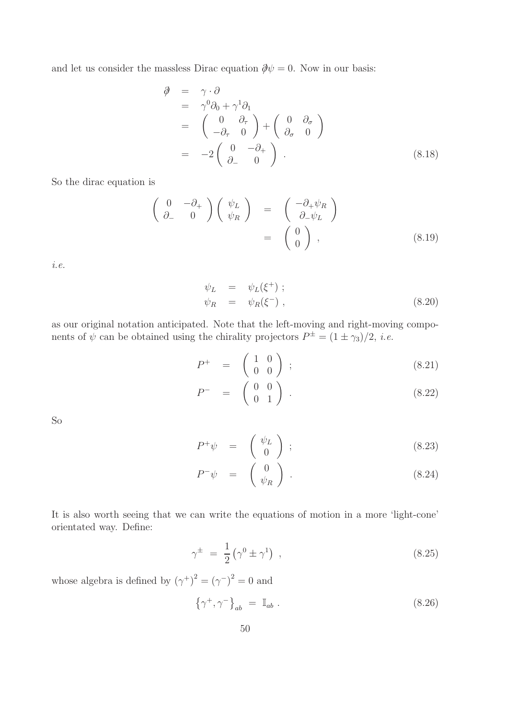and let us consider the massless Dirac equation  $\partial \psi = 0$ . Now in our basis:

$$
\vartheta = \gamma \cdot \partial
$$
\n
$$
= \gamma^0 \partial_0 + \gamma^1 \partial_1
$$
\n
$$
= \begin{pmatrix} 0 & \partial_{\tau} \\ -\partial_{\tau} & 0 \end{pmatrix} + \begin{pmatrix} 0 & \partial_{\sigma} \\ \partial_{\sigma} & 0 \end{pmatrix}
$$
\n
$$
= -2 \begin{pmatrix} 0 & -\partial_{+} \\ \partial_{-} & 0 \end{pmatrix} .
$$
\n(8.18)

So the dirac equation is

$$
\begin{pmatrix}\n0 & -\partial_{+} \\
\partial_{-} & 0\n\end{pmatrix}\n\begin{pmatrix}\n\psi_{L} \\
\psi_{R}\n\end{pmatrix} = \begin{pmatrix}\n-\partial_{+}\psi_{R} \\
\partial_{-}\psi_{L}\n\end{pmatrix} = \begin{pmatrix}\n0 \\
0\n\end{pmatrix},
$$
\n(8.19)

*i.e.*

<span id="page-50-0"></span>
$$
\psi_L = \psi_L(\xi^+);
$$
  
\n
$$
\psi_R = \psi_R(\xi^-),
$$
\n(8.20)

as our original notation anticipated. Note that the left-moving and right-moving components of  $\psi$  can be obtained using the chirality projectors  $P^{\pm} = (1 \pm \gamma_3)/2$ , *i.e.* 

$$
P^+ = \begin{pmatrix} 1 & 0 \\ 0 & 0 \end{pmatrix} ; \tag{8.21}
$$

$$
P^- = \begin{pmatrix} 0 & 0 \\ 0 & 1 \end{pmatrix} . \tag{8.22}
$$

So

$$
P^+\psi = \begin{pmatrix} \psi_L \\ 0 \end{pmatrix} ; \tag{8.23}
$$

$$
P^{-}\psi = \begin{pmatrix} 0 \\ \psi_R \end{pmatrix} . \tag{8.24}
$$

It is also worth seeing that we can write the equations of motion in a more 'light-cone' orientated way. Define:

$$
\gamma^{\pm} = \frac{1}{2} \left( \gamma^0 \pm \gamma^1 \right) , \qquad (8.25)
$$

whose algebra is defined by  $(\gamma^+)^2 = (\gamma^-)^2 = 0$  and

$$
\left\{\gamma^+,\gamma^-\right\}_{ab} = \mathbb{I}_{ab} \ . \tag{8.26}
$$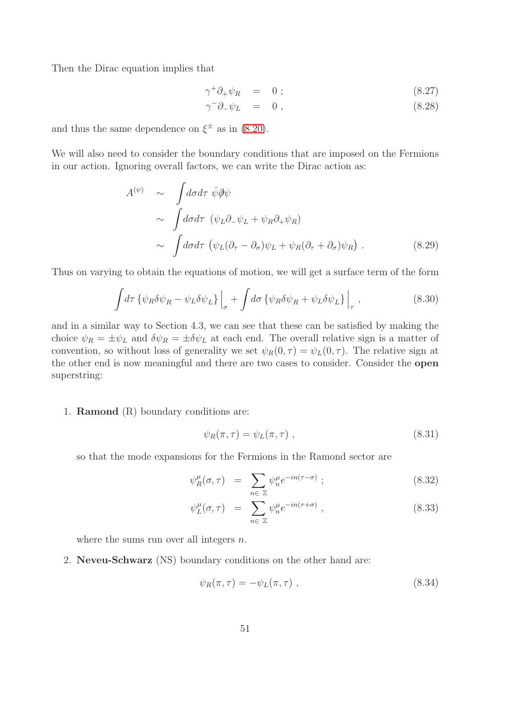Then the Dirac equation implies that

$$
\gamma^+ \partial_+ \psi_R = 0 \; ; \tag{8.27}
$$

$$
\gamma^- \partial_- \psi_L = 0 , \qquad (8.28)
$$

and thus the same dependence on  $\xi^{\pm}$  as in [\(8.20\)](#page-50-0).

We will also need to consider the boundary conditions that are imposed on the Fermions in our action. Ignoring overall factors, we can write the Dirac action as:

$$
A^{(\psi)} \sim \int d\sigma d\tau \ \bar{\psi} \partial \psi
$$
  
 
$$
\sim \int d\sigma d\tau \ (\psi_L \partial_- \psi_L + \psi_R \partial_+ \psi_R)
$$
  
 
$$
\sim \int d\sigma d\tau \ (\psi_L (\partial_\tau - \partial_\sigma) \psi_L + \psi_R (\partial_\tau + \partial_\sigma) \psi_R) . \tag{8.29}
$$

Thus on varying to obtain the equations of motion, we will get a surface term of the form

$$
\int d\tau \left\{ \psi_R \delta \psi_R - \psi_L \delta \psi_L \right\} \Big|_{\sigma} + \int d\sigma \left\{ \psi_R \delta \psi_R + \psi_L \delta \psi_L \right\} \Big|_{\tau}, \tag{8.30}
$$

and in a similar way to Section 4.3, we can see that these can be satisfied by making the choice  $\psi_R = \pm \psi_L$  and  $\delta \psi_R = \pm \delta \psi_L$  at each end. The overall relative sign is a matter of convention, so without loss of generality we set  $\psi_R(0, \tau) = \psi_L(0, \tau)$ . The relative sign at the other end is now meaningful and there are two cases to consider. Consider the open superstring:

1. Ramond (R) boundary conditions are:

$$
\psi_R(\pi,\tau) = \psi_L(\pi,\tau) \tag{8.31}
$$

so that the mode expansions for the Fermions in the Ramond sector are

$$
\psi_R^{\mu}(\sigma, \tau) = \sum_{n \in \mathbb{Z}} \psi_n^{\mu} e^{-in(\tau - \sigma)} \tag{8.32}
$$

$$
\psi_L^{\mu}(\sigma, \tau) = \sum_{n \in \mathbb{Z}} \psi_n^{\mu} e^{-in(\tau + \sigma)}, \qquad (8.33)
$$

where the sums run over all integers  $n$ .

2. Neveu-Schwarz (NS) boundary conditions on the other hand are:

$$
\psi_R(\pi,\tau) = -\psi_L(\pi,\tau) , \qquad (8.34)
$$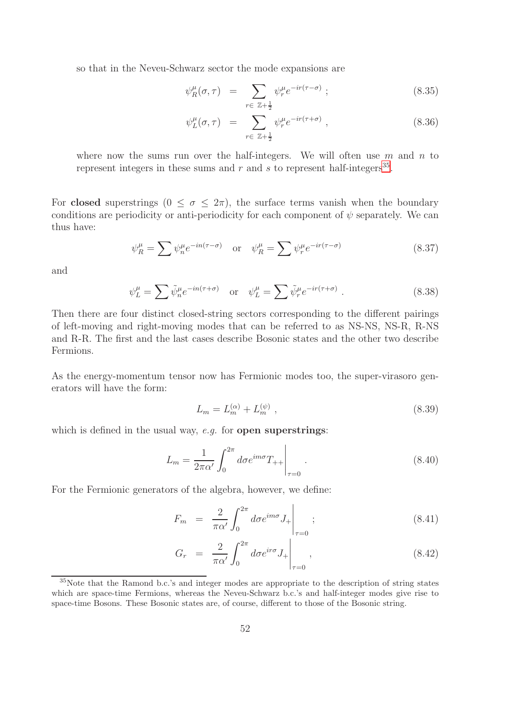so that in the Neveu-Schwarz sector the mode expansions are

$$
\psi_R^{\mu}(\sigma, \tau) = \sum_{r \in \mathbb{Z} + \frac{1}{2}} \psi_r^{\mu} e^{-ir(\tau - \sigma)} \tag{8.35}
$$

$$
\psi_L^{\mu}(\sigma, \tau) = \sum_{r \in \mathbb{Z} + \frac{1}{2}} \psi_r^{\mu} e^{-ir(\tau + \sigma)}, \qquad (8.36)
$$

where now the sums run over the half-integers. We will often use  $m$  and  $n$  to represent integers in these sums and  $r$  and  $s$  to represent half-integers<sup>[35](#page-52-0)</sup>.

For closed superstrings  $(0 \le \sigma \le 2\pi)$ , the surface terms vanish when the boundary conditions are periodicity or anti-periodicity for each component of  $\psi$  separately. We can thus have:

$$
\psi_R^{\mu} = \sum \psi_n^{\mu} e^{-in(\tau - \sigma)} \quad \text{or} \quad \psi_R^{\mu} = \sum \psi_r^{\mu} e^{-ir(\tau - \sigma)} \tag{8.37}
$$

and

$$
\psi_L^{\mu} = \sum \tilde{\psi}_n^{\mu} e^{-in(\tau + \sigma)} \quad \text{or} \quad \psi_L^{\mu} = \sum \tilde{\psi}_r^{\mu} e^{-ir(\tau + \sigma)} \ . \tag{8.38}
$$

Then there are four distinct closed-string sectors corresponding to the different pairings of left-moving and right-moving modes that can be referred to as NS-NS, NS-R, R-NS and R-R. The first and the last cases describe Bosonic states and the other two describe Fermions.

As the energy-momentum tensor now has Fermionic modes too, the super-virasoro generators will have the form:

$$
L_m = L_m^{(\alpha)} + L_m^{(\psi)} \,, \tag{8.39}
$$

which is defined in the usual way, *e.g.* for **open superstrings**:

$$
L_m = \frac{1}{2\pi\alpha'} \int_0^{2\pi} d\sigma e^{im\sigma} T_{++} \Big|_{\tau=0} . \tag{8.40}
$$

For the Fermionic generators of the algebra, however, we define:

$$
F_m = \frac{2}{\pi \alpha'} \int_0^{2\pi} d\sigma e^{im\sigma} J_+ \Big|_{\tau=0} ; \qquad (8.41)
$$

$$
G_r = \frac{2}{\pi \alpha'} \int_0^{2\pi} d\sigma e^{ir\sigma} J_+ \Big|_{\tau=0}, \qquad (8.42)
$$

<span id="page-52-0"></span><sup>35</sup>Note that the Ramond b.c.'s and integer modes are appropriate to the description of string states which are space-time Fermions, whereas the Neveu-Schwarz b.c.'s and half-integer modes give rise to space-time Bosons. These Bosonic states are, of course, different to those of the Bosonic string.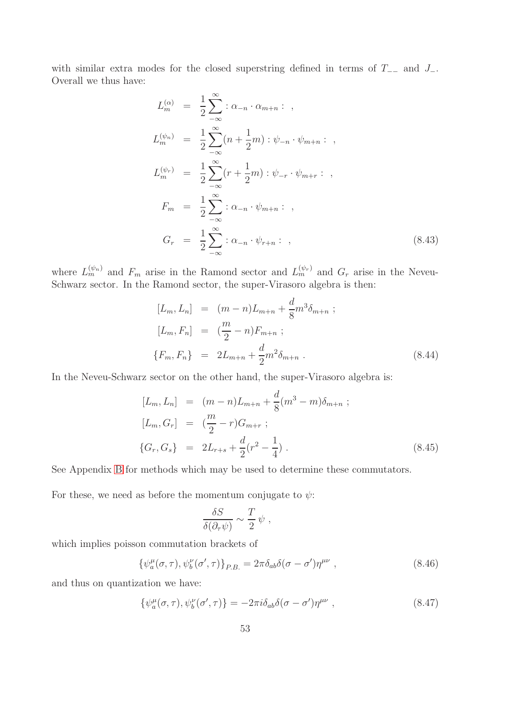with similar extra modes for the closed superstring defined in terms of  $T_{-−}$  and  $J_{-}$ . Overall we thus have:

$$
L_m^{(\alpha)} = \frac{1}{2} \sum_{-\infty}^{\infty} : \alpha_{-n} \cdot \alpha_{m+n} : ,
$$
  
\n
$$
L_m^{(\psi_n)} = \frac{1}{2} \sum_{-\infty}^{\infty} (n + \frac{1}{2}m) : \psi_{-n} \cdot \psi_{m+n} : ,
$$
  
\n
$$
L_m^{(\psi_r)} = \frac{1}{2} \sum_{-\infty}^{\infty} (r + \frac{1}{2}m) : \psi_{-r} \cdot \psi_{m+r} : ,
$$
  
\n
$$
F_m = \frac{1}{2} \sum_{-\infty}^{\infty} : \alpha_{-n} \cdot \psi_{m+n} : ,
$$
  
\n
$$
G_r = \frac{1}{2} \sum_{-\infty}^{\infty} : \alpha_{-n} \cdot \psi_{r+n} : ,
$$
\n(8.43)

where  $L_m^{(\psi_n)}$  and  $F_m$  arise in the Ramond sector and  $L_m^{(\psi_r)}$  and  $G_r$  arise in the Neveu-Schwarz sector. In the Ramond sector, the super-Virasoro algebra is then:

<span id="page-53-0"></span>
$$
[L_m, L_n] = (m - n)L_{m+n} + \frac{d}{8}m^3 \delta_{m+n} ;
$$
  
\n
$$
[L_m, F_n] = (\frac{m}{2} - n)F_{m+n} ;
$$
  
\n
$$
\{F_m, F_n\} = 2L_{m+n} + \frac{d}{2}m^2 \delta_{m+n} .
$$
\n(8.44)

In the Neveu-Schwarz sector on the other hand, the super-Virasoro algebra is:

$$
[L_m, L_n] = (m - n)L_{m+n} + \frac{d}{8}(m^3 - m)\delta_{m+n} ;
$$
  
\n
$$
[L_m, G_r] = (\frac{m}{2} - r)G_{m+r} ;
$$
  
\n
$$
\{G_r, G_s\} = 2L_{r+s} + \frac{d}{2}(r^2 - \frac{1}{4}).
$$
\n(8.45)

See Appendix [B](#page-68-0) for methods which may be used to determine these commutators.

For these, we need as before the momentum conjugate to  $\psi$ :

$$
\frac{\delta S}{\delta(\partial_\tau \psi)} \sim \frac{T}{2} \psi ,
$$

which implies poisson commutation brackets of

$$
\{\psi_a^{\mu}(\sigma,\tau),\psi_b^{\nu}(\sigma',\tau)\}_{P.B.} = 2\pi\delta_{ab}\delta(\sigma-\sigma')\eta^{\mu\nu} ,\qquad (8.46)
$$

and thus on quantization we have:

$$
\{\psi_a^{\mu}(\sigma,\tau),\psi_b^{\nu}(\sigma',\tau)\} = -2\pi i \delta_{ab}\delta(\sigma-\sigma')\eta^{\mu\nu} ,\qquad (8.47)
$$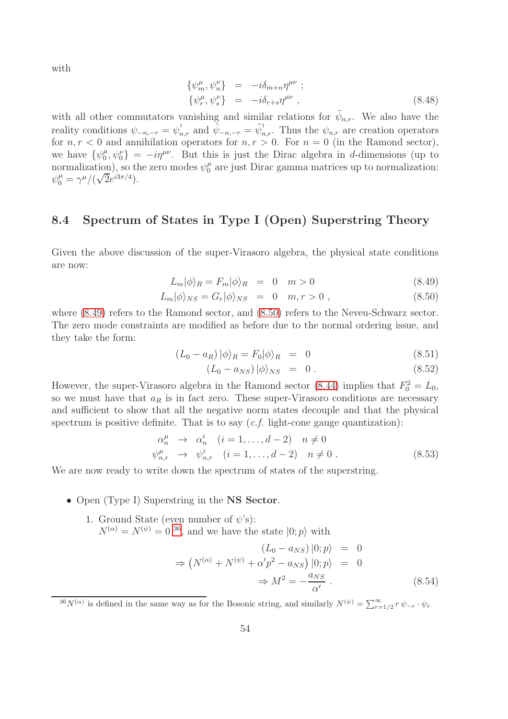with

$$
\begin{aligned}\n\{\psi_m^{\mu}, \psi_n^{\nu}\} &= -i\delta_{m+n}\eta^{\mu\nu}; \\
\{\psi_r^{\mu}, \psi_s^{\nu}\} &= -i\delta_{r+s}\eta^{\mu\nu},\n\end{aligned} \tag{8.48}
$$

with all other commutators vanishing and similar relations for  $\tilde{\psi}_{n,r}$ . We also have the reality conditions  $\psi_{-n,-r} = \psi_{n,r}^{\dagger}$  and  $\tilde{\psi}_{-n,-r} = \tilde{\psi}_{n,r}^{\dagger}$ . Thus the  $\psi_{n,r}$  are creation operators for  $n, r < 0$  and annihilation operators for  $n, r > 0$ . For  $n = 0$  (in the Ramond sector), we have  $\{\psi_0^{\mu}$  $\langle \psi_0^{\mu}, \psi_0^{\nu} \rangle = -i\eta^{\mu\nu}$ . But this is just the Dirac algebra in d-dimensions (up to normalization), so the zero modes  $\psi_0^{\mu}$  are just Dirac gamma matrices up to normalization:  $\psi_0^{\mu} = \gamma^{\mu}/(\sqrt{2}e^{i3\pi/4}).$ 

### 8.4 Spectrum of States in Type I (Open) Superstring Theory

Given the above discussion of the super-Virasoro algebra, the physical state conditions are now:

<span id="page-54-0"></span>
$$
L_m|\phi\rangle_R = F_m|\phi\rangle_R = 0 \quad m > 0 \tag{8.49}
$$

$$
L_m|\phi\rangle_{NS} = G_r|\phi\rangle_{NS} = 0 \quad m, r > 0 , \qquad (8.50)
$$

where  $(8.49)$  refers to the Ramond sector, and  $(8.50)$  refers to the Neveu-Schwarz sector. The zero mode constraints are modified as before due to the normal ordering issue, and they take the form:

$$
(L_0 - a_R) \left| \phi \right\rangle_R = F_0 | \phi \rangle_R = 0 \tag{8.51}
$$

$$
(L_0 - a_{NS}) \, |\phi\rangle_{NS} = 0 \,. \tag{8.52}
$$

However, the super-Virasoro algebra in the Ramond sector [\(8.44\)](#page-53-0) implies that  $F_0^2 = L_0$ , so we must have that  $a_R$  is in fact zero. These super-Virasoro conditions are necessary and sufficient to show that all the negative norm states decouple and that the physical spectrum is positive definite. That is to say (*c.f.* light-cone gauge quantization):

$$
\alpha_n^{\mu} \to \alpha_n^i \quad (i = 1, ..., d - 2) \quad n \neq 0
$$
  

$$
\psi_{n,r}^{\mu} \to \psi_{n,r}^i \quad (i = 1, ..., d - 2) \quad n \neq 0.
$$
 (8.53)

We are now ready to write down the spectrum of states of the superstring.

- Open (Type I) Superstring in the NS Sector.
	- 1. Ground State (even number of  $\psi$ 's):  $N^{(\alpha)} = N^{(\psi)} = 0^{36}$  $N^{(\alpha)} = N^{(\psi)} = 0^{36}$  $N^{(\alpha)} = N^{(\psi)} = 0^{36}$ , and we have the state  $|0; p\rangle$  with

<span id="page-54-2"></span>
$$
(L_0 - a_{NS}) |0; p\rangle = 0
$$
  
\n
$$
\Rightarrow (N^{(\alpha)} + N^{(\psi)} + \alpha' p^2 - a_{NS}) |0; p\rangle = 0
$$
  
\n
$$
\Rightarrow M^2 = -\frac{a_{NS}}{\alpha'}
$$
 (8.54)

<span id="page-54-1"></span><sup>&</sup>lt;sup>36</sup>N<sup>( $\alpha$ )</sup> is defined in the same way as for the Bosonic string, and similarly  $N^{(\psi)} = \sum_{r=1/2}^{\infty} r \psi_{-r} \cdot \psi_r$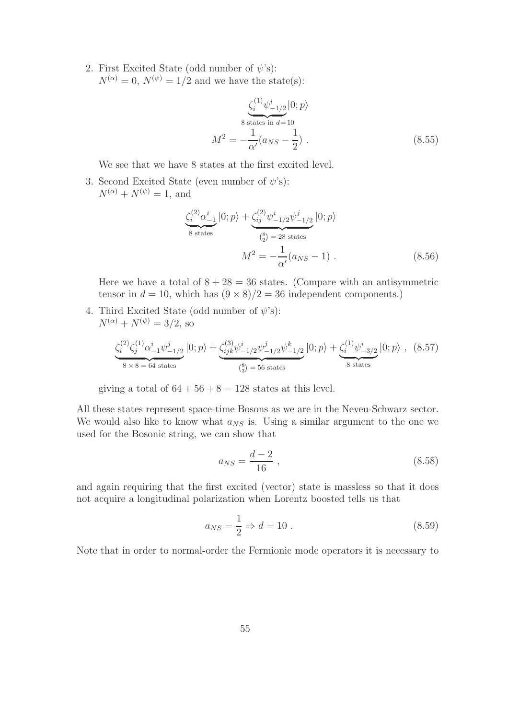2. First Excited State (odd number of  $\psi$ 's):  $N^{(\alpha)}=0$ ,  $N^{(\psi)}=1/2$  and we have the state(s):

<span id="page-55-1"></span>
$$
\frac{\zeta_i^{(1)} \psi_{-1/2}^i |0; p\rangle}{8 \text{ states in } d = 10}
$$
  

$$
M^2 = -\frac{1}{\alpha'} (a_{NS} - \frac{1}{2}) .
$$
 (8.55)

We see that we have 8 states at the first excited level.

3. Second Excited State (even number of  $\psi$ 's):  $N^{(\alpha)} + N^{(\psi)} = 1$ , and

<span id="page-55-0"></span>
$$
\underbrace{\zeta_i^{(2)} \alpha_{-1}^i}_{8 \text{ states}} |0; p\rangle + \underbrace{\zeta_{ij}^{(2)} \psi_{-1/2}^i \psi_{-1/2}^j}_{\text{(s)} = 28 \text{ states}} |0; p\rangle
$$
\n
$$
M^2 = -\frac{1}{\alpha'} (a_{NS} - 1) \tag{8.56}
$$

Here we have a total of  $8 + 28 = 36$  states. (Compare with an antisymmetric tensor in  $d = 10$ , which has  $(9 \times 8)/2 = 36$  independent components.)

4. Third Excited State (odd number of  $\psi$ 's):  $N^{(\alpha)} + N^{(\psi)} = 3/2$ , so

$$
\underbrace{\zeta_i^{(2)}\zeta_j^{(1)}\alpha_{-1}^i\psi_{-1/2}^j}_{8\times 8=64 \text{ states}}|0;p\rangle + \underbrace{\zeta_{ijk}^{(3)}\psi_{-1/2}^i\psi_{-1/2}^j\psi_{-1/2}^k}_{\text{(S)}}|0;p\rangle + \underbrace{\zeta_i^{(1)}\psi_{-3/2}^i}_{8 \text{ states}}|0;p\rangle \text{ , (8.57)}
$$

giving a total of  $64 + 56 + 8 = 128$  states at this level.

All these states represent space-time Bosons as we are in the Neveu-Schwarz sector. We would also like to know what  $a_{NS}$  is. Using a similar argument to the one we used for the Bosonic string, we can show that

$$
a_{NS} = \frac{d-2}{16} \,,\tag{8.58}
$$

and again requiring that the first excited (vector) state is massless so that it does not acquire a longitudinal polarization when Lorentz boosted tells us that

$$
a_{NS} = \frac{1}{2} \Rightarrow d = 10 \tag{8.59}
$$

Note that in order to normal-order the Fermionic mode operators it is necessary to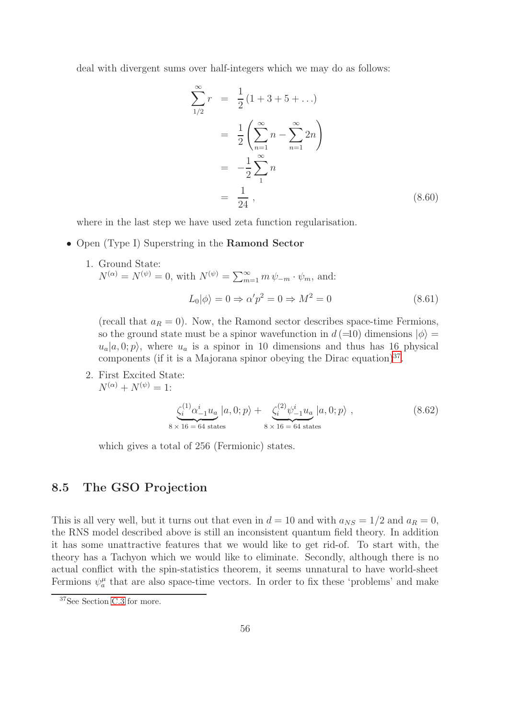deal with divergent sums over half-integers which we may do as follows:

$$
\sum_{1/2}^{\infty} r = \frac{1}{2} (1 + 3 + 5 + \ldots)
$$
  
=  $\frac{1}{2} \left( \sum_{n=1}^{\infty} n - \sum_{n=1}^{\infty} 2n \right)$   
=  $-\frac{1}{2} \sum_{1}^{\infty} n$   
=  $\frac{1}{24}$ , (8.60)

where in the last step we have used zeta function regularisation.

• Open (Type I) Superstring in the **Ramond Sector** 

1. Ground State:  
\n
$$
N^{(\alpha)} = N^{(\psi)} = 0, \text{ with } N^{(\psi)} = \sum_{m=1}^{\infty} m \psi_{-m} \cdot \psi_m, \text{ and:}
$$
\n
$$
L_0|\phi\rangle = 0 \Rightarrow \alpha'p^2 = 0 \Rightarrow M^2 = 0 \tag{8.61}
$$

(recall that  $a_R = 0$ ). Now, the Ramond sector describes space-time Fermions, so the ground state must be a spinor wavefunction in  $d = 0$  dimensions  $|\phi\rangle =$  $u_a|a, 0; p\rangle$ , where  $u_a$  is a spinor in 10 dimensions and thus has 16 physical components (if it is a Majorana spinor obeying the Dirac equation)<sup>[37](#page-56-0)</sup>.

2. First Excited State:  $N^{(\alpha)} + N^{(\psi)} = 1$ :

$$
\underbrace{\zeta_i^{(1)} \alpha_{-1}^i u_a}_{8 \times 16 = 64 \text{ states}} |a, 0; p\rangle + \underbrace{\zeta_i^{(2)} \psi_{-1}^i u_a}_{8 \times 16 = 64 \text{ states}} |a, 0; p\rangle ,
$$
\n(8.62)

which gives a total of 256 (Fermionic) states.

#### 8.5 The GSO Projection

This is all very well, but it turns out that even in  $d = 10$  and with  $a_{NS} = 1/2$  and  $a_R = 0$ , the RNS model described above is still an inconsistent quantum field theory. In addition it has some unattractive features that we would like to get rid-of. To start with, the theory has a Tachyon which we would like to eliminate. Secondly, although there is no actual conflict with the spin-statistics theorem, it seems unnatural to have world-sheet Fermions  $\psi_a^{\mu}$  that are also space-time vectors. In order to fix these 'problems' and make

<span id="page-56-0"></span><sup>37</sup>See Section [C.3](#page-85-0) for more.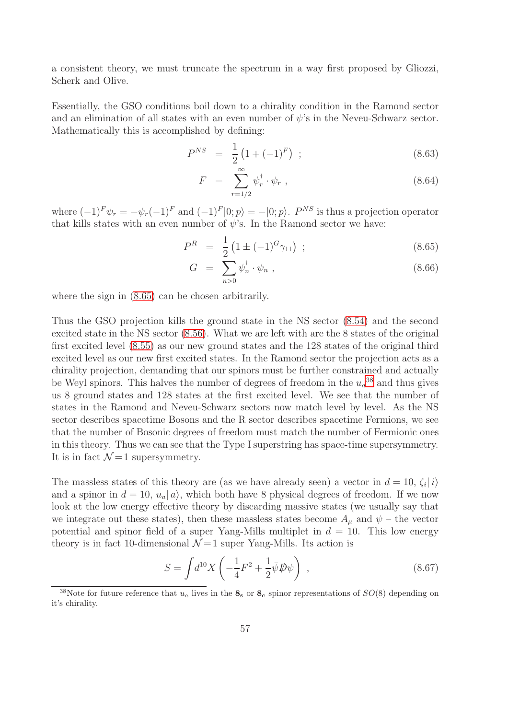a consistent theory, we must truncate the spectrum in a way first proposed by Gliozzi, Scherk and Olive.

Essentially, the GSO conditions boil down to a chirality condition in the Ramond sector and an elimination of all states with an even number of  $\psi$ 's in the Neveu-Schwarz sector. Mathematically this is accomplished by defining:

$$
P^{NS} = \frac{1}{2} \left( 1 + (-1)^F \right) ; \tag{8.63}
$$

$$
F = \sum_{r=1/2}^{\infty} \psi_r^{\dagger} \cdot \psi_r , \qquad (8.64)
$$

where  $(-1)^F \psi_r = -\psi_r(-1)^F$  and  $(-1)^F |0; p \rangle = -|0; p \rangle$ .  $P^{NS}$  is thus a projection operator that kills states with an even number of  $\psi$ 's. In the Ramond sector we have:

<span id="page-57-0"></span>
$$
P^R = \frac{1}{2} \left( 1 \pm (-1)^G \gamma_{11} \right) ; \tag{8.65}
$$

$$
G = \sum_{n>0} \psi_n^{\dagger} \cdot \psi_n , \qquad (8.66)
$$

where the sign in [\(8.65\)](#page-57-0) can be chosen arbitrarily.

Thus the GSO projection kills the ground state in the NS sector [\(8.54\)](#page-54-2) and the second excited state in the NS sector [\(8.56\)](#page-55-0). What we are left with are the 8 states of the original first excited level [\(8.55\)](#page-55-1) as our new ground states and the 128 states of the original third excited level as our new first excited states. In the Ramond sector the projection acts as a chirality projection, demanding that our spinors must be further constrained and actually be Weyl spinors. This halves the number of degrees of freedom in the  $u_a^{38}$  $u_a^{38}$  $u_a^{38}$  and thus gives us 8 ground states and 128 states at the first excited level. We see that the number of states in the Ramond and Neveu-Schwarz sectors now match level by level. As the NS sector describes spacetime Bosons and the R sector describes spacetime Fermions, we see that the number of Bosonic degrees of freedom must match the number of Fermionic ones in this theory. Thus we can see that the Type I superstring has space-time supersymmetry. It is in fact  $\mathcal{N}=1$  supersymmetry.

The massless states of this theory are (as we have already seen) a vector in  $d = 10$ ,  $\zeta_i | i \rangle$ and a spinor in  $d = 10$ ,  $u_a | a \rangle$ , which both have 8 physical degrees of freedom. If we now look at the low energy effective theory by discarding massive states (we usually say that we integrate out these states), then these massless states become  $A_{\mu}$  and  $\psi$  – the vector potential and spinor field of a super Yang-Mills multiplet in  $d = 10$ . This low energy theory is in fact 10-dimensional  $\mathcal{N}=1$  super Yang-Mills. Its action is

$$
S = \int d^{10}X \left( -\frac{1}{4}F^2 + \frac{1}{2}\bar{\psi}\psi\psi \right) , \qquad (8.67)
$$

<span id="page-57-1"></span><sup>&</sup>lt;sup>38</sup>Note for future reference that  $u_a$  lives in the  $\mathbf{8}_s$  or  $\mathbf{8}_c$  spinor representations of  $SO(8)$  depending on it's chirality.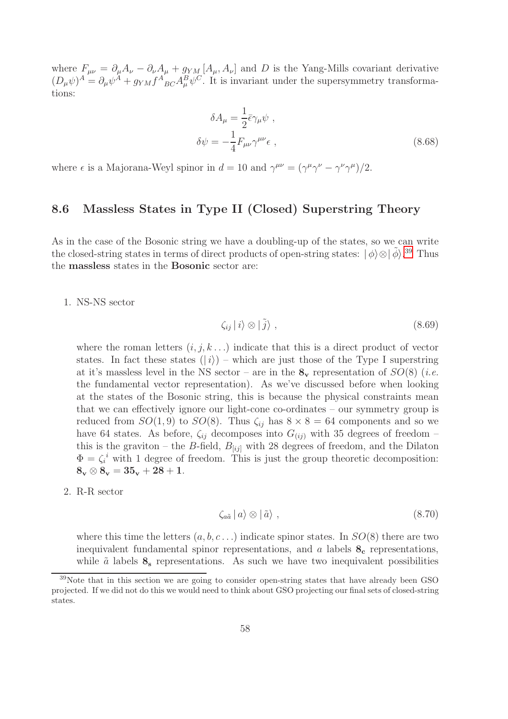where  $F_{\mu\nu} = \partial_{\mu}A_{\nu} - \partial_{\nu}A_{\mu} + g_{YM}[A_{\mu}, A_{\nu}]$  and D is the Yang-Mills covariant derivative  $(D_{\mu}\psi)^{A} = \partial_{\mu}\psi^{A} + g_{YM}f^{A}{}_{BC}A^{B}_{\mu}\psi^{C}$ . It is invariant under the supersymmetry transformations:

$$
\delta A_{\mu} = \frac{1}{2} \bar{\epsilon} \gamma_{\mu} \psi ,
$$
  
\n
$$
\delta \psi = -\frac{1}{4} F_{\mu\nu} \gamma^{\mu\nu} \epsilon ,
$$
\n(8.68)

where  $\epsilon$  is a Majorana-Weyl spinor in  $d = 10$  and  $\gamma^{\mu\nu} = (\gamma^{\mu}\gamma^{\nu} - \gamma^{\nu}\gamma^{\mu})/2$ .

#### 8.6 Massless States in Type II (Closed) Superstring Theory

As in the case of the Bosonic string we have a doubling-up of the states, so we can write the closed-string states in terms of direct products of open-string states:  $|\phi\rangle \otimes |\tilde{\phi}\rangle$ .<sup>[39](#page-58-0)</sup> Thus the massless states in the Bosonic sector are:

#### 1. NS-NS sector

$$
\zeta_{ij} \, | \, i \rangle \otimes | \, \tilde{j} \rangle \;, \tag{8.69}
$$

where the roman letters  $(i, j, k \ldots)$  indicate that this is a direct product of vector states. In fact these states  $(|i\rangle)$  – which are just those of the Type I superstring at it's massless level in the NS sector – are in the  $\mathbf{8}_{\mathbf{v}}$  representation of  $SO(8)$  (*i.e.* the fundamental vector representation). As we've discussed before when looking at the states of the Bosonic string, this is because the physical constraints mean that we can effectively ignore our light-cone co-ordinates – our symmetry group is reduced from  $SO(1,9)$  to  $SO(8)$ . Thus  $\zeta_{ij}$  has  $8 \times 8 = 64$  components and so we have 64 states. As before,  $\zeta_{ij}$  decomposes into  $G_{(ij)}$  with 35 degrees of freedom – this is the graviton – the B-field,  $B_{[ij]}$  with 28 degrees of freedom, and the Dilaton  $\Phi = \zeta_i^i$  with 1 degree of freedom. This is just the group theoretic decomposition:  $8_v \otimes 8_v = 35_v + 28 + 1.$ 

#### 2. R-R sector

$$
\zeta_{a\tilde{a}}\,|\,a\rangle\otimes|\,\tilde{a}\rangle\;, \tag{8.70}
$$

where this time the letters  $(a, b, c, \ldots)$  indicate spinor states. In  $SO(8)$  there are two inequivalent fundamental spinor representations, and a labels  $\mathbf{8}_{c}$  representations, while  $\tilde{a}$  labels  $\mathbf{8}_s$  representations. As such we have two inequivalent possibilities

<span id="page-58-0"></span> $39$ Note that in this section we are going to consider open-string states that have already been GSO projected. If we did not do this we would need to think about GSO projecting our final sets of closed-string states.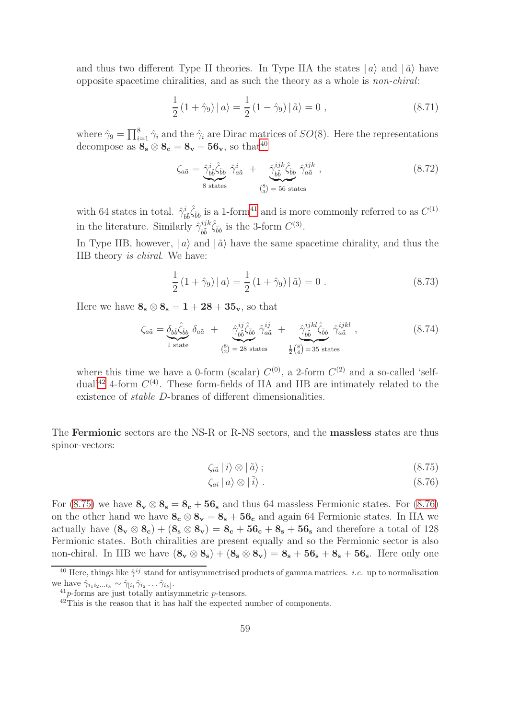and thus two different Type II theories. In Type IIA the states  $|a\rangle$  and  $|\tilde{a}\rangle$  have opposite spacetime chiralities, and as such the theory as a whole is *non-chiral*:

$$
\frac{1}{2} (1 + \hat{\gamma}_9) |a\rangle = \frac{1}{2} (1 - \hat{\gamma}_9) | \tilde{a}\rangle = 0 , \qquad (8.71)
$$

where  $\hat{\gamma}_9 = \prod_{i=1}^8 \hat{\gamma}_i$  and the  $\hat{\gamma}_i$  are Dirac matrices of  $SO(8)$ . Here the representations decompose as  $\mathbf{8}_{s} \otimes \mathbf{8}_{c} = \mathbf{8}_{v} + \mathbf{56}_{v}$ , so that<sup>[40](#page-59-0)</sup>

$$
\zeta_{a\tilde{a}} = \underbrace{\hat{\gamma}_{b\tilde{b}}^{i}\hat{\zeta}_{\tilde{b}b}}_{8 \text{ states}} \hat{\gamma}_{a\tilde{a}}^{i} + \underbrace{\hat{\gamma}_{b\tilde{b}}^{ijk}\hat{\zeta}_{\tilde{b}b}}_{\binom{8}{3} = 56 \text{ states}} \hat{\gamma}_{a\tilde{a}}^{ijk} ,
$$
\n(8.72)

with 64 states in total.  $\hat{\gamma}_{b\tilde{b}}^{i}\hat{\zeta}_{\tilde{b}b}$  is a 1-form<sup>[41](#page-59-1)</sup> and is more commonly referred to as  $C^{(1)}$ in the literature. Similarly  $\hat{\gamma}_{\tilde{\mu}}^{ijk}$  $_{b\tilde{b}}^{ijk}\hat{\zeta}_{\tilde{b}b}$  is the 3-form  $C^{(3)}$ .

In Type IIB, however,  $|a\rangle$  and  $|\tilde{a}\rangle$  have the same spacetime chirality, and thus the IIB theory *is chiral*. We have:

$$
\frac{1}{2} (1 + \hat{\gamma}_9) |a\rangle = \frac{1}{2} (1 + \hat{\gamma}_9) | \tilde{a}\rangle = 0.
$$
 (8.73)

Here we have  $\mathbf{8}_{\rm s}\otimes \mathbf{8}_{\rm s}=1+28+35_{\rm v}$ , so that

$$
\zeta_{a\tilde{a}} = \underbrace{\delta_{b\tilde{b}}\hat{\zeta}_{\tilde{b}b}}_{1 \text{ state}} \delta_{a\tilde{a}} + \underbrace{\hat{\gamma}_{b\tilde{b}}^{ij}\hat{\zeta}_{\tilde{b}b}}_{\binom{8}{2} = 28 \text{ states}} \hat{\gamma}_{a\tilde{a}}^{ij} + \underbrace{\hat{\gamma}_{b\tilde{b}}^{ijkl}\hat{\zeta}_{\tilde{b}b}}_{\frac{1}{2}\binom{8}{4} = 35 \text{ states}} \hat{\gamma}_{a\tilde{a}}^{ijkl} ,
$$
\n(8.74)

where this time we have a 0-form (scalar)  $C^{(0)}$ , a 2-form  $C^{(2)}$  and a so-called 'self-dual'<sup>[42](#page-59-2)</sup> 4-form  $C^{(4)}$ . These form-fields of IIA and IIB are intimately related to the existence of *stable* D-branes of different dimensionalities.

The Fermionic sectors are the NS-R or R-NS sectors, and the massless states are thus spinor-vectors:

<span id="page-59-3"></span>
$$
\zeta_{i\tilde{a}}\left|\left.i\right\rangle \otimes\left|\left.\tilde{a}\right.\right\rangle ;\tag{8.75}
$$

$$
\zeta_{ai} \mid a \rangle \otimes \mid \tilde{i} \rangle \tag{8.76}
$$

For [\(8.75\)](#page-59-3) we have  $\mathbf{8}_{\mathbf{v}} \otimes \mathbf{8}_{\mathbf{s}} = \mathbf{8}_{\mathbf{c}} + \mathbf{56}_{\mathbf{s}}$  and thus 64 massless Fermionic states. For [\(8.76\)](#page-59-3) on the other hand we have  $\mathbf{8_c} \otimes \mathbf{8_v} = \mathbf{8_s} + \mathbf{56_c}$  and again 64 Fermionic states. In IIA we actually have  $(8_v \otimes 8_c) + (8_s \otimes 8_v) = 8_c + 56_c + 8_s + 56_s$  and therefore a total of 128 Fermionic states. Both chiralities are present equally and so the Fermionic sector is also non-chiral. In IIB we have  $(8_v \otimes 8_s) + (8_s \otimes 8_v) = 8_s + 56_s + 8_s + 56_s$ . Here only one

<sup>&</sup>lt;sup>40</sup> Here, things like  $\hat{\gamma}^{ij}$  stand for antisymmetrised products of gamma matrices. *i.e.* up to normalisation we have  $\hat{\gamma}_{i_1 i_2 \dots i_k} \sim \hat{\gamma}_{[i_1} \hat{\gamma}_{i_2} \dots \hat{\gamma}_{i_k]}$ .

<span id="page-59-0"></span> $^{41}p$ -forms are just totally antisymmetric  $p$ -tensors.

<span id="page-59-2"></span><span id="page-59-1"></span><sup>&</sup>lt;sup>42</sup>This is the reason that it has half the expected number of components.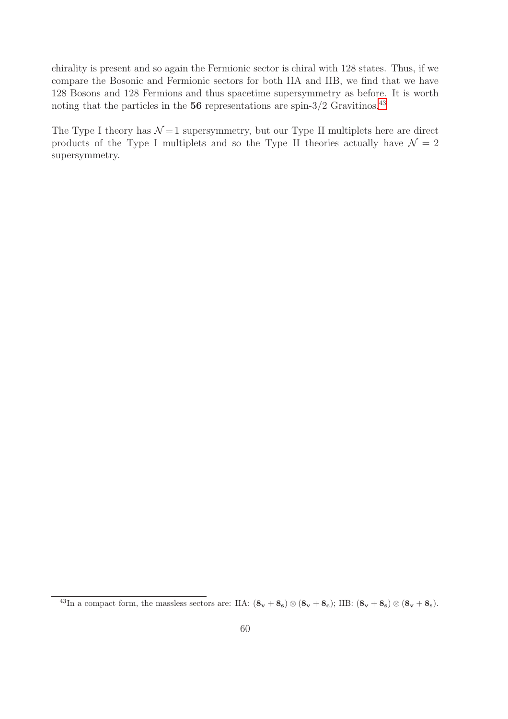chirality is present and so again the Fermionic sector is chiral with 128 states. Thus, if we compare the Bosonic and Fermionic sectors for both IIA and IIB, we find that we have 128 Bosons and 128 Fermions and thus spacetime supersymmetry as before. It is worth noting that the particles in the  $56$  representations are spin- $3/2$  Gravitinos.<sup>[43](#page-60-0)</sup>

The Type I theory has  $\mathcal{N}=1$  supersymmetry, but our Type II multiplets here are direct products of the Type I multiplets and so the Type II theories actually have  $\mathcal{N} = 2$ supersymmetry.

<span id="page-60-0"></span> $^{43}\text{In a compact form, the massless sectors are: IIA:  $(8_v + 8_s) \otimes (8_v + 8_c)$ ; IIB:  $(8_v + 8_s) \otimes (8_v + 8_s)$ .$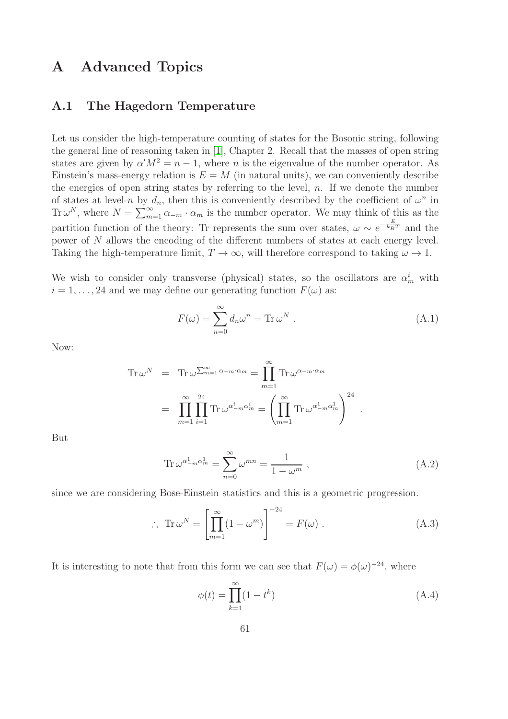# A Advanced Topics

### A.1 The Hagedorn Temperature

Let us consider the high-temperature counting of states for the Bosonic string, following the general line of reasoning taken in [\[1\]](#page-99-0), Chapter 2. Recall that the masses of open string states are given by  $\alpha' M^2 = n - 1$ , where *n* is the eigenvalue of the number operator. As Einstein's mass-energy relation is  $E = M$  (in natural units), we can conveniently describe the energies of open string states by referring to the level,  $n$ . If we denote the number of states at level-n by  $d_n$ , then this is conveniently described by the coefficient of  $\omega^n$  in Tr  $\omega^N$ , where  $N = \sum_{m=1}^{\infty} \alpha_{-m} \cdot \alpha_m$  is the number operator. We may think of this as the partition function of the theory: Tr represents the sum over states,  $\omega \sim e^{-\frac{E}{k_B T}}$  and the power of N allows the encoding of the different numbers of states at each energy level. Taking the high-temperature limit,  $T \to \infty$ , will therefore correspond to taking  $\omega \to 1$ .

We wish to consider only transverse (physical) states, so the oscillators are  $\alpha_m^i$  with  $i = 1, \ldots, 24$  and we may define our generating function  $F(\omega)$  as:

$$
F(\omega) = \sum_{n=0}^{\infty} d_n \omega^n = \text{Tr} \,\omega^N . \tag{A.1}
$$

Now:

$$
\operatorname{Tr} \omega^N = \operatorname{Tr} \omega^{\sum_{m=1}^{\infty} \alpha_{-m} \cdot \alpha_m} = \prod_{m=1}^{\infty} \operatorname{Tr} \omega^{\alpha_{-m} \cdot \alpha_m}
$$

$$
= \prod_{m=1}^{\infty} \prod_{i=1}^{24} \operatorname{Tr} \omega^{\alpha_{-m}^i \alpha_m^i} = \left( \prod_{m=1}^{\infty} \operatorname{Tr} \omega^{\alpha_{-m}^1 \alpha_m^1} \right)^{24}.
$$

But

$$
\operatorname{Tr}\omega^{\alpha_{-m}^1\alpha_m^1} = \sum_{n=0}^{\infty} \omega^{mn} = \frac{1}{1 - \omega^m},
$$
\n(A.2)

since we are considering Bose-Einstein statistics and this is a geometric progression.

<span id="page-61-0"></span>
$$
\therefore \operatorname{Tr} \omega^N = \left[ \prod_{m=1}^{\infty} (1 - \omega^m) \right]^{-24} = F(\omega) . \tag{A.3}
$$

It is interesting to note that from this form we can see that  $F(\omega) = \phi(\omega)^{-24}$ , where

$$
\phi(t) = \prod_{k=1}^{\infty} (1 - t^k) \tag{A.4}
$$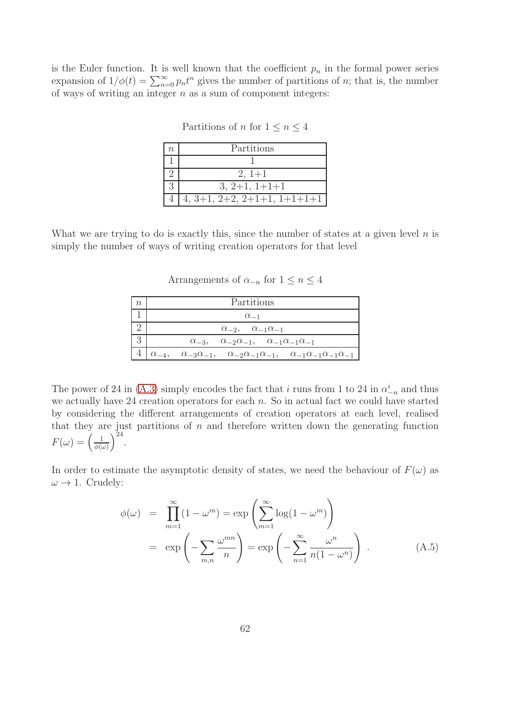is the Euler function. It is well known that the coefficient  $p_n$  in the formal power series expansion of  $1/\phi(t) = \sum_{n=0}^{\infty} p_n t^n$  gives the number of partitions of *n*; that is, the number of ways of writing an integer  $n$  as a sum of component integers:

| $\eta$ | Partitions                    |
|--------|-------------------------------|
|        |                               |
|        | $2, 1+1$                      |
|        | $3, 2+1, 1+1+1$               |
|        | $4, 3+1, 2+2, 2+1+1, 1+1+1+1$ |

Partitions of *n* for  $1 \le n \le 4$ 

What we are trying to do is exactly this, since the number of states at a given level  $n$  is simply the number of ways of writing creation operators for that level

Arrangements of  $\alpha_{-n}$  for  $1 \leq n \leq 4$ 

| Partitions                                                                                                             |
|------------------------------------------------------------------------------------------------------------------------|
| $\alpha_{-1}$                                                                                                          |
| $\alpha_{-2}$ , $\alpha_{-1}\alpha_{-1}$                                                                               |
| $\alpha_{-3}$ , $\alpha_{-2}\alpha_{-1}$ , $\alpha_{-1}\alpha_{-1}\alpha_{-1}$                                         |
| $\alpha_{-4}, \alpha_{-3}\alpha_{-1}, \alpha_{-2}\alpha_{-1}\alpha_{-1}, \alpha_{-1}\alpha_{-1}\alpha_{-1}\alpha_{-1}$ |

The power of 24 in [\(A.3\)](#page-61-0) simply encodes the fact that i runs from 1 to 24 in  $\alpha_{-n}^i$  and thus we actually have 24 creation operators for each  $n$ . So in actual fact we could have started by considering the different arrangements of creation operators at each level, realised that they are just partitions of  $n$  and therefore written down the generating function  $F(\omega) = \left(\frac{1}{\phi(\omega)}\right)$  $\phi(\omega)$  $\big)^{24}$ .

In order to estimate the asymptotic density of states, we need the behaviour of  $F(\omega)$  as  $\omega \rightarrow 1$ . Crudely:

$$
\phi(\omega) = \prod_{m=1}^{\infty} (1 - \omega^m) = \exp\left(\sum_{m=1}^{\infty} \log(1 - \omega^m)\right)
$$

$$
= \exp\left(-\sum_{m,n} \frac{\omega^{mn}}{n}\right) = \exp\left(-\sum_{n=1}^{\infty} \frac{\omega^n}{n(1 - \omega^n)}\right). \tag{A.5}
$$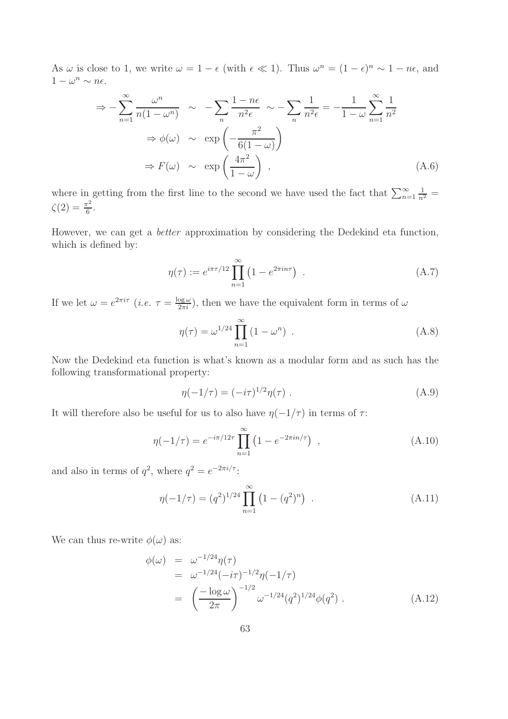As  $\omega$  is close to 1, we write  $\omega = 1 - \epsilon$  (with  $\epsilon \ll 1$ ). Thus  $\omega^n = (1 - \epsilon)^n \sim 1 - n\epsilon$ , and  $1 - \omega^n \sim n\epsilon$ .

$$
\Rightarrow -\sum_{n=1}^{\infty} \frac{\omega^n}{n(1-\omega^n)} \sim -\sum_{n} \frac{1-n\epsilon}{n^2\epsilon} \sim -\sum_{n} \frac{1}{n^2\epsilon} = -\frac{1}{1-\omega} \sum_{n=1}^{\infty} \frac{1}{n^2}
$$

$$
\Rightarrow \phi(\omega) \sim \exp\left(-\frac{\pi^2}{6(1-\omega)}\right)
$$

$$
\Rightarrow F(\omega) \sim \exp\left(\frac{4\pi^2}{1-\omega}\right) , \tag{A.6}
$$

where in getting from the first line to the second we have used the fact that  $\sum_{n=1}^{\infty}$  $\frac{1}{n^2} =$  $\zeta(2) = \frac{\pi^2}{6}$  $\frac{1}{6}$ .

However, we can get a *better* approximation by considering the Dedekind eta function, which is defined by:

$$
\eta(\tau) := e^{i\pi\tau/12} \prod_{n=1}^{\infty} \left( 1 - e^{2\pi i n\tau} \right) \ . \tag{A.7}
$$

If we let  $\omega = e^{2\pi i \tau}$  (*i.e.*  $\tau = \frac{\log \omega}{2\pi i}$ ), then we have the equivalent form in terms of  $\omega$ 

$$
\eta(\tau) = \omega^{1/24} \prod_{n=1}^{\infty} (1 - \omega^n) \tag{A.8}
$$

Now the Dedekind eta function is what's known as a modular form and as such has the following transformational property:

$$
\eta(-1/\tau) = (-i\tau)^{1/2}\eta(\tau) . \tag{A.9}
$$

It will therefore also be useful for us to also have  $\eta(-1/\tau)$  in terms of  $\tau$ :

$$
\eta(-1/\tau) = e^{-i\pi/12\tau} \prod_{n=1}^{\infty} \left(1 - e^{-2\pi i n/\tau}\right) , \qquad (A.10)
$$

and also in terms of  $q^2$ , where  $q^2 = e^{-2\pi i/\tau}$ :

$$
\eta(-1/\tau) = (q^2)^{1/24} \prod_{n=1}^{\infty} (1 - (q^2)^n) .
$$
 (A.11)

We can thus re-write  $\phi(\omega)$  as:

$$
\begin{split} \phi(\omega) &= \omega^{-1/24} \eta(\tau) \\ &= \omega^{-1/24} (-i\tau)^{-1/2} \eta(-1/\tau) \\ &= \left(\frac{-\log \omega}{2\pi}\right)^{-1/2} \omega^{-1/24} (q^2)^{1/24} \phi(q^2) \ . \end{split} \tag{A.12}
$$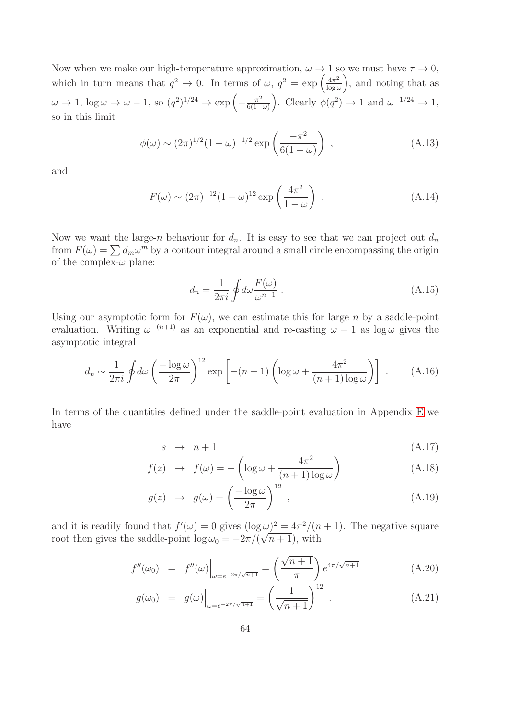Now when we make our high-temperature approximation,  $\omega \to 1$  so we must have  $\tau \to 0$ , which in turn means that  $q^2 \to 0$ . In terms of  $\omega$ ,  $q^2 = \exp\left(\frac{4\pi^2}{\log \omega}\right)$  $\log \omega$  , and noting that as  $\omega \to 1$ ,  $\log \omega \to \omega - 1$ , so  $(q^2)^{1/24} \to \exp\left(-\frac{\pi^2}{6(1-\pi^2)}\right)$  $6(1-\omega)$ ). Clearly  $\phi(q^2) \to 1$  and  $\omega^{-1/24} \to 1$ , so in this limit

$$
\phi(\omega) \sim (2\pi)^{1/2} (1 - \omega)^{-1/2} \exp\left(\frac{-\pi^2}{6(1 - \omega)}\right) , \qquad (A.13)
$$

and

$$
F(\omega) \sim (2\pi)^{-12} (1-\omega)^{12} \exp\left(\frac{4\pi^2}{1-\omega}\right) \tag{A.14}
$$

Now we want the large-n behaviour for  $d_n$ . It is easy to see that we can project out  $d_n$ from  $F(\omega) = \sum d_m \omega^m$  by a contour integral around a small circle encompassing the origin of the complex- $\omega$  plane:

$$
d_n = \frac{1}{2\pi i} \oint d\omega \frac{F(\omega)}{\omega^{n+1}} . \tag{A.15}
$$

Using our asymptotic form for  $F(\omega)$ , we can estimate this for large n by a saddle-point evaluation. Writing  $\omega^{-(n+1)}$  as an exponential and re-casting  $\omega - 1$  as  $\log \omega$  gives the asymptotic integral

$$
d_n \sim \frac{1}{2\pi i} \oint d\omega \left(\frac{-\log \omega}{2\pi}\right)^{12} \exp\left[-(n+1)\left(\log \omega + \frac{4\pi^2}{(n+1)\log \omega}\right)\right] \ . \tag{A.16}
$$

In terms of the quantities defined under the saddle-point evaluation in Appendix [E](#page-97-0) we have

$$
s \rightarrow n+1 \tag{A.17}
$$

$$
f(z) \rightarrow f(\omega) = -\left(\log \omega + \frac{4\pi^2}{(n+1)\log \omega}\right) \tag{A.18}
$$

$$
g(z) \rightarrow g(\omega) = \left(\frac{-\log \omega}{2\pi}\right)^{12}, \qquad (A.19)
$$

and it is readily found that  $f'(\omega) = 0$  gives  $(\log \omega)^2 = 4\pi^2/(n+1)$ . The negative square root then gives the saddle-point  $\log \omega_0 = -2\pi/(\sqrt{n+1})$ , with

$$
f''(\omega_0) = f''(\omega)\Big|_{\omega = e^{-2\pi/\sqrt{n+1}}} = \left(\frac{\sqrt{n+1}}{\pi}\right) e^{4\pi/\sqrt{n+1}}
$$
(A.20)

$$
g(\omega_0) = g(\omega)\Big|_{\omega = e^{-2\pi/\sqrt{n+1}}} = \left(\frac{1}{\sqrt{n+1}}\right)^{12} .
$$
 (A.21)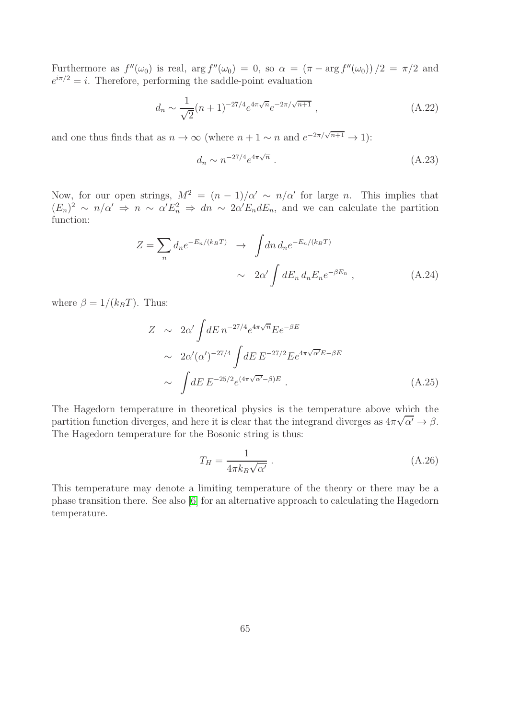Furthermore as  $f''(\omega_0)$  is real,  $\arg f''(\omega_0) = 0$ , so  $\alpha = (\pi - \arg f''(\omega_0)) / 2 = \pi / 2$  and  $e^{i\pi/2} = i$ . Therefore, performing the saddle-point evaluation

$$
d_n \sim \frac{1}{\sqrt{2}} (n+1)^{-27/4} e^{4\pi \sqrt{n}} e^{-2\pi/\sqrt{n+1}}, \qquad (A.22)
$$

and one thus finds that as  $n \to \infty$  (where  $n + 1 \sim n$  and  $e^{-2\pi/\sqrt{n+1}} \to 1$ ):

$$
d_n \sim n^{-27/4} e^{4\pi\sqrt{n}} \ . \tag{A.23}
$$

Now, for our open strings,  $M^2 = (n-1)/\alpha' \sim n/\alpha'$  for large n. This implies that  $(E_n)^2 \sim n/\alpha' \Rightarrow n \sim \alpha' E_n^2 \Rightarrow dn \sim 2\alpha' E_n dE_n$ , and we can calculate the partition function:

$$
Z = \sum_{n} d_n e^{-E_n/(k_B T)} \longrightarrow \int dn \, d_n e^{-E_n/(k_B T)}
$$

$$
\sim 2\alpha' \int dE_n \, d_n E_n e^{-\beta E_n} \,, \tag{A.24}
$$

where  $\beta = 1/(k_BT)$ . Thus:

$$
Z \sim 2\alpha' \int dE \, n^{-27/4} e^{4\pi\sqrt{n}} E e^{-\beta E}
$$
  
\n
$$
\sim 2\alpha' (\alpha')^{-27/4} \int dE \, E^{-27/2} E e^{4\pi\sqrt{\alpha'} E - \beta E}
$$
  
\n
$$
\sim \int dE \, E^{-25/2} e^{(4\pi\sqrt{\alpha'} - \beta)E} . \tag{A.25}
$$

The Hagedorn temperature in theoretical physics is the temperature above which the partition function diverges, and here it is clear that the integrand diverges as  $4\pi\sqrt{\alpha'} \rightarrow \beta$ . The Hagedorn temperature for the Bosonic string is thus:

$$
T_H = \frac{1}{4\pi k_B \sqrt{\alpha'}} \,. \tag{A.26}
$$

This temperature may denote a limiting temperature of the theory or there may be a phase transition there. See also [\[6\]](#page-99-1) for an alternative approach to calculating the Hagedorn temperature.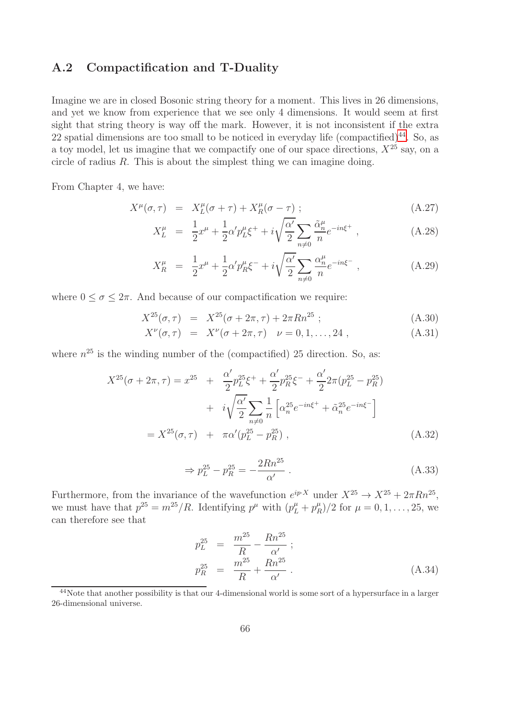#### A.2 Compactification and T-Duality

Imagine we are in closed Bosonic string theory for a moment. This lives in 26 dimensions, and yet we know from experience that we see only 4 dimensions. It would seem at first sight that string theory is way off the mark. However, it is not inconsistent if the extra 22 spatial dimensions are too small to be noticed in everyday life (compactified) $^{44}$  $^{44}$  $^{44}$ . So, as a toy model, let us imagine that we compactify one of our space directions,  $X^{25}$  say, on a circle of radius R. This is about the simplest thing we can imagine doing.

From Chapter 4, we have:

$$
X^{\mu}(\sigma,\tau) = X^{\mu}_L(\sigma+\tau) + X^{\mu}_R(\sigma-\tau) ; \qquad (A.27)
$$

$$
X_L^{\mu} = \frac{1}{2}x^{\mu} + \frac{1}{2}\alpha' p_L^{\mu} \xi^+ + i \sqrt{\frac{\alpha'}{2}} \sum_{n \neq 0} \frac{\tilde{\alpha}_n^{\mu}}{n} e^{-in\xi^+} , \qquad (A.28)
$$

$$
X_R^{\mu} = \frac{1}{2}x^{\mu} + \frac{1}{2}\alpha' p_R^{\mu} \xi^- + i \sqrt{\frac{\alpha'}{2}} \sum_{n \neq 0} \frac{\alpha_n^{\mu}}{n} e^{-in\xi^-} , \qquad (A.29)
$$

where  $0 \le \sigma \le 2\pi$ . And because of our compactification we require:

$$
X^{25}(\sigma,\tau) = X^{25}(\sigma + 2\pi, \tau) + 2\pi R n^{25} ; \qquad (A.30)
$$

$$
X^{\nu}(\sigma, \tau) = X^{\nu}(\sigma + 2\pi, \tau) \quad \nu = 0, 1, ..., 24 \tag{A.31}
$$

where  $n^{25}$  is the winding number of the (compactified) 25 direction. So, as:

$$
X^{25}(\sigma + 2\pi, \tau) = x^{25} + \frac{\alpha'}{2} p_L^{25} \xi^+ + \frac{\alpha'}{2} p_R^{25} \xi^- + \frac{\alpha'}{2} 2\pi (p_L^{25} - p_R^{25})
$$
  
+  $i \sqrt{\frac{\alpha'}{2}} \sum_{n \neq 0} \frac{1}{n} \left[ \alpha_n^{25} e^{-in\xi^+} + \tilde{\alpha}_n^{25} e^{-in\xi^-} \right]$   
=  $X^{25}(\sigma, \tau) + \pi \alpha' (p_L^{25} - p_R^{25}),$  (A.32)

$$
\Rightarrow p_L^{25} - p_R^{25} = -\frac{2Rn^{25}}{\alpha'} \,. \tag{A.33}
$$

Furthermore, from the invariance of the wavefunction  $e^{ip\cdot X}$  under  $X^{25} \to X^{25} + 2\pi Rn^{25}$ , we must have that  $p^{25} = m^{25}/R$ . Identifying  $p^{\mu}$  with  $(p^{\mu}_L + p^{\mu}_R)$  $\binom{\mu}{R}/2$  for  $\mu = 0, 1, \ldots, 25$ , we can therefore see that

$$
p_L^{25} = \frac{m^{25}}{R} - \frac{Rn^{25}}{\alpha'}; p_R^{25} = \frac{m^{25}}{R} + \frac{Rn^{25}}{\alpha'}.
$$
 (A.34)

<span id="page-66-0"></span><sup>44</sup>Note that another possibility is that our 4-dimensional world is some sort of a hypersurface in a larger 26-dimensional universe.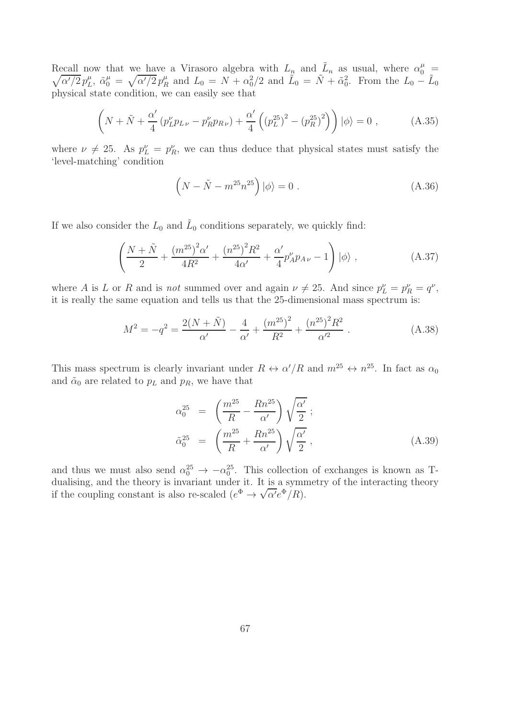Recall now that we have a Virasoro algebra with  $L_n$  and  $\tilde{L}_n$  as usual, where  $\alpha_0^{\mu}$  =  $\sqrt{\alpha'/2}\, p_L^{\mu}$  $L^{\mu}$ ,  $\tilde{\alpha}_0^{\mu} = \sqrt{\alpha'/2} p_R^{\mu}$  $L_R^{\mu}$  and  $L_0 = N + \alpha_0^2/2$  and  $\tilde{L}_0 = \tilde{N} + \tilde{\alpha}_0^2$ . From the  $L_0 - \tilde{L}_0$ physical state condition, we can easily see that

$$
\left(N + \tilde{N} + \frac{\alpha'}{4} \left(p_L^{\nu} p_{L\nu} - p_R^{\nu} p_{R\nu}\right) + \frac{\alpha'}{4} \left(\left(p_L^{25}\right)^2 - \left(p_R^{25}\right)^2\right)\right) |\phi\rangle = 0 ,\qquad (A.35)
$$

where  $\nu \neq 25$ . As  $p_L^{\nu} = p_R^{\nu}$ , we can thus deduce that physical states must satisfy the 'level-matching' condition

$$
\left(N - \tilde{N} - m^{25} n^{25}\right) \left|\phi\right\rangle = 0.
$$
\n(A.36)

If we also consider the  $L_0$  and  $\tilde{L}_0$  conditions separately, we quickly find:

$$
\left(\frac{N+\tilde{N}}{2} + \frac{(m^{25})^2 \alpha'}{4R^2} + \frac{(n^{25})^2 R^2}{4\alpha'} + \frac{\alpha'}{4} p'_A p_{A\nu} - 1\right) |\phi\rangle ,
$$
\n(A.37)

where A is L or R and is *not* summed over and again  $\nu \neq 25$ . And since  $p_L^{\nu} = p_R^{\nu} = q^{\nu}$ , it is really the same equation and tells us that the 25-dimensional mass spectrum is:

$$
M^{2} = -q^{2} = \frac{2(N+\tilde{N})}{\alpha'} - \frac{4}{\alpha'} + \frac{(m^{25})^{2}}{R^{2}} + \frac{(n^{25})^{2}R^{2}}{\alpha'^{2}}.
$$
 (A.38)

This mass spectrum is clearly invariant under  $R \leftrightarrow \alpha'/R$  and  $m^{25} \leftrightarrow n^{25}$ . In fact as  $\alpha_0$ and  $\tilde{\alpha}_0$  are related to  $p_L$  and  $p_R$ , we have that

$$
\alpha_0^{25} = \left(\frac{m^{25}}{R} - \frac{Rn^{25}}{\alpha'}\right)\sqrt{\frac{\alpha'}{2}};
$$
\n
$$
\tilde{\alpha}_0^{25} = \left(\frac{m^{25}}{R} + \frac{Rn^{25}}{\alpha'}\right)\sqrt{\frac{\alpha'}{2}},
$$
\n(A.39)

and thus we must also send  $\alpha_0^{25} \to -\alpha_0^{25}$ . This collection of exchanges is known as Tdualising, and the theory is invariant under it. It is a symmetry of the interacting theory if the coupling constant is also re-scaled  $(e^{\Phi} \to \sqrt{\alpha'} e^{\Phi}/R)$ .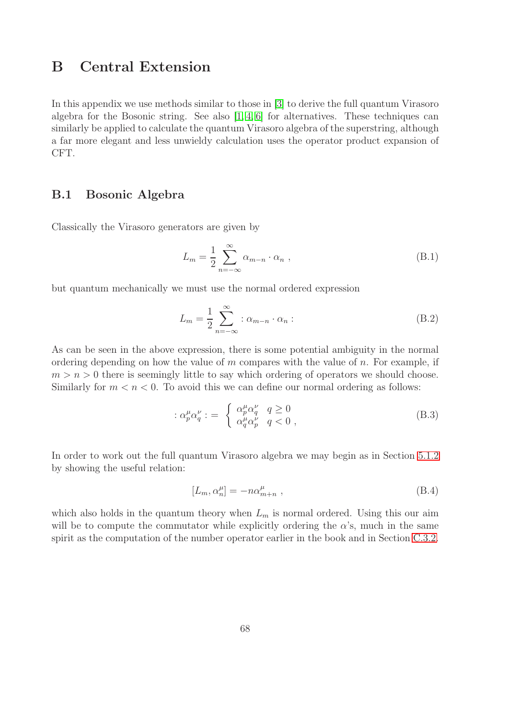# <span id="page-68-0"></span>B Central Extension

In this appendix we use methods similar to those in [\[3\]](#page-99-2) to derive the full quantum Virasoro algebra for the Bosonic string. See also  $[1, 4, 6]$  $[1, 4, 6]$  $[1, 4, 6]$  for alternatives. These techniques can similarly be applied to calculate the quantum Virasoro algebra of the superstring, although a far more elegant and less unwieldy calculation uses the operator product expansion of CFT.

#### B.1 Bosonic Algebra

Classically the Virasoro generators are given by

$$
L_m = \frac{1}{2} \sum_{n=-\infty}^{\infty} \alpha_{m-n} \cdot \alpha_n , \qquad (B.1)
$$

but quantum mechanically we must use the normal ordered expression

$$
L_m = \frac{1}{2} \sum_{n=-\infty}^{\infty} : \alpha_{m-n} \cdot \alpha_n :
$$
 (B.2)

As can be seen in the above expression, there is some potential ambiguity in the normal ordering depending on how the value of m compares with the value of n. For example, if  $m > n > 0$  there is seemingly little to say which ordering of operators we should choose. Similarly for  $m < n < 0$ . To avoid this we can define our normal ordering as follows:

$$
\therefore \alpha_p^{\mu} \alpha_q^{\nu} := \begin{cases} \alpha_p^{\mu} \alpha_q^{\nu} & q \ge 0 \\ \alpha_q^{\mu} \alpha_p^{\nu} & q < 0 \end{cases},
$$
 (B.3)

In order to work out the full quantum Virasoro algebra we may begin as in Section [5.1.2](#page-19-0) by showing the useful relation:

$$
[L_m, \alpha_n^{\mu}] = -n\alpha_{m+n}^{\mu} , \qquad (B.4)
$$

which also holds in the quantum theory when  $L_m$  is normal ordered. Using this our aim will be to compute the commutator while explicitly ordering the  $\alpha$ 's, much in the same spirit as the computation of the number operator earlier in the book and in Section [C.3.2.](#page-86-0)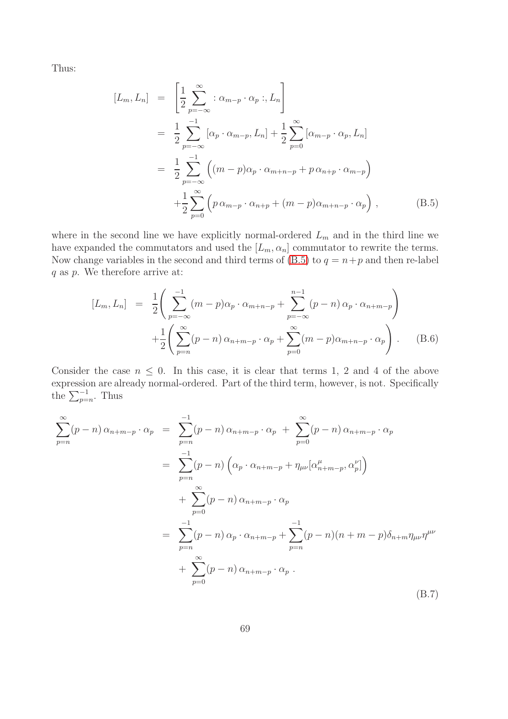Thus:

<span id="page-69-0"></span>
$$
[L_m, L_n] = \left[\frac{1}{2} \sum_{p=-\infty}^{\infty} : \alpha_{m-p} \cdot \alpha_p : , L_n\right]
$$
  
\n
$$
= \frac{1}{2} \sum_{p=-\infty}^{-1} [\alpha_p \cdot \alpha_{m-p}, L_n] + \frac{1}{2} \sum_{p=0}^{\infty} [\alpha_{m-p} \cdot \alpha_p, L_n]
$$
  
\n
$$
= \frac{1}{2} \sum_{p=-\infty}^{-1} ((m-p)\alpha_p \cdot \alpha_{m+n-p} + p \alpha_{n+p} \cdot \alpha_{m-p})
$$
  
\n
$$
+ \frac{1}{2} \sum_{p=0}^{\infty} (p \alpha_{m-p} \cdot \alpha_{n+p} + (m-p)\alpha_{m+n-p} \cdot \alpha_p),
$$
 (B.5)

where in the second line we have explicitly normal-ordered  $L_m$  and in the third line we have expanded the commutators and used the  $[L_m, \alpha_n]$  commutator to rewrite the terms. Now change variables in the second and third terms of  $(B.5)$  to  $q = n+p$  and then re-label q as p. We therefore arrive at:

<span id="page-69-2"></span>
$$
[L_m, L_n] = \frac{1}{2} \left( \sum_{p=-\infty}^{-1} (m-p) \alpha_p \cdot \alpha_{m+n-p} + \sum_{p=-\infty}^{n-1} (p-n) \alpha_p \cdot \alpha_{n+m-p} \right) + \frac{1}{2} \left( \sum_{p=n}^{\infty} (p-n) \alpha_{n+m-p} \cdot \alpha_p + \sum_{p=0}^{\infty} (m-p) \alpha_{m+n-p} \cdot \alpha_p \right).
$$
 (B.6)

Consider the case  $n \leq 0$ . In this case, it is clear that terms 1, 2 and 4 of the above expression are already normal-ordered. Part of the third term, however, is not. Specifically the  $\sum_{p=n}^{-1}$ . Thus

<span id="page-69-1"></span>
$$
\sum_{p=n}^{\infty} (p-n) \alpha_{n+m-p} \cdot \alpha_p = \sum_{p=n}^{-1} (p-n) \alpha_{n+m-p} \cdot \alpha_p + \sum_{p=0}^{\infty} (p-n) \alpha_{n+m-p} \cdot \alpha_p
$$
  
\n
$$
= \sum_{p=n}^{-1} (p-n) \left( \alpha_p \cdot \alpha_{n+m-p} + \eta_{\mu\nu} [\alpha_{n+m-p}^{\mu}, \alpha_p^{\nu}] \right)
$$
  
\n
$$
+ \sum_{p=0}^{\infty} (p-n) \alpha_{n+m-p} \cdot \alpha_p
$$
  
\n
$$
= \sum_{p=n}^{-1} (p-n) \alpha_p \cdot \alpha_{n+m-p} + \sum_{p=n}^{-1} (p-n) (n+m-p) \delta_{n+m} \eta_{\mu\nu} \eta^{\mu\nu}
$$
  
\n
$$
+ \sum_{p=0}^{\infty} (p-n) \alpha_{n+m-p} \cdot \alpha_p .
$$
  
\n(B.7)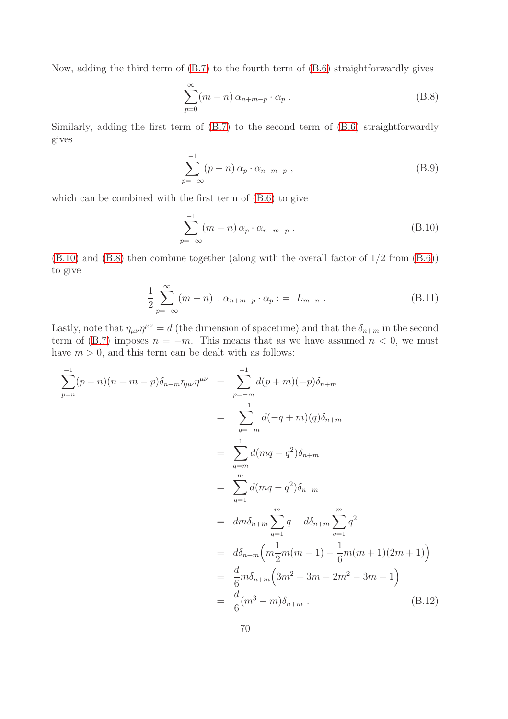Now, adding the third term of [\(B.7\)](#page-69-1) to the fourth term of [\(B.6\)](#page-69-2) straightforwardly gives

<span id="page-70-1"></span>
$$
\sum_{p=0}^{\infty} (m-n) \alpha_{n+m-p} \cdot \alpha_p .
$$
 (B.8)

Similarly, adding the first term of [\(B.7\)](#page-69-1) to the second term of [\(B.6\)](#page-69-2) straightforwardly gives

$$
\sum_{p=-\infty}^{-1} (p-n) \alpha_p \cdot \alpha_{n+m-p} , \qquad (B.9)
$$

which can be combined with the first term of [\(B.6\)](#page-69-2) to give

<span id="page-70-0"></span>
$$
\sum_{p=-\infty}^{-1} (m-n) \alpha_p \cdot \alpha_{n+m-p} . \tag{B.10}
$$

[\(B.10\)](#page-70-0) and [\(B.8\)](#page-70-1) then combine together (along with the overall factor of 1/2 from [\(B.6\)](#page-69-2)) to give

<span id="page-70-2"></span>
$$
\frac{1}{2} \sum_{p=-\infty}^{\infty} (m-n) : \alpha_{n+m-p} \cdot \alpha_p : = L_{m+n} . \tag{B.11}
$$

Lastly, note that  $\eta_{\mu\nu}\eta^{\mu\nu} = d$  (the dimension of spacetime) and that the  $\delta_{n+m}$  in the second term of [\(B.7\)](#page-69-1) imposes  $n = -m$ . This means that as we have assumed  $n < 0$ , we must have  $m > 0$ , and this term can be dealt with as follows:

$$
\sum_{p=n}^{-1} (p-n)(n+m-p)\delta_{n+m}\eta_{\mu\nu}\eta^{\mu\nu} = \sum_{p=-m}^{-1} d(p+m)(-p)\delta_{n+m}
$$
  
\n
$$
= \sum_{q=-m}^{-1} d(-q+m)(q)\delta_{n+m}
$$
  
\n
$$
= \sum_{q=m}^{-1} d(mq-q^2)\delta_{n+m}
$$
  
\n
$$
= \sum_{q=1}^{m} d(mq-q^2)\delta_{n+m}
$$
  
\n
$$
= dm\delta_{n+m} \sum_{q=1}^{m} q - d\delta_{n+m} \sum_{q=1}^{m} q^2
$$
  
\n
$$
= d\delta_{n+m} \left( m \frac{1}{2}m(m+1) - \frac{1}{6}m(m+1)(2m+1) \right)
$$
  
\n
$$
= \frac{d}{6}m\delta_{n+m} \left( 3m^2 + 3m - 2m^2 - 3m - 1 \right)
$$
  
\n
$$
= \frac{d}{6}(m^3 - m)\delta_{n+m} .
$$
 (B.12)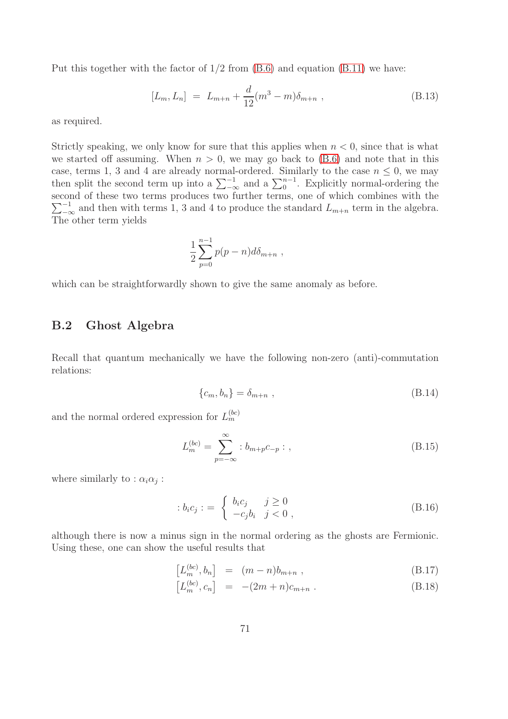Put this together with the factor of  $1/2$  from  $(B.6)$  and equation  $(B.11)$  we have:

$$
[L_m, L_n] = L_{m+n} + \frac{d}{12}(m^3 - m)\delta_{m+n} , \qquad (B.13)
$$

as required.

Strictly speaking, we only know for sure that this applies when  $n < 0$ , since that is what we started off assuming. When  $n > 0$ , we may go back to  $(B.6)$  and note that in this case, terms 1, 3 and 4 are already normal-ordered. Similarly to the case  $n \leq 0$ , we may then split the second term up into a  $\sum_{-\infty}^{-1}$  and a  $\sum_{0}^{n-1}$ . Explicitly normal-ordering the second of these two terms produces two further terms, one of w hich combines with the  $\sum_{n=-\infty}^{-1}$  and then with terms 1, 3 and 4 to produce the standard  $L_{m+n}$  term in the algebra. The other term yields

$$
\frac{1}{2}\sum_{p=0}^{n-1}p(p-n)d\delta_{m+n} ,
$$

which can be straightforwardly shown to give the same anomaly as before.

### B.2 Ghost Algebra

Recall that quantum mechanically we have the following non-zero (anti)-commutation relations:

$$
\{c_m, b_n\} = \delta_{m+n} \tag{B.14}
$$

and the normal ordered expression for  $L_m^{(bc)}$ 

$$
L_m^{(bc)} = \sum_{p=-\infty}^{\infty} :b_{m+p}c_{-p}: \qquad (B.15)
$$

where similarly to :  $\alpha_i \alpha_j$ :

$$
:b_i c_j: = \begin{cases} b_i c_j & j \ge 0\\ -c_j b_i & j < 0 \end{cases}, \tag{B.16}
$$

although there is now a minus sign in the normal ordering as the ghosts are Fermionic. Using these, one can show the useful results that

$$
\left[L_m^{(bc)}, b_n\right] = (m-n)b_{m+n} ,\qquad (B.17)
$$

$$
[L_m^{(bc)}, c_n] = -(2m+n)c_{m+n} .
$$
 (B.18)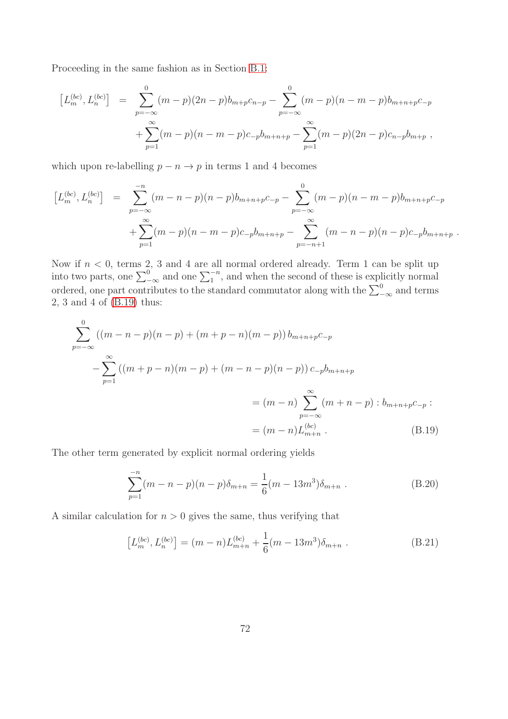Proceeding in the same fashion as in Section [B.1:](#page-68-0)

$$
[L_m^{(bc)}, L_n^{(bc)}] = \sum_{p=-\infty}^{0} (m-p)(2n-p)b_{m+p}c_{n-p} - \sum_{p=-\infty}^{0} (m-p)(n-m-p)b_{m+n+p}c_{-p} + \sum_{p=1}^{\infty} (m-p)(n-m-p)c_{-p}b_{m+n+p} - \sum_{p=1}^{\infty} (m-p)(2n-p)c_{n-p}b_{m+p} ,
$$

which upon re-labelling  $p - n \rightarrow p$  in terms 1 and 4 becomes

$$
[L_m^{(bc)}, L_n^{(bc)}] = \sum_{p=-\infty}^{-n} (m-n-p)(n-p)b_{m+n+p}c_{-p} - \sum_{p=-\infty}^{0} (m-p)(n-m-p)b_{m+n+p}c_{-p} + \sum_{p=1}^{\infty} (m-p)(n-m-p)c_{-p}b_{m+n+p} - \sum_{p=-n+1}^{\infty} (m-n-p)(n-p)c_{-p}b_{m+n+p}.
$$

Now if  $n < 0$ , terms 2, 3 and 4 are all normal ordered already. Term 1 can be split up into two parts, one  $\sum_{-\infty}^{0}$  and one  $\sum_{1}^{-n}$ , and when the second of these is explicitly normal ordered, one part contributes to the standard commutator along with the  $\sum_{-\infty}^{0}$  and terms 2, 3 and 4 of [\(B.19\)](#page-72-0) thus:

<span id="page-72-0"></span>
$$
\sum_{p=-\infty}^{0} ((m-n-p)(n-p) + (m+p-n)(m-p)) b_{m+n+p} c_{-p}
$$
  
-\n
$$
\sum_{p=1}^{\infty} ((m+p-n)(m-p) + (m-n-p)(n-p)) c_{-p} b_{m+n+p}
$$
  
= (m-n) 
$$
\sum_{p=-\infty}^{\infty} (m+n-p) : b_{m+n+p} c_{-p} :
$$
  
= (m-n) L<sup>(bc)</sup><sub>m+n</sub>. (B.19)

The other term generated by explicit normal ordering yields

$$
\sum_{p=1}^{-n} (m - n - p)(n - p)\delta_{m+n} = \frac{1}{6}(m - 13m^3)\delta_{m+n} .
$$
 (B.20)

A similar calculation for  $n > 0$  gives the same, thus verifying that

$$
[L_m^{(bc)}, L_n^{(bc)}] = (m - n)L_{m+n}^{(bc)} + \frac{1}{6}(m - 13m^3)\delta_{m+n} .
$$
 (B.21)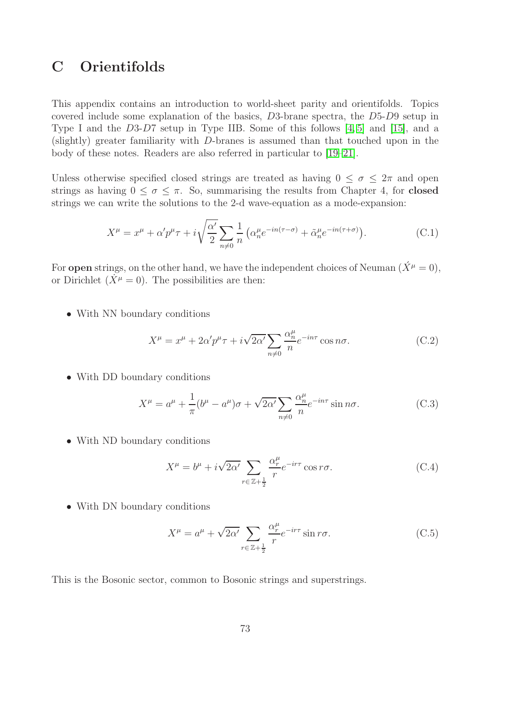# C Orientifolds

This appendix contains an introduction to world-sheet parity and orientifolds. Topics covered include some explanation of the basics, D3-brane spectra, the D5-D9 setup in Type I and the D3-D7 setup in Type IIB. Some of this follows [\[4,](#page-99-0) [5\]](#page-99-1) and [\[15\]](#page-99-2), and a (slightly) greater familiarity with D-branes is assumed than that touched upon in the body of these notes. Readers are also referred in particular to [\[19–](#page-100-0)[21\]](#page-100-1).

Unless otherwise specified closed strings are treated as having  $0 \leq \sigma \leq 2\pi$  and open strings as having  $0 \leq \sigma \leq \pi$ . So, summarising the results from Chapter 4, for **closed** strings we can write the solutions to the 2-d wave-equation as a mode-expansion:

$$
X^{\mu} = x^{\mu} + \alpha' p^{\mu} \tau + i \sqrt{\frac{\alpha'}{2}} \sum_{n \neq 0} \frac{1}{n} \left( \alpha_n^{\mu} e^{-in(\tau - \sigma)} + \tilde{\alpha}_n^{\mu} e^{-in(\tau + \sigma)} \right).
$$
 (C.1)

For **open** strings, on the other hand, we have the independent choices of Neuman  $(\acute{X}^{\mu} = 0)$ , or Dirichlet  $(X^{\mu} = 0)$ . The possibilities are then:

• With NN boundary conditions

<span id="page-73-0"></span>
$$
X^{\mu} = x^{\mu} + 2\alpha' p^{\mu} \tau + i\sqrt{2\alpha'} \sum_{n \neq 0} \frac{\alpha_n^{\mu}}{n} e^{-in\tau} \cos n\sigma.
$$
 (C.2)

• With DD boundary conditions

$$
X^{\mu} = a^{\mu} + \frac{1}{\pi} (b^{\mu} - a^{\mu}) \sigma + \sqrt{2\alpha'} \sum_{n \neq 0} \frac{\alpha_n^{\mu}}{n} e^{-in\tau} \sin n\sigma.
$$
 (C.3)

• With ND boundary conditions

$$
X^{\mu} = b^{\mu} + i\sqrt{2\alpha'} \sum_{r \in \mathbb{Z} + \frac{1}{2}} \frac{\alpha_r^{\mu}}{r} e^{-ir\tau} \cos r\sigma.
$$
 (C.4)

• With DN boundary conditions

<span id="page-73-1"></span>
$$
X^{\mu} = a^{\mu} + \sqrt{2\alpha'} \sum_{r \in \mathbb{Z} + \frac{1}{2}} \frac{\alpha_r^{\mu}}{r} e^{-ir\tau} \sin r\sigma.
$$
 (C.5)

This is the Bosonic sector, common to Bosonic strings and superstrings.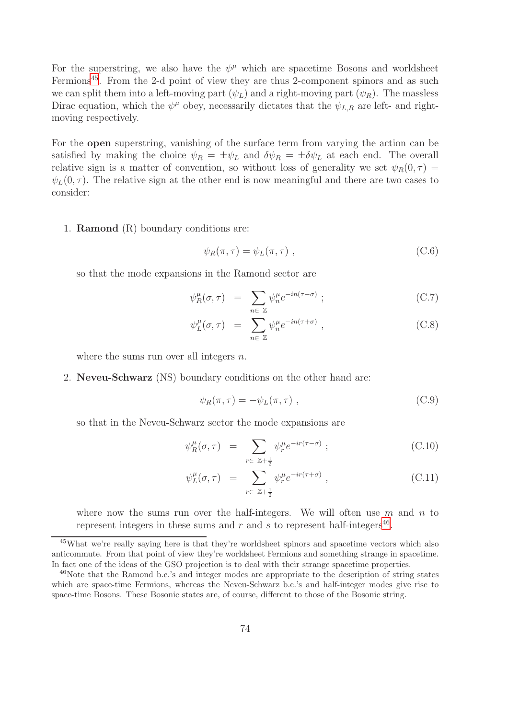For the superstring, we also have the  $\psi^{\mu}$  which are spacetime Bosons and worldsheet Fermions[45](#page-74-0). From the 2-d point of view they are thus 2-component spinors and as such we can split them into a left-moving part  $(\psi_L)$  and a right-moving part  $(\psi_R)$ . The massless Dirac equation, which the  $\psi^{\mu}$  obey, necessarily dictates that the  $\psi_{L,R}$  are left- and rightmoving respectively.

For the open superstring, vanishing of the surface term from varying the action can be satisfied by making the choice  $\psi_R = \pm \psi_L$  and  $\delta \psi_R = \pm \delta \psi_L$  at each end. The overall relative sign is a matter of convention, so without loss of generality we set  $\psi_R(0, \tau) =$  $\psi_L(0, \tau)$ . The relative sign at the other end is now meaningful and there are two cases to consider:

1. Ramond (R) boundary conditions are:

$$
\psi_R(\pi,\tau) = \psi_L(\pi,\tau) \tag{C.6}
$$

so that the mode expansions in the Ramond sector are

$$
\psi_R^{\mu}(\sigma, \tau) = \sum_{n \in \mathbb{Z}} \psi_n^{\mu} e^{-in(\tau - \sigma)} \tag{C.7}
$$

$$
\psi_L^{\mu}(\sigma, \tau) = \sum_{n \in \mathbb{Z}} \psi_n^{\mu} e^{-in(\tau + \sigma)}, \qquad (C.8)
$$

where the sums run over all integers  $n$ .

2. Neveu-Schwarz (NS) boundary conditions on the other hand are:

$$
\psi_R(\pi, \tau) = -\psi_L(\pi, \tau) , \qquad (C.9)
$$

so that in the Neveu-Schwarz sector the mode expansions are

$$
\psi_R^{\mu}(\sigma, \tau) = \sum_{r \in \mathbb{Z} + \frac{1}{2}} \psi_r^{\mu} e^{-ir(\tau - \sigma)} \tag{C.10}
$$

$$
\psi_L^{\mu}(\sigma, \tau) = \sum_{r \in \mathbb{Z} + \frac{1}{2}} \psi_r^{\mu} e^{-ir(\tau + \sigma)}, \qquad (C.11)
$$

where now the sums run over the half-integers. We will often use  $m$  and  $n$  to represent integers in these sums and  $r$  and  $s$  to represent half-integers<sup>[46](#page-74-1)</sup>.

<span id="page-74-0"></span><sup>45</sup>What we're really saying here is that they're worldsheet spinors and spacetime vectors which also anticommute. From that point of view they're worldsheet Fermions and something strange in spacetime. In fact one of the ideas of the GSO projection is to deal with their strange spacetime properties.

<span id="page-74-1"></span><sup>&</sup>lt;sup>46</sup>Note that the Ramond b.c.'s and integer modes are appropriate to the description of string states which are space-time Fermions, whereas the Neveu-Schwarz b.c.'s and half-integer modes give rise to space-time Bosons. These Bosonic states are, of course, different to those of the Bosonic string.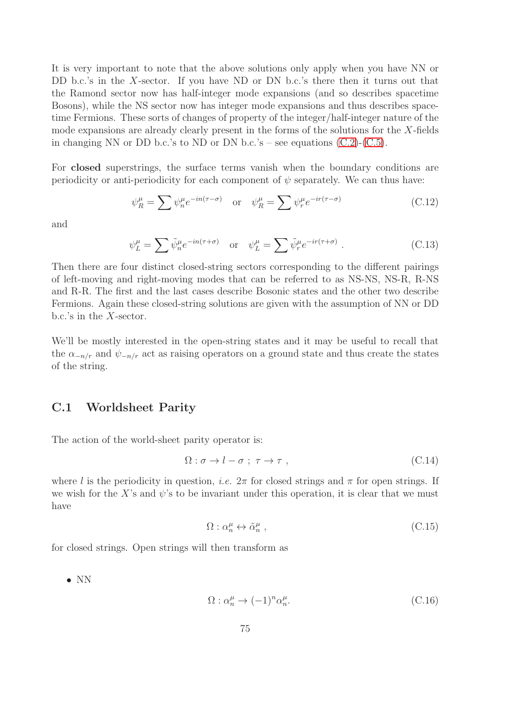It is very important to note that the above solutions only apply when you have NN or DD b.c.'s in the X-sector. If you have ND or DN b.c.'s there then it turns out that the Ramond sector now has half-integer mode expansions (and so describes spacetime Bosons), while the NS sector now has integer mode expansions and thus describes spacetime Fermions. These sorts of changes of property of the integer/half-integer nature of the mode expansions are already clearly present in the forms of the solutions for the X-fields in changing NN or DD b.c.'s to ND or DN b.c.'s – see equations  $(C.2)$ - $(C.5)$ .

For closed superstrings, the surface terms vanish when the boundary conditions are periodicity or anti-periodicity for each component of  $\psi$  separately. We can thus have:

$$
\psi_R^{\mu} = \sum \psi_n^{\mu} e^{-in(\tau - \sigma)} \quad \text{or} \quad \psi_R^{\mu} = \sum \psi_r^{\mu} e^{-ir(\tau - \sigma)} \tag{C.12}
$$

and

$$
\psi_L^{\mu} = \sum \tilde{\psi}_n^{\mu} e^{-in(\tau + \sigma)} \quad \text{or} \quad \psi_L^{\mu} = \sum \tilde{\psi}_r^{\mu} e^{-ir(\tau + \sigma)} \ . \tag{C.13}
$$

Then there are four distinct closed-string sectors corresponding to the different pairings of left-moving and right-moving modes that can be referred to as NS-NS, NS-R, R-NS and R-R. The first and the last cases describe Bosonic states and the other two describe Fermions. Again these closed-string solutions are given with the assumption of NN or DD b.c.'s in the X-sector.

We'll be mostly interested in the open-string states and it may be useful to recall that the  $\alpha_{-n/r}$  and  $\psi_{-n/r}$  act as raising operators on a ground state and thus create the states of the string.

## C.1 Worldsheet Parity

The action of the world-sheet parity operator is:

$$
\Omega: \sigma \to l - \sigma \; ; \; \tau \to \tau \; , \tag{C.14}
$$

where l is the periodicity in question, *i.e.*  $2\pi$  for closed strings and  $\pi$  for open strings. If we wish for the X's and  $\psi$ 's to be invariant under this operation, it is clear that we must have

$$
\Omega: \alpha_n^{\mu} \leftrightarrow \tilde{\alpha}_n^{\mu} ,\qquad (C.15)
$$

for closed strings. Open strings will then transform as

• NN

$$
\Omega: \alpha_n^{\mu} \to (-1)^n \alpha_n^{\mu}.
$$
\n(C.16)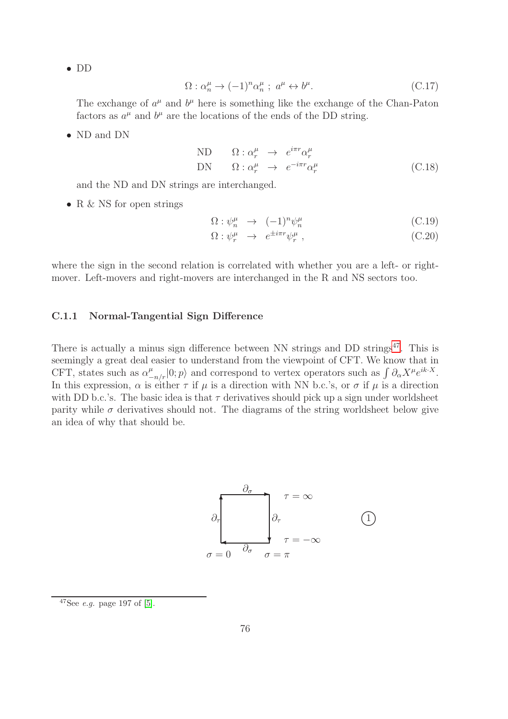• DD

$$
\Omega: \alpha_n^{\mu} \to (-1)^n \alpha_n^{\mu} \; ; \; a^{\mu} \leftrightarrow b^{\mu}.
$$
 (C.17)

The exchange of  $a^{\mu}$  and  $b^{\mu}$  here is something like the exchange of the Chan-Paton factors as  $a^{\mu}$  and  $b^{\mu}$  are the locations of the ends of the DD string.

• ND and DN

<span id="page-76-1"></span>ND 
$$
\Omega: \alpha_r^{\mu} \to e^{i\pi r} \alpha_r^{\mu}
$$
  
DN  $\Omega: \alpha_r^{\mu} \to e^{-i\pi r} \alpha_r^{\mu}$  (C.18)

and the ND and DN strings are interchanged.

• R & NS for open strings

$$
\Omega: \psi_n^{\mu} \to (-1)^n \psi_n^{\mu}
$$
\n(C.19)

$$
\Omega: \psi_r^{\mu} \to e^{\pm i\pi r} \psi_r^{\mu} , \qquad (C.20)
$$

where the sign in the second relation is correlated with whether you are a left- or rightmover. Left-movers and right-movers are interchanged in the R and NS sectors too.

#### C.1.1 Normal-Tangential Sign Difference

There is actually a minus sign difference between NN strings and DD strings $47$ . This is seemingly a great deal easier to understand from the viewpoint of CFT. We know that in CFT, states such as  $\alpha_{-n/r}^{\mu}|0;p\rangle$  and correspond to vertex operators such as  $\int \partial_{\alpha} X^{\mu} e^{ik \cdot X}$ . In this expression,  $\alpha$  is either  $\tau$  if  $\mu$  is a direction with NN b.c.'s, or  $\sigma$  if  $\mu$  is a direction with DD b.c.'s. The basic idea is that  $\tau$  derivatives should pick up a sign under worldsheet parity while  $\sigma$  derivatives should not. The diagrams of the string worldsheet below give an idea of why that should be.



<span id="page-76-0"></span> $47$ See *e.g.* page 197 of [\[5\]](#page-99-1).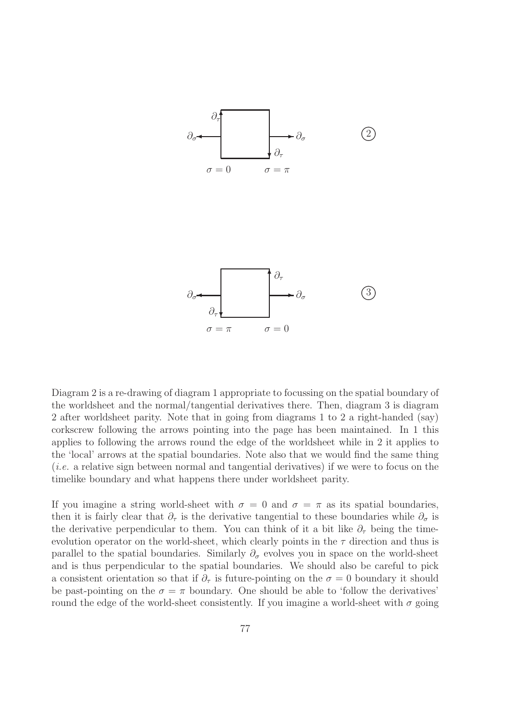

Diagram 2 is a re-drawing of diagram 1 appropriate to focussing on the spatial boundary of the worldsheet and the normal/tangential derivatives there. Then, diagram 3 is diagram 2 after worldsheet parity. Note that in going from diagrams 1 to 2 a right-handed (say) corkscrew following the arrows pointing into the page has been maintained. In 1 this applies to following the arrows round the edge of the worldsheet while in 2 it applies to the 'local' arrows at the spatial boundaries. Note also that we would find the same thing (*i.e.* a relative sign between normal and tangential derivatives) if we were to focus on the timelike boundary and what happens there under worldsheet parity.

If you imagine a string world-sheet with  $\sigma = 0$  and  $\sigma = \pi$  as its spatial boundaries, then it is fairly clear that  $\partial_{\tau}$  is the derivative tangential to these boundaries while  $\partial_{\sigma}$  is the derivative perpendicular to them. You can think of it a bit like  $\partial_{\tau}$  being the timeevolution operator on the world-sheet, which clearly points in the  $\tau$  direction and thus is parallel to the spatial boundaries. Similarly  $\partial_{\sigma}$  evolves you in space on the world-sheet and is thus perpendicular to the spatial boundaries. We should also be careful to pick a consistent orientation so that if  $\partial_{\tau}$  is future-pointing on the  $\sigma = 0$  boundary it should be past-pointing on the  $\sigma = \pi$  boundary. One should be able to 'follow the derivatives' round the edge of the world-sheet consistently. If you imagine a world-sheet with  $\sigma$  going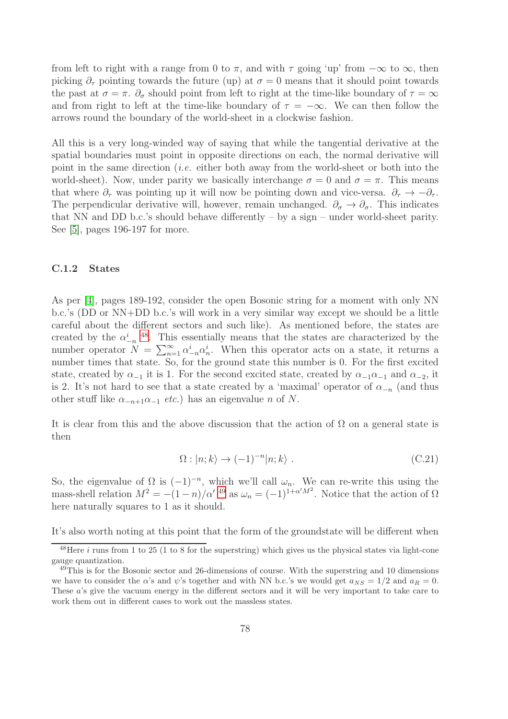from left to right with a range from 0 to  $\pi$ , and with  $\tau$  going 'up' from  $-\infty$  to  $\infty$ , then picking  $\partial_{\tau}$  pointing towards the future (up) at  $\sigma = 0$  means that it should point towards the past at  $\sigma = \pi$ .  $\partial_{\sigma}$  should point from left to right at the time-like boundary of  $\tau = \infty$ and from right to left at the time-like boundary of  $\tau = -\infty$ . We can then follow the arrows round the boundary of the world-sheet in a clockwise fashion.

All this is a very long-winded way of saying that while the tangential derivative at the spatial boundaries must point in opposite directions on each, the normal derivative will point in the same direction (*i.e.* either both away from the world-sheet or both into the world-sheet). Now, under parity we basically interchange  $\sigma = 0$  and  $\sigma = \pi$ . This means that where  $\partial_{\tau}$  was pointing up it will now be pointing down and vice-versa.  $\partial_{\tau} \to -\partial_{\tau}$ . The perpendicular derivative will, however, remain unchanged.  $\partial_{\sigma} \to \partial_{\sigma}$ . This indicates that NN and DD b.c.'s should behave differently – by a sign – under world-sheet parity. See [\[5\]](#page-99-1), pages 196-197 for more.

#### C.1.2 States

As per [\[4\]](#page-99-0), pages 189-192, consider the open Bosonic string for a moment with only NN b.c.'s (DD or NN+DD b.c.'s will work in a very similar way except we should be a little careful about the different sectors and such like). As mentioned before, the states are created by the  $\alpha_{-n}^i$ <sup>[48](#page-78-0)</sup>. This essentially means that the states are characterized by the number operator  $N = \sum_{n=1}^{\infty} \alpha_{-n}^{i} \alpha_{n}^{i}$ . When this operator acts on a state, it returns a number times that state. So, for the ground state this number is 0. For the first excited state, created by  $\alpha_{-1}$  it is 1. For the second excited state, created by  $\alpha_{-1}\alpha_{-1}$  and  $\alpha_{-2}$ , it is 2. It's not hard to see that a state created by a 'maximal' operator of  $\alpha_{-n}$  (and thus other stuff like  $\alpha_{-n+1}\alpha_{-1}$  *etc.*) has an eigenvalue n of N.

It is clear from this and the above discussion that the action of  $\Omega$  on a general state is then

$$
\Omega : |n; k\rangle \to (-1)^{-n} |n; k\rangle . \tag{C.21}
$$

So, the eigenvalue of  $\Omega$  is  $(-1)^{-n}$ , which we'll call  $\omega_n$ . We can re-write this using the mass-shell relation  $M^2 = -(1-n)/\alpha'$  <sup>[49](#page-78-1)</sup> as  $\omega_n = (-1)^{1+\alpha'M^2}$ . Notice that the action of  $\Omega$ here naturally squares to 1 as it should.

It's also worth noting at this point that the form of the groundstate will be different when

<span id="page-78-0"></span> $48$ Here *i* runs from 1 to 25 (1 to 8 for the superstring) which gives us the physical states via light-cone gauge quantization.

<span id="page-78-1"></span><sup>&</sup>lt;sup>49</sup>This is for the Bosonic sector and 26-dimensions of course. With the superstring and 10 dimensions we have to consider the  $\alpha$ 's and  $\psi$ 's together and with NN b.c.'s we would get  $a_{NS} = 1/2$  and  $a_R = 0$ . These a's give the vacuum energy in the different sectors and it will be very important to take care to work them out in different cases to work out the massless states.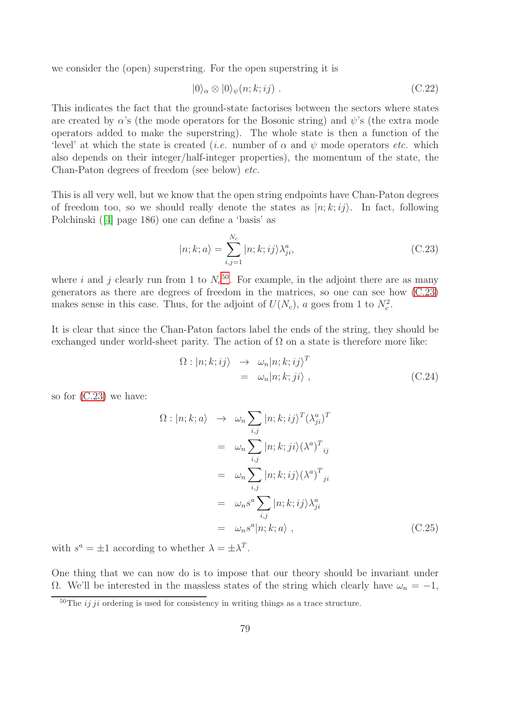we consider the (open) superstring. For the open superstring it is

$$
|0\rangle_{\alpha} \otimes |0\rangle_{\psi}(n;k;ij) . \tag{C.22}
$$

This indicates the fact that the ground-state factorises between the sectors where states are created by  $\alpha$ 's (the mode operators for the Bosonic string) and  $\psi$ 's (the extra mode operators added to make the superstring). The whole state is then a function of the 'level' at which the state is created (*i.e.* number of  $\alpha$  and  $\psi$  mode operators *etc.* which also depends on their integer/half-integer properties), the momentum of the state, the Chan-Paton degrees of freedom (see below) *etc.*

This is all very well, but we know that the open string endpoints have Chan-Paton degrees of freedom too, so we should really denote the states as  $|n; k; i\rangle$ . In fact, following Polchinski([\[4\]](#page-99-0) page 186) one can define a 'basis' as

<span id="page-79-1"></span>
$$
|n; k; a\rangle = \sum_{i,j=1}^{N_c} |n; k; ij\rangle \lambda_{ji}^a,
$$
 (C.23)

where i and j clearly run from 1 to  $N_c^{50}$  $N_c^{50}$  $N_c^{50}$ . For example, in the adjoint there are as many generators as there are degrees of freedom in the matrices, so one can see how [\(C.23\)](#page-79-1) makes sense in this case. Thus, for the adjoint of  $U(N_c)$ , a goes from 1 to  $N_c^2$ .

It is clear that since the Chan-Paton factors label the ends of the string, they should be exchanged under world-sheet parity. The action of  $\Omega$  on a state is therefore more like:

$$
\Omega : |n; k; i j\rangle \rightarrow \omega_n |n; k; i j\rangle^T \n= \omega_n |n; k; j i\rangle , \qquad (C.24)
$$

so for [\(C.23\)](#page-79-1) we have:

<span id="page-79-2"></span>
$$
\Omega: |n; k; a\rangle \rightarrow \omega_n \sum_{i,j} |n; k; ij\rangle^T (\lambda_{ji}^a)^T
$$
  
\n
$$
= \omega_n \sum_{i,j} |n; k; ji\rangle (\lambda^a)^T_{ij}
$$
  
\n
$$
= \omega_n \sum_{i,j} |n; k; ij\rangle (\lambda^a)^T_{ji}
$$
  
\n
$$
= \omega_n s^a \sum_{i,j} |n; k; ij\rangle \lambda_{ji}^a
$$
  
\n
$$
= \omega_n s^a |n; k; a\rangle , \qquad (C.25)
$$

with  $s^a = \pm 1$  according to whether  $\lambda = \pm \lambda^T$ .

One thing that we can now do is to impose that our theory should be invariant under  $Ω$ . We'll be interested in the massless states of the string which clearly have  $ω_n = -1$ ,

<span id="page-79-0"></span> $\frac{50}{T}$  The *ij ji* ordering is used for consistency in writing things as a trace structure.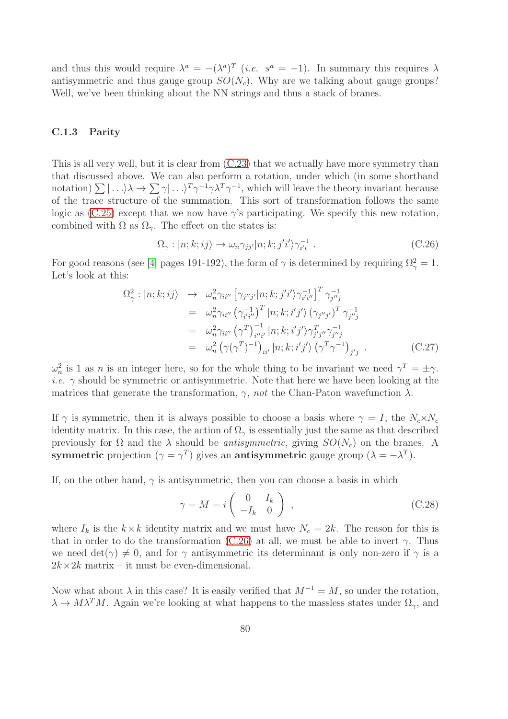and thus this would require  $\lambda^a = -(\lambda^a)^T$  *(i.e.*  $s^a = -1$ ). In summary this requires  $\lambda$ antisymmetric and thus gauge group  $SO(N_c)$ . Why are we talking about gauge groups? Well, we've been thinking about the NN strings and thus a stack of branes.

#### C.1.3 Parity

This is all very well, but it is clear from [\(C.23\)](#page-79-1) that we actually have more symmetry than that discussed above. We can also perform a rotation, under which (in some shorthand notation)  $\sum |\ldots\rangle \lambda \to \sum \gamma |\ldots\rangle^T \gamma^{-1} \gamma \lambda^T \gamma^{-1}$ , which will leave the theory invariant because of the trace structure of the summation. This sort of transformation follows the same logic as  $(C.25)$  except that we now have  $\gamma$ 's participating. We specify this new rotation, combined with  $\Omega$  as  $\Omega_{\gamma}$ . The effect on the states is:

<span id="page-80-0"></span>
$$
\Omega_{\gamma} : |n; k; i j\rangle \to \omega_n \gamma_{j j'} |n; k; j' i'\rangle \gamma_{i'i}^{-1} . \tag{C.26}
$$

For good reasons (see [\[4\]](#page-99-0) pages 191-192), the form of  $\gamma$  is determined by requiring  $\Omega_{\gamma}^2 = 1$ . Let's look at this:

$$
\Omega_{\gamma}^{2}: |n; k; i j\rangle \rightarrow \omega_{n}^{2} \gamma_{i i''} \left[\gamma_{j'' j'} |n; k; j' i'\rangle \gamma_{i' i''}^{-1}\right]^{T} \gamma_{j'' j}^{-1}
$$
\n
$$
= \omega_{n}^{2} \gamma_{i i''} \left(\gamma_{i' i''}^{-1}\right)^{T} |n; k; i' j'\rangle \left(\gamma_{j'' j'}\right)^{T} \gamma_{j'' j}^{-1}
$$
\n
$$
= \omega_{n}^{2} \gamma_{i i''} \left(\gamma^{T}\right)_{i'' i'}^{-1} |n; k; i' j'\rangle \gamma_{j' j''}^{T} \gamma_{j'' j}^{-1}
$$
\n
$$
= \omega_{n}^{2} \left(\gamma(\gamma^{T})^{-1}\right)_{i i'} |n; k; i' j'\rangle \left(\gamma^{T} \gamma^{-1}\right)_{j' j} .
$$
\n(C.27)

 $\omega_n^2$  is 1 as *n* is an integer here, so for the whole thing to be invariant we need  $\gamma^T = \pm \gamma$ . *i.e.*  $\gamma$  should be symmetric or antisymmetric. Note that here we have been looking at the matrices that generate the transformation,  $\gamma$ , *not* the Chan-Paton wavefunction  $\lambda$ .

If  $\gamma$  is symmetric, then it is always possible to choose a basis where  $\gamma = I$ , the  $N_c \times N_c$ identity matrix. In this case, the action of  $\Omega_{\gamma}$  is essentially just the same as that described previously for  $\Omega$  and the  $\lambda$  should be *antisymmetric*, giving  $SO(N_c)$  on the branes. A symmetric projection  $(\gamma = \gamma^T)$  gives an **antisymmetric** gauge group  $(\lambda = -\lambda^T)$ .

If, on the other hand,  $\gamma$  is antisymmetric, then you can choose a basis in which

$$
\gamma = M = i \begin{pmatrix} 0 & I_k \\ -I_k & 0 \end{pmatrix} , \qquad (C.28)
$$

where  $I_k$  is the  $k \times k$  identity matrix and we must have  $N_c = 2k$ . The reason for this is that in order to do the transformation [\(C.26\)](#page-80-0) at all, we must be able to invert  $\gamma$ . Thus we need  $\det(\gamma) \neq 0$ , and for  $\gamma$  antisymmetric its determinant is only non-zero if  $\gamma$  is a  $2k \times 2k$  matrix – it must be even-dimensional.

Now what about  $\lambda$  in this case? It is easily verified that  $M^{-1} = M$ , so under the rotation,  $\lambda \to M\lambda^T M$ . Again we're looking at what happens to the massless states under  $\Omega_{\gamma}$ , and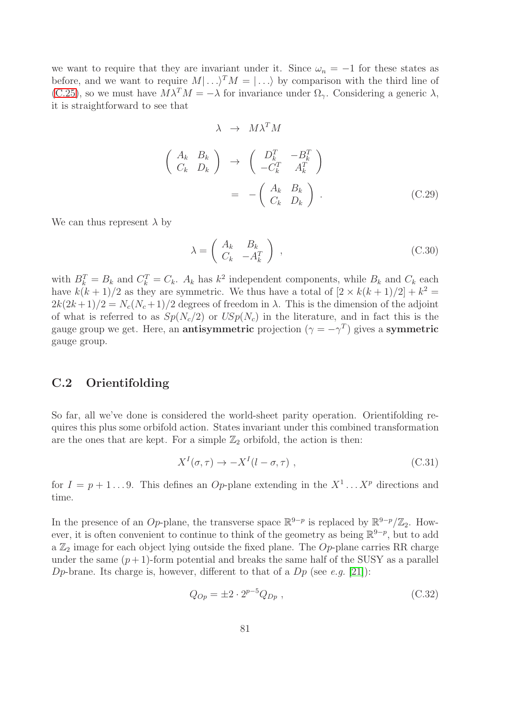we want to require that they are invariant under it. Since  $\omega_n = -1$  for these states as before, and we want to require  $M| \dots \rangle^T M = | \dots \rangle$  by comparison with the third line of [\(C.25\)](#page-79-2), so we must have  $M\lambda^T M = -\lambda$  for invariance under  $\Omega_{\gamma}$ . Considering a generic  $\lambda$ , it is straightforward to see that

$$
\lambda \rightarrow M\lambda^{T}M
$$
\n
$$
\begin{pmatrix}\nA_k & B_k \\
C_k & D_k\n\end{pmatrix} \rightarrow \begin{pmatrix}\nD_k^{T} & -B_k^{T} \\
-C_k^{T} & A_k^{T}\n\end{pmatrix}
$$
\n
$$
= -\begin{pmatrix}\nA_k & B_k \\
C_k & D_k\n\end{pmatrix}.
$$
\n(C.29)

We can thus represent  $\lambda$  by

$$
\lambda = \begin{pmatrix} A_k & B_k \\ C_k & -A_k^T \end{pmatrix} , \tag{C.30}
$$

with  $B_k^T = B_k$  and  $C_k^T = C_k$ .  $A_k$  has  $k^2$  independent components, while  $B_k$  and  $C_k$  each have  $k(k+1)/2$  as they are symmetric. We thus have a total of  $[2 \times k(k+1)/2] + k^2 =$  $2k(2k+1)/2 = N_c(N_c+1)/2$  degrees of freedom in  $\lambda$ . This is the dimension of the adjoint of what is referred to as  $Sp(N_c/2)$  or  $USp(N_c)$  in the literature, and in fact this is the gauge group we get. Here, an **antisymmetric** projection  $(\gamma = -\gamma^T)$  gives a **symmetric** gauge group.

## C.2 Orientifolding

So far, all we've done is considered the world-sheet parity operation. Orientifolding requires this plus some orbifold action. States invariant under this combined transformation are the ones that are kept. For a simple  $\mathbb{Z}_2$  orbifold, the action is then:

$$
X^{I}(\sigma,\tau) \to -X^{I}(l-\sigma,\tau) , \qquad (C.31)
$$

for  $I = p + 1...9$ . This defines an Op-plane extending in the  $X^1...X^p$  directions and time.

In the presence of an Op-plane, the transverse space  $\mathbb{R}^{9-p}$  is replaced by  $\mathbb{R}^{9-p}/\mathbb{Z}_2$ . However, it is often convenient to continue to think of the geometry as being  $\mathbb{R}^{9-p}$ , but to add a  $\mathbb{Z}_2$  image for each object lying outside the fixed plane. The Op-plane carries RR charge under the same  $(p+1)$ -form potential and breaks the same half of the SUSY as a parallel D<sub>p</sub>-brane. Its charge is, however, different to that of a  $Dp$  (see *e.g.* [\[21\]](#page-100-1)):

<span id="page-81-0"></span>
$$
Q_{Op} = \pm 2 \cdot 2^{p-5} Q_{Dp} , \qquad (C.32)
$$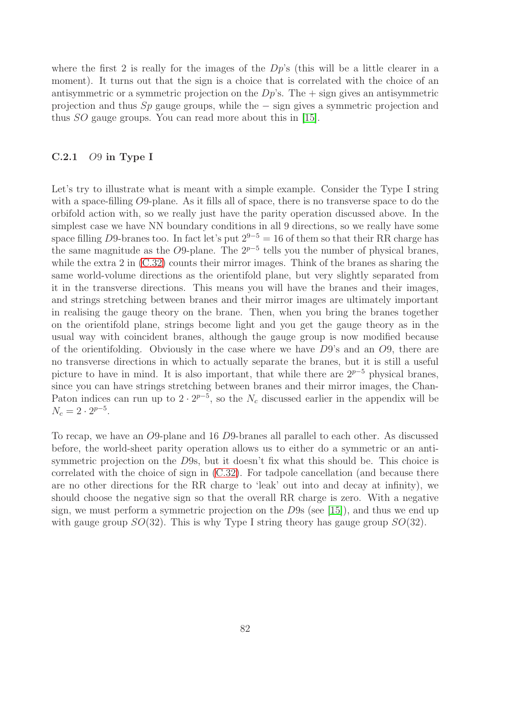where the first 2 is really for the images of the  $Dp$ 's (this will be a little clearer in a moment). It turns out that the sign is a choice that is correlated with the choice of an antisymmetric or a symmetric projection on the  $Dp$ 's. The  $+$  sign gives an antisymmetric projection and thus Sp gauge groups, while the − sign gives a symmetric projection and thus SO gauge groups. You can read more about this in [\[15\]](#page-99-2).

#### C.2.1 O9 in Type I

Let's try to illustrate what is meant with a simple example. Consider the Type I string with a space-filling O9-plane. As it fills all of space, there is no transverse space to do the orbifold action with, so we really just have the parity operation discussed above. In the simplest case we have NN boundary conditions in all 9 directions, so we really have some space filling D9-branes too. In fact let's put  $2^{9-5} = 16$  of them so that their RR charge has the same magnitude as the O9-plane. The  $2^{p-5}$  tells you the number of physical branes, while the extra 2 in  $(C.32)$  counts their mirror images. Think of the branes as sharing the same world-volume directions as the orientifold plane, but very slightly separated from it in the transverse directions. This means you will have the branes and their images, and strings stretching between branes and their mirror images are ultimately important in realising the gauge theory on the brane. Then, when you bring the branes together on the orientifold plane, strings become light and you get the gauge theory as in the usual way with coincident branes, although the gauge group is now modified because of the orientifolding. Obviously in the case where we have D9's and an O9, there are no transverse directions in which to actually separate the branes, but it is still a useful picture to have in mind. It is also important, that while there are  $2^{p-5}$  physical branes, since you can have strings stretching between branes and their mirror images, the Chan-Paton indices can run up to  $2 \cdot 2^{p-5}$ , so the  $N_c$  discussed earlier in the appendix will be  $N_c = 2 \cdot 2^{p-5}.$ 

To recap, we have an O9-plane and 16 D9-branes all parallel to each other. As discussed before, the world-sheet parity operation allows us to either do a symmetric or an antisymmetric projection on the D9s, but it doesn't fix what this should be. This choice is correlated with the choice of sign in [\(C.32\)](#page-81-0). For tadpole cancellation (and because there are no other directions for the RR charge to 'leak' out into and decay at infinity), we should choose the negative sign so that the overall RR charge is zero. With a negative sign, we must perform a symmetric projection on the D9s (see [\[15\]](#page-99-2)), and thus we end up with gauge group  $SO(32)$ . This is why Type I string theory has gauge group  $SO(32)$ .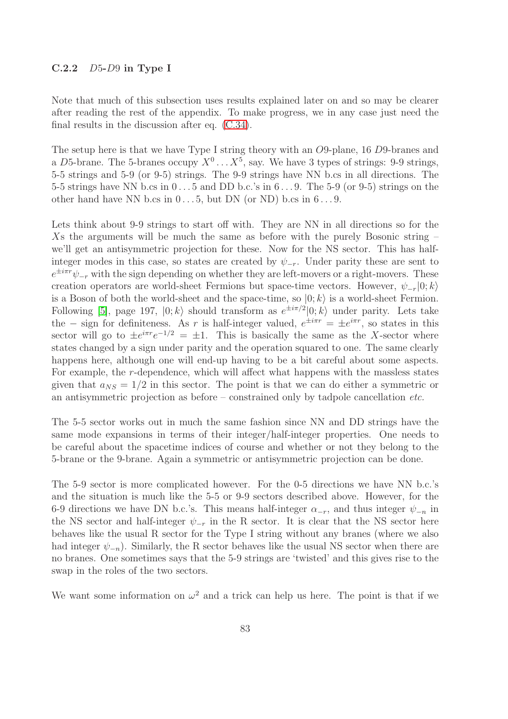#### $C.2.2$  D5-D9 in Type I

Note that much of this subsection uses results explained later on and so may be clearer after reading the rest of the appendix. To make progress, we in any case just need the final results in the discussion after eq. [\(C.34\)](#page-85-0).

The setup here is that we have Type I string theory with an O9-plane, 16 D9-branes and a D5-brane. The 5-branes occupy  $X^0 \dots X^5$ , say. We have 3 types of strings: 9-9 strings, 5-5 strings and 5-9 (or 9-5) strings. The 9-9 strings have NN b.cs in all directions. The 5-5 strings have NN b.cs in  $0 \ldots 5$  and DD b.c.'s in  $6 \ldots 9$ . The 5-9 (or 9-5) strings on the other hand have NN b.cs in  $0 \dots 5$ , but DN (or ND) b.cs in  $6 \dots 9$ .

Lets think about 9-9 strings to start off with. They are NN in all directions so for the Xs the arguments will be much the same as before with the purely Bosonic string – we'll get an antisymmetric projection for these. Now for the NS sector. This has halfinteger modes in this case, so states are created by  $\psi_{-r}$ . Under parity these are sent to  $e^{\pm i\pi r}\psi_{-r}$  with the sign depending on whether they are left-movers or a right-movers. These creation operators are world-sheet Fermions but space-time vectors. However,  $\psi_{-r}|0; k\rangle$ is a Boson of both the world-sheet and the space-time, so  $|0; k\rangle$  is a world-sheet Fermion. Following [\[5\]](#page-99-1), page 197,  $|0; k\rangle$  should transform as  $e^{\pm i\pi/2}|0; k\rangle$  under parity. Lets take the – sign for definiteness. As r is half-integer valued,  $e^{\pm i\pi r} = \pm e^{i\pi r}$ , so states in this sector will go to  $\pm e^{i\pi r}e^{-1/2} = \pm 1$ . This is basically the same as the X-sector where states changed by a sign under parity and the operation squared to one. The same clearly happens here, although one will end-up having to be a bit careful about some aspects. For example, the r-dependence, which will affect what happens with the massless states given that  $a_{NS} = 1/2$  in this sector. The point is that we can do either a symmetric or an antisymmetric projection as before – constrained only by tadpole cancellation *etc.*

The 5-5 sector works out in much the same fashion since NN and DD strings have the same mode expansions in terms of their integer/half-integer properties. One needs to be careful about the spacetime indices of course and whether or not they belong to the 5-brane or the 9-brane. Again a symmetric or antisymmetric projection can be done.

The 5-9 sector is more complicated however. For the 0-5 directions we have NN b.c.'s and the situation is much like the 5-5 or 9-9 sectors described above. However, for the 6-9 directions we have DN b.c.'s. This means half-integer  $\alpha_{-r}$ , and thus integer  $\psi_{-n}$  in the NS sector and half-integer  $\psi_{-r}$  in the R sector. It is clear that the NS sector here behaves like the usual R sector for the Type I string without any branes (where we also had integer  $\psi_{-n}$ ). Similarly, the R sector behaves like the usual NS sector when there are no branes. One sometimes says that the 5-9 strings are 'twisted' and this gives rise to the swap in the roles of the two sectors.

We want some information on  $\omega^2$  and a trick can help us here. The point is that if we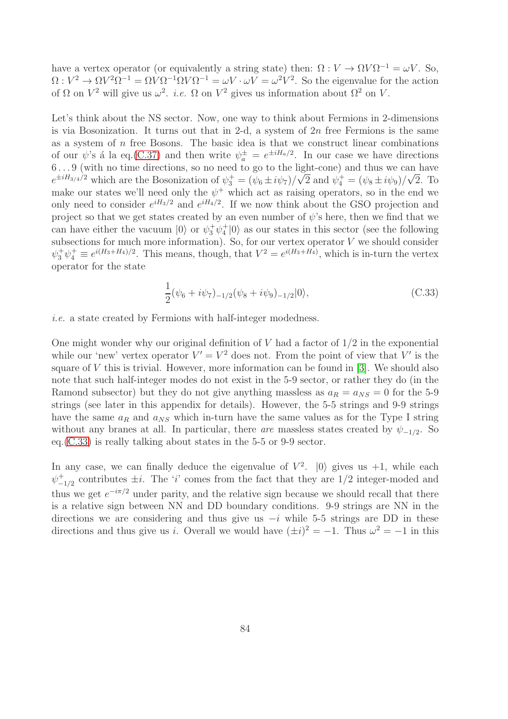have a vertex operator (or equivalently a string state) then:  $\Omega: V \to \Omega V \Omega^{-1} = \omega V$ . So,  $\Omega: V^2 \to \Omega V^2 \Omega^{-1} = \Omega V \Omega^{-1} \Omega V \Omega^{-1} = \omega V \cdot \omega V = \omega^2 V^2$ . So the eigenvalue for the action of  $\Omega$  on  $V^2$  will give us  $\omega^2$ . *i.e.*  $\Omega$  on  $V^2$  gives us information about  $\Omega^2$  on V.

Let's think about the NS sector. Now, one way to think about Fermions in 2-dimensions is via Bosonization. It turns out that in 2-d, a system of  $2n$  free Fermions is the same as a system of  $n$  free Bosons. The basic idea is that we construct linear combinations of our  $\psi$ 's á la eq.[\(C.37\)](#page-87-0) and then write  $\psi_a^{\pm} = e^{\pm iH_a/2}$ . In our case we have directions 6 . . . 9 (with no time directions, so no need to go to the light-cone) and thus we can have  $e^{\pm iH_{3/4}/2}$  which are the Bosonization of  $\psi_3^+ = (\psi_6 \pm i\psi_7)/\sqrt{2}$  and  $\psi_4^+ = (\psi_8 \pm i\psi_9)/\sqrt{2}$ . To make our states we'll need only the  $\psi^+$  which act as raising operators, so in the end we only need to consider  $e^{iH_3/2}$  and  $e^{iH_4/2}$ . If we now think about the GSO projection and project so that we get states created by an even number of  $\psi$ 's here, then we find that we can have either the vacuum  $|0\rangle$  or  $\psi_3^+\psi_4^+|0\rangle$  as our states in this sector (see the following subsections for much more information). So, for our vertex operator  $V$  we should consider  $\psi_3^+ \psi_4^+ \equiv e^{i(H_3 + H_4)/2}$ . This means, though, that  $V^2 = e^{i(H_3 + H_4)}$ , which is in-turn the vertex operator for the state

<span id="page-84-0"></span>
$$
\frac{1}{2}(\psi_6 + i\psi_7)_{-1/2}(\psi_8 + i\psi_9)_{-1/2}|0\rangle, \tag{C.33}
$$

*i.e.* a state created by Fermions with half-integer modedness.

One might wonder why our original definition of  $V$  had a factor of  $1/2$  in the exponential while our 'new' vertex operator  $V' = V^2$  does not. From the point of view that V' is the square of  $V$  this is trivial. However, more information can be found in [\[3\]](#page-99-3). We should also note that such half-integer modes do not exist in the 5-9 sector, or rather they do (in the Ramond subsector) but they do not give anything massless as  $a_R = a_{NS} = 0$  for the 5-9 strings (see later in this appendix for details). However, the 5-5 strings and 9-9 strings have the same  $a_R$  and  $a_{NS}$  which in-turn have the same values as for the Type I string without any branes at all. In particular, there *are* massless states created by  $\psi_{-1/2}$ . So eq.[\(C.33\)](#page-84-0) is really talking about states in the 5-5 or 9-9 sector.

In any case, we can finally deduce the eigenvalue of  $V^2$ .  $|0\rangle$  gives us +1, while each  $\psi_{-}^+$  $_{-1/2}^{+}$  contributes  $\pm i$ . The 'i' comes from the fact that they are 1/2 integer-moded and thus we get  $e^{-i\pi/2}$  under parity, and the relative sign because we should recall that there is a relative sign between NN and DD boundary conditions. 9-9 strings are NN in the directions we are considering and thus give us  $-i$  while 5-5 strings are DD in these directions and thus give us *i*. Overall we would have  $(\pm i)^2 = -1$ . Thus  $\omega^2 = -1$  in this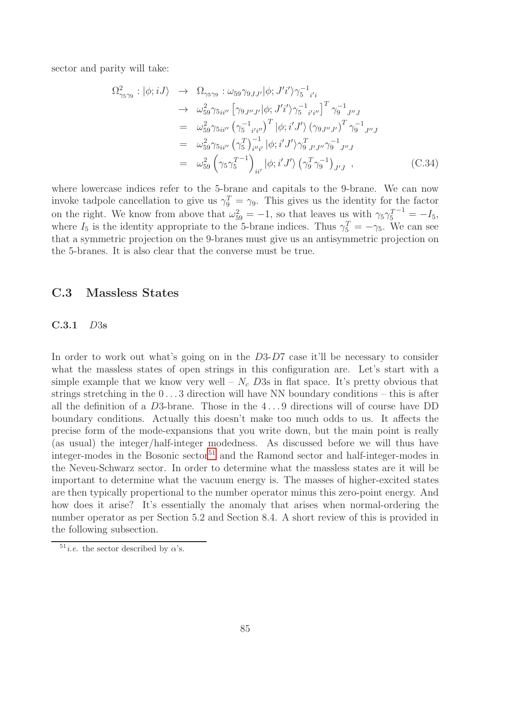sector and parity will take:

<span id="page-85-0"></span>
$$
\Omega_{\gamma_5\gamma_9}^2 : |\phi; iJ\rangle \rightarrow \Omega_{\gamma_5\gamma_9} : \omega_{59}\gamma_{9JJ'}|\phi; J'i'\rangle\gamma_5^{-1}{}_{i'i}
$$
  
\n
$$
\rightarrow \omega_{59}^2\gamma_{5ii''} [\gamma_{9J''J'}|\phi; J'i'\rangle\gamma_5^{-1}{}_{i'i''}]^T \gamma_9^{-1}{}_{J''J}
$$
  
\n
$$
= \omega_{59}^2\gamma_{5ii''} (\gamma_5^{-1}{}_{i'i''})^T |\phi; i'J'\rangle (\gamma_{9J''J'})^T \gamma_9^{-1}{}_{J''J}
$$
  
\n
$$
= \omega_{59}^2\gamma_{5ii''} (\gamma_5^T)^{-1}{}_{i'i'} |\phi; i'J'\rangle\gamma_9^T{}_{J'J''}\gamma_9^{-1}{}_{J''J}
$$
  
\n
$$
= \omega_{59}^2 (\gamma_5\gamma_5^{T-1}){}_{ii'} |\phi; i'J'\rangle (\gamma_9^T\gamma_9^{-1})_{J'J} ,
$$
 (C.34)

where lowercase indices refer to the 5-brane and capitals to the 9-brane. We can now invoke tadpole cancellation to give us  $\gamma_9^T = \gamma_9$ . This gives us the identity for the factor on the right. We know from above that  $\omega_{59}^2 = -1$ , so that leaves us with  $\gamma_5 \gamma_5^{T-1} = -I_5$ , where  $I_5$  is the identity appropriate to the 5-brane indices. Thus  $\gamma_5^T = -\gamma_5$ . We can see that a symmetric projection on the 9-branes must give us an antisymmetric projection on the 5-branes. It is also clear that the converse must be true.

#### C.3 Massless States

#### C.3.1 D3s

In order to work out what's going on in the D3-D7 case it'll be necessary to consider what the massless states of open strings in this configuration are. Let's start with a simple example that we know very well –  $N_c$  D3s in flat space. It's pretty obvious that strings stretching in the  $0 \ldots 3$  direction will have NN boundary conditions – this is after all the definition of a D3-brane. Those in the 4 . . . 9 directions will of course have DD boundary conditions. Actually this doesn't make too much odds to us. It affects the precise form of the mode-expansions that you write down, but the main point is really (as usual) the integer/half-integer modedness. As discussed before we will thus have integer-modes in the Bosonic sector<sup>[51](#page-85-1)</sup> and the Ramond sector and half-integer-modes in the Neveu-Schwarz sector. In order to determine what the massless states are it will be important to determine what the vacuum energy is. The masses of higher-excited states are then typically propertional to the number operator minus this zero-point energy. And how does it arise? It's essentially the anomaly that arises when normal-ordering the number operator as per Section 5.2 and Section 8.4. A short review of this is provided in the following subsection.

<span id="page-85-1"></span><sup>&</sup>lt;sup>51</sup>*i.e.* the sector described by  $\alpha$ 's.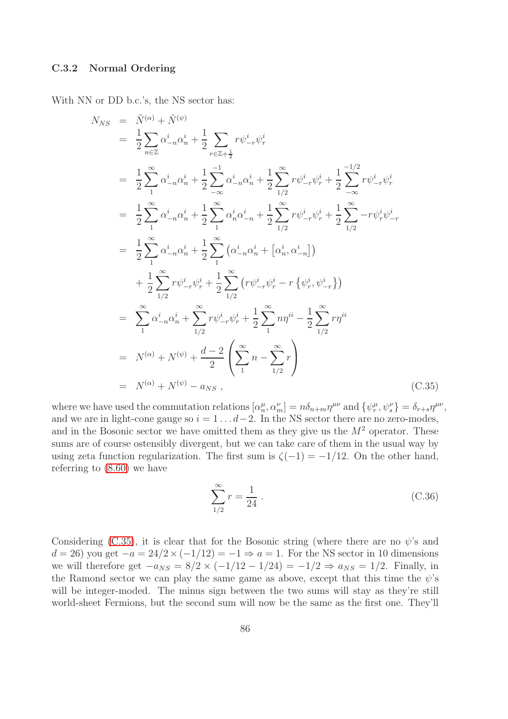#### C.3.2 Normal Ordering

With NN or DD b.c.'s, the NS sector has:

<span id="page-86-0"></span>
$$
N_{NS} = \tilde{N}^{(\alpha)} + \tilde{N}^{(\psi)}
$$
  
\n
$$
= \frac{1}{2} \sum_{n \in \mathbb{Z}} \alpha_{-n}^{i} \alpha_{n}^{i} + \frac{1}{2} \sum_{r \in \mathbb{Z}+\frac{1}{2}} r \psi_{-r}^{i} \psi_{r}^{i}
$$
  
\n
$$
= \frac{1}{2} \sum_{1}^{\infty} \alpha_{-n}^{i} \alpha_{n}^{i} + \frac{1}{2} \sum_{-\infty}^{-1} \alpha_{-n}^{i} \alpha_{n}^{i} + \frac{1}{2} \sum_{1/2}^{\infty} r \psi_{-r}^{i} \psi_{r}^{i} + \frac{1}{2} \sum_{-\infty}^{-1} r \psi_{-r}^{i} \psi_{r}^{i}
$$
  
\n
$$
= \frac{1}{2} \sum_{1}^{\infty} \alpha_{-n}^{i} \alpha_{n}^{i} + \frac{1}{2} \sum_{1}^{\infty} \alpha_{n}^{i} \alpha_{-n}^{i} + \frac{1}{2} \sum_{1/2}^{\infty} r \psi_{-r}^{i} \psi_{r}^{i} + \frac{1}{2} \sum_{1/2}^{\infty} -r \psi_{r}^{i} \psi_{-r}^{i}
$$
  
\n
$$
= \frac{1}{2} \sum_{1}^{\infty} \alpha_{-n}^{i} \alpha_{n}^{i} + \frac{1}{2} \sum_{1}^{\infty} (\alpha_{-n}^{i} \alpha_{n}^{i} + [\alpha_{n}^{i}, \alpha_{-n}^{i}])
$$
  
\n
$$
+ \frac{1}{2} \sum_{1/2}^{\infty} r \psi_{-r}^{i} \psi_{r}^{i} + \frac{1}{2} \sum_{1/2}^{\infty} (r \psi_{-r}^{i} \psi_{r}^{i} - r \{\psi_{r}^{i}, \psi_{-r}^{i}\})
$$
  
\n
$$
= \sum_{1}^{\infty} \alpha_{-n}^{i} \alpha_{n}^{i} + \sum_{1/2}^{\infty} r \psi_{-r}^{i} \psi_{r}^{i} + \frac{1}{2} \sum_{1}^{\infty} n \eta^{ii} - \frac{1}{2} \sum_{1/2}^{\infty} r \
$$

where we have used the commutation relations  $[\alpha_n^{\mu}, \alpha_m^{\nu}] = n \delta_{n+m} \eta^{\mu\nu}$  and  $\{\psi_r^{\mu}, \psi_s^{\nu}\} = \delta_{r+s} \eta^{\mu\nu}$ , and we are in light-cone gauge so  $i = 1 \dots d-2$ . In the NS sector there are no zero-modes, and in the Bosonic sector we have omitted them as they give us the  $M<sup>2</sup>$  operator. These sums are of course ostensibly divergent, but we can take care of them in the usual way by using zeta function regularization. The first sum is  $\zeta(-1) = -1/12$ . On the other hand, referring to [\(8.60\)](#page-56-0) we have

$$
\sum_{1/2}^{\infty} r = \frac{1}{24} \,. \tag{C.36}
$$

Considering [\(C.35\)](#page-86-0), it is clear that for the Bosonic string (where there are no  $\psi$ 's and  $d = 26$ ) you get  $-a = 24/2 \times (-1/12) = -1 \Rightarrow a = 1$ . For the NS sector in 10 dimensions we will therefore get  $-a_{NS} = 8/2 \times (-1/12 - 1/24) = -1/2 \Rightarrow a_{NS} = 1/2$ . Finally, in the Ramond sector we can play the same game as above, except that this time the  $\psi$ 's will be integer-moded. The minus sign between the two sums will stay as they're still world-sheet Fermions, but the second sum will now be the same as the first one. They'll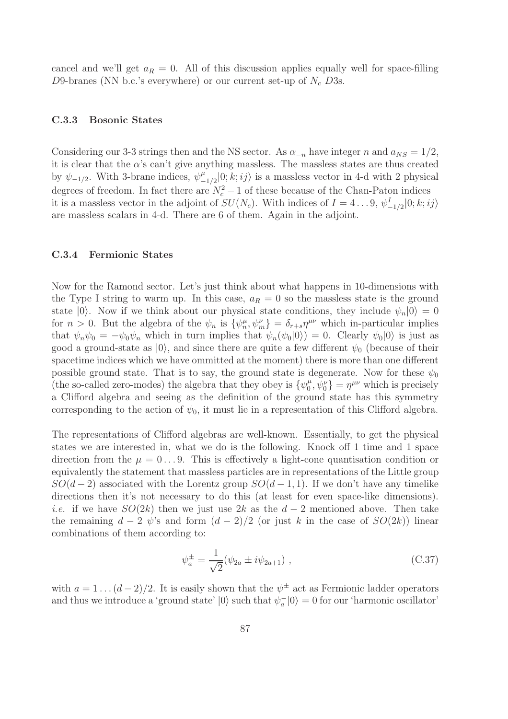cancel and we'll get  $a_R = 0$ . All of this discussion applies equally well for space-filling D9-branes (NN b.c.'s everywhere) or our current set-up of  $N_c$  D3s.

#### C.3.3 Bosonic States

Considering our 3-3 strings then and the NS sector. As  $\alpha_{-n}$  have integer n and  $a_{NS} = 1/2$ , it is clear that the  $\alpha$ 's can't give anything massless. The massless states are thus created by  $\psi_{-1/2}$ . With 3-brane indices,  $\psi_{-}^{\mu}$  $_{-1/2}^{\mu}$ [0; k; ij) is a massless vector in 4-d with 2 physical degrees of freedom. In fact there are  $N_c^2 - 1$  of these because of the Chan-Paton indices – it is a massless vector in the adjoint of  $SU(N_c)$ . With indices of  $I = 4...9, \psi^I_{-1/2}|0; k; i j \rangle$ are massless scalars in 4-d. There are 6 of them. Again in the adjoint.

#### C.3.4 Fermionic States

Now for the Ramond sector. Let's just think about what happens in 10-dimensions with the Type I string to warm up. In this case,  $a_R = 0$  so the massless state is the ground state  $|0\rangle$ . Now if we think about our physical state conditions, they include  $\psi_n|0\rangle = 0$ for  $n > 0$ . But the algebra of the  $\psi_n$  is  $\{\psi_n^{\mu}, \psi_m^{\nu}\} = \delta_{r+s} \eta^{\mu\nu}$  which in-particular implies that  $\psi_n \psi_0 = -\psi_0 \psi_n$  which in turn implies that  $\psi_n(\psi_0|0\rangle) = 0$ . Clearly  $\psi_0|0\rangle$  is just as good a ground-state as  $|0\rangle$ , and since there are quite a few different  $\psi_0$  (because of their spacetime indices which we have ommitted at the moment) there is more than one different possible ground state. That is to say, the ground state is degenerate. Now for these  $\psi_0$ (the so-called zero-modes) the algebra that they obey is  $\{\psi_0^{\mu}$  $\{\theta_0^{\mu}, \psi_0^{\nu}\} = \eta^{\mu\nu}$  which is precisely a Clifford algebra and seeing as the definition of the ground state has this symmetry corresponding to the action of  $\psi_0$ , it must lie in a representation of this Clifford algebra.

The representations of Clifford algebras are well-known. Essentially, to get the physical states we are interested in, what we do is the following. Knock off 1 time and 1 space direction from the  $\mu = 0...9$ . This is effectively a light-cone quantisation condition or equivalently the statement that massless particles are in representations of the Little group  $SO(d-2)$  associated with the Lorentz group  $SO(d-1,1)$ . If we don't have any timelike directions then it's not necessary to do this (at least for even space-like dimensions). *i.e.* if we have  $SO(2k)$  then we just use 2k as the  $d-2$  mentioned above. Then take the remaining  $d - 2 \psi$ 's and form  $(d - 2)/2$  (or just k in the case of  $SO(2k)$ ) linear combinations of them according to:

<span id="page-87-0"></span>
$$
\psi_a^{\pm} = \frac{1}{\sqrt{2}} (\psi_{2a} \pm i\psi_{2a+1}), \qquad (C.37)
$$

with  $a = 1 \dots (d-2)/2$ . It is easily shown that the  $\psi^{\pm}$  act as Fermionic ladder operators and thus we introduce a 'ground state'  $|0\rangle$  such that  $\psi_a^-|0\rangle = 0$  for our 'harmonic oscillator'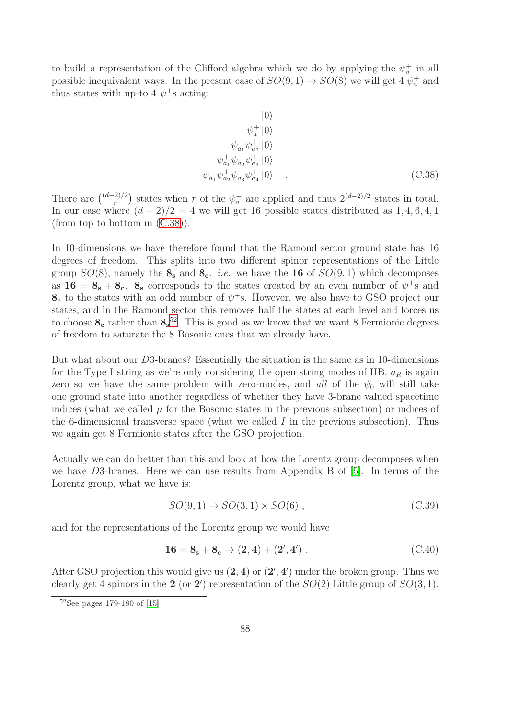to build a representation of the Clifford algebra which we do by applying the  $\psi_a^+$  in all possible inequivalent ways. In the present case of  $SO(9,1) \rightarrow SO(8)$  we will get 4  $\psi_a^+$  and thus states with up-to 4  $\psi$ <sup>+</sup>s acting:

<span id="page-88-0"></span>
$$
|0\rangle
$$
  
\n
$$
\psi_a^+ |0\rangle
$$
  
\n
$$
\psi_{a_1}^+ \psi_{a_2}^+ |0\rangle
$$
  
\n
$$
\psi_{a_1}^+ \psi_{a_2}^+ \psi_{a_3}^+ |0\rangle
$$
  
\n
$$
\psi_{a_1}^+ \psi_{a_2}^+ \psi_{a_3}^+ \psi_{a_4}^+ |0\rangle
$$
 (C.38)

There are  $\binom{(d-2)/2}{r}$  states when r of the  $\psi_a^+$  are applied and thus  $2^{(d-2)/2}$  states in total. In our case where  $(d-2)/2 = 4$  we will get 16 possible states distributed as 1, 4, 6, 4, 1 (from top to bottom in [\(C.38\)](#page-88-0)).

In 10-dimensions we have therefore found that the Ramond sector ground state has 16 degrees of freedom. This splits into two different spinor representations of the Little group  $SO(8)$ , namely the  $\mathbf{8}_{s}$  and  $\mathbf{8}_{c}$ . *i.e.* we have the **16** of  $SO(9, 1)$  which decomposes as  $16 = 8_s + 8_c$ .  $8_s$  corresponds to the states created by an even number of  $\psi^+$ s and  $\mathbf{8_c}$  to the states with an odd number of  $\psi^+$ s. However, we also have to GSO project our states, and in the Ramond sector this removes half the states at each level and forces us to choose  $\mathbf{8_c}$  rather than  $\mathbf{8_s}^{52}$  $\mathbf{8_s}^{52}$  $\mathbf{8_s}^{52}$ . This is good as we know that we want 8 Fermionic degrees of freedom to saturate the 8 Bosonic ones that we already have.

But what about our D3-branes? Essentially the situation is the same as in 10-dimensions for the Type I string as we're only considering the open string modes of IIB.  $a_R$  is again zero so we have the same problem with zero-modes, and *all* of the  $\psi_0$  will still take one ground state into another regardless of whether they have 3-brane valued spacetime indices (what we called  $\mu$  for the Bosonic states in the previous subsection) or indices of the 6-dimensional transverse space (what we called  $I$  in the previous subsection). Thus we again get 8 Fermionic states after the GSO projection.

Actually we can do better than this and look at how the Lorentz group decomposes when we have D3-branes. Here we can use results from Appendix B of [\[5\]](#page-99-1). In terms of the Lorentz group, what we have is:

$$
SO(9,1) \to SO(3,1) \times SO(6) , \qquad (C.39)
$$

and for the representations of the Lorentz group we would have

$$
16 = 8_s + 8_c \rightarrow (2, 4) + (2', 4') . \tag{C.40}
$$

After GSO projection this would give us  $(2, 4)$  or  $(2', 4')$  under the broken group. Thus we clearly get 4 spinors in the 2 (or 2') representation of the  $SO(2)$  Little group of  $SO(3,1)$ .

<span id="page-88-1"></span><sup>52</sup>See pages 179-180 of [\[15\]](#page-99-2)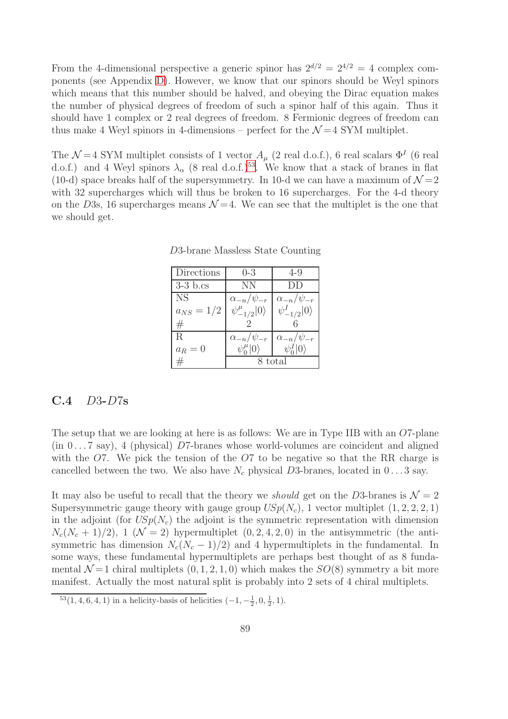From the 4-dimensional perspective a generic spinor has  $2^{d/2} = 2^{4/2} = 4$  complex components (see Appendix [D\)](#page-96-0). However, we know that our spinors should be Weyl spinors which means that this number should be halved, and obeying the Dirac equation makes the number of physical degrees of freedom of such a spinor half of this again. Thus it should have 1 complex or 2 real degrees of freedom. 8 Fermionic degrees of freedom can thus make 4 Weyl spinors in 4-dimensions – perfect for the  $\mathcal{N}=4$  SYM multiplet.

The  $\mathcal{N}=4$  SYM multiplet consists of 1 vector  $A_{\mu}$  (2 real d.o.f.), 6 real scalars  $\Phi^{I}$  (6 real d.o.f.) and 4 Weyl spinors  $\lambda_{\alpha}$  (8 real d.o.f.)<sup>[53](#page-89-0)</sup>. We know that a stack of branes in flat (10-d) space breaks half of the supersymmetry. In 10-d we can have a maximum of  $\mathcal{N}=2$ with 32 supercharges which will thus be broken to 16 supercharges. For the 4-d theory on the D3s, 16 supercharges means  $\mathcal{N}=4$ . We can see that the multiplet is the one that we should get.

| Directions     | $(-3)$                       | 4-9                      |
|----------------|------------------------------|--------------------------|
| $3-3$ b.cs     | NΝ                           | 11                       |
| NS.            | $\alpha_{-n}/\psi_{-r}$      | $\alpha_{-n}/\psi_{-r}$  |
| $a_{NS} = 1/2$ | $\psi_{-1/2}^{\mu} 0\rangle$ | $\psi_{-1/2}^I 0\rangle$ |
| #              |                              |                          |
| R.             | $\alpha_{-n}/\psi_{-r}$      | $\alpha_{-n}/\psi_{-r}$  |
| $a_R=0$        | $\psi_0^{\mu} 0\rangle$      | $\psi^I_0$               |
|                | 8 total                      |                          |

D3-brane Massless State Counting

## C.4 D3-D7s

The setup that we are looking at here is as follows: We are in Type IIB with an O7-plane  $(in 0...7 say)$ , 4 (physical) D7-branes whose world-volumes are coincident and aligned with the  $O7$ . We pick the tension of the  $O7$  to be negative so that the RR charge is cancelled between the two. We also have  $N_c$  physical D3-branes, located in  $0 \ldots 3$  say.

It may also be useful to recall that the theory we *should* get on the D3-branes is  $\mathcal{N} = 2$ Supersymmetric gauge theory with gauge group  $USp(N_c)$ , 1 vector multiplet  $(1, 2, 2, 2, 1)$ in the adjoint (for  $USp(N_c)$ ) the adjoint is the symmetric representation with dimension  $N_c(N_c+1)/2)$ , 1 ( $\mathcal{N}=2$ ) hypermultiplet  $(0, 2, 4, 2, 0)$  in the antisymmetric (the antisymmetric has dimension  $N_c(N_c - 1)/2$  and 4 hypermultiplets in the fundamental. In some ways, these fundamental hypermultiplets are perhaps best thought of as 8 fundamental  $\mathcal{N}=1$  chiral multiplets  $(0, 1, 2, 1, 0)$  which makes the  $SO(8)$  symmetry a bit more manifest. Actually the most natural split is probably into 2 sets of 4 chiral multiplets.

<span id="page-89-0"></span> ${}^{53}(1,4,6,4,1)$  in a helicity-basis of helicities  $(-1,-\frac{1}{2},0,\frac{1}{2},1)$ .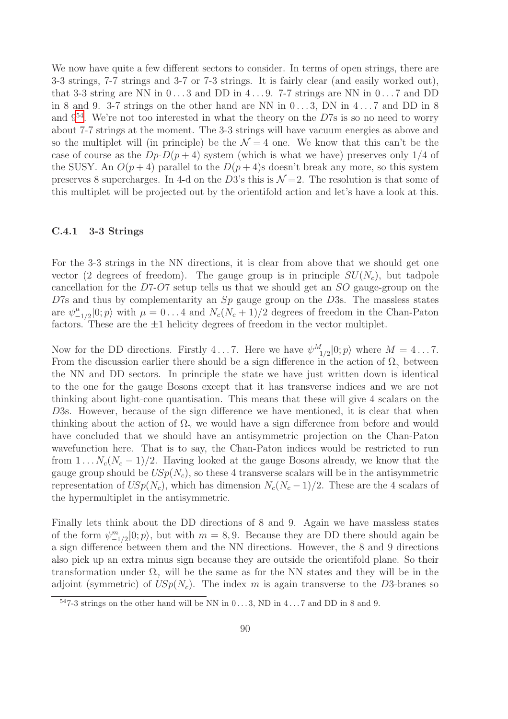We now have quite a few different sectors to consider. In terms of open strings, there are 3-3 strings, 7-7 strings and 3-7 or 7-3 strings. It is fairly clear (and easily worked out), that 3-3 string are NN in  $0 \ldots 3$  and DD in  $4 \ldots 9$ . 7-7 strings are NN in  $0 \ldots 7$  and DD in 8 and 9. 3-7 strings on the other hand are NN in  $0 \dots 3$ , DN in  $4 \dots 7$  and DD in 8 and  $9^{54}$  $9^{54}$  $9^{54}$ . We're not too interested in what the theory on the D7s is so no need to worry about 7-7 strings at the moment. The 3-3 strings will have vacuum energies as above and so the multiplet will (in principle) be the  $\mathcal{N}=4$  one. We know that this can't be the case of course as the  $Dp-D(p+4)$  system (which is what we have) preserves only 1/4 of the SUSY. An  $O(p+4)$  parallel to the  $D(p+4)$ s doesn't break any more, so this system preserves 8 supercharges. In 4-d on the D3's this is  $\mathcal{N}=2$ . The resolution is that some of this multiplet will be projected out by the orientifold action and let's have a look at this.

#### C.4.1 3-3 Strings

For the 3-3 strings in the NN directions, it is clear from above that we should get one vector (2 degrees of freedom). The gauge group is in principle  $SU(N_c)$ , but tadpole cancellation for the D7-O7 setup tells us that we should get an SO gauge-group on the  $D7s$  and thus by complementarity an  $Sp$  gauge group on the  $D3s$ . The massless states are  $\psi_{-}^{\mu}$  $_{-1/2}^{\mu}$ [0; *p*) with  $\mu = 0...4$  and  $N_c(N_c+1)/2$  degrees of freedom in the Chan-Paton factors. These are the  $\pm 1$  helicity degrees of freedom in the vector multiplet.

Now for the DD directions. Firstly 4...7. Here we have  $\psi^M_{-1/2}|0;p\rangle$  where  $M = 4...7$ . From the discussion earlier there should be a sign difference in the action of  $\Omega_{\gamma}$  between the NN and DD sectors. In principle the state we have just written down is identical to the one for the gauge Bosons except that it has transverse indices and we are not thinking about light-cone quantisation. This means that these will give 4 scalars on the D3s. However, because of the sign difference we have mentioned, it is clear that when thinking about the action of  $\Omega_{\gamma}$  we would have a sign difference from before and would have concluded that we should have an antisymmetric projection on the Chan-Paton wavefunction here. That is to say, the Chan-Paton indices would be restricted to run from  $1 \tldots N_c(N_c-1)/2$ . Having looked at the gauge Bosons already, we know that the gauge group should be  $USp(N_c)$ , so these 4 transverse scalars will be in the antisymmetric representation of  $USp(N_c)$ , which has dimension  $N_c(N_c-1)/2$ . These are the 4 scalars of the hypermultiplet in the antisymmetric.

Finally lets think about the DD directions of 8 and 9. Again we have massless states of the form  $\psi^m_{-1/2}|0;p\rangle$ , but with  $m = 8,9$ . Because they are DD there should again be a sign difference between them and the NN directions. However, the 8 and 9 directions also pick up an extra minus sign because they are outside the orientifold plane. So their transformation under  $\Omega_{\gamma}$  will be the same as for the NN states and they will be in the adjoint (symmetric) of  $USp(N_c)$ . The index m is again transverse to the D3-branes so

<span id="page-90-0"></span> $547-3$  strings on the other hand will be NN in  $0...3$ , ND in  $4...7$  and DD in 8 and 9.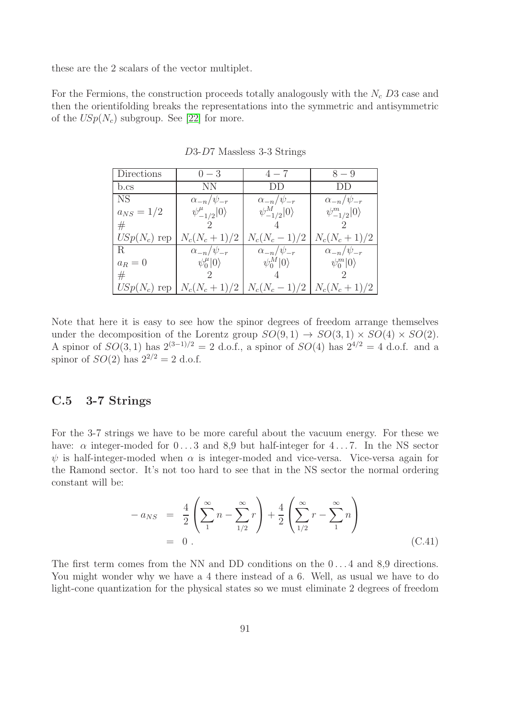these are the 2 scalars of the vector multiplet.

For the Fermions, the construction proceeds totally analogously with the  $N_c$  D3 case and then the orientifolding breaks the representations into the symmetric and antisymmetric of the  $USp(N_c)$  subgroup. See [\[22\]](#page-100-2) for more.

| Directions     | $0 - 3$                      | $4 - 7$                  | $8 - 9$                         |
|----------------|------------------------------|--------------------------|---------------------------------|
| b.cs           | NN.                          | $1)$ $1)$                | $1)$ $\cup$                     |
| NS.            | $\alpha_{-n}/\psi_{-r}$      | $\alpha_{-n}/\psi_{-r}$  | $\alpha_{-n}/\psi_{-r}$         |
| $a_{NS} = 1/2$ | $\psi_{-1/2}^{\mu} 0\rangle$ | $\psi^M_{-1/2} 0\rangle$ | $\psi^m_{-1/2} 0\rangle$        |
| $^{\#}$        |                              |                          |                                 |
| $USp(N_c)$ rep | $N_c(N_c+1)/2$               | $N_c(N_c-1)/2$           | $N_c(N_c+1)/2$                  |
| R.             | $\alpha_{-n}/\psi_{-r}$      | $\alpha_{-n}/\psi_{-r}$  | $\alpha_{-n}/\psi_{-r}$         |
| $a_R=0$        | $\psi_0^{\mu} 0\rangle$      | $\psi_0^M 0\rangle$      | $\psi_0^m 0\rangle$             |
| $^{\#}$        |                              |                          |                                 |
| $USp(N_c)$ rep | $N_c(N_c+1)/2$               |                          | $N_c(N_c-1)/2$   $N_c(N_c+1)/2$ |

D3-D7 Massless 3-3 Strings

Note that here it is easy to see how the spinor degrees of freedom arrange themselves under the decomposition of the Lorentz group  $SO(9,1) \rightarrow SO(3,1) \times SO(4) \times SO(2)$ . A spinor of  $SO(3, 1)$  has  $2^{(3-1)/2} = 2$  d.o.f., a spinor of  $SO(4)$  has  $2^{4/2} = 4$  d.o.f. and a spinor of  $SO(2)$  has  $2^{2/2} = 2$  d.o.f.

## C.5 3-7 Strings

For the 3-7 strings we have to be more careful about the vacuum energy. For these we have:  $\alpha$  integer-moded for  $0 \ldots 3$  and  $8.9$  but half-integer for  $4 \ldots 7$ . In the NS sector  $\psi$  is half-integer-moded when  $\alpha$  is integer-moded and vice-versa. Vice-versa again for the Ramond sector. It's not too hard to see that in the NS sector the normal ordering constant will be:

$$
- a_{NS} = \frac{4}{2} \left( \sum_{1}^{\infty} n - \sum_{1/2}^{\infty} r \right) + \frac{4}{2} \left( \sum_{1/2}^{\infty} r - \sum_{1}^{\infty} n \right)
$$
  
= 0. (C.41)

The first term comes from the NN and DD conditions on the  $0 \dots 4$  and 8,9 directions. You might wonder why we have a 4 there instead of a 6. Well, as usual we have to do light-cone quantization for the physical states so we must eliminate 2 degrees of freedom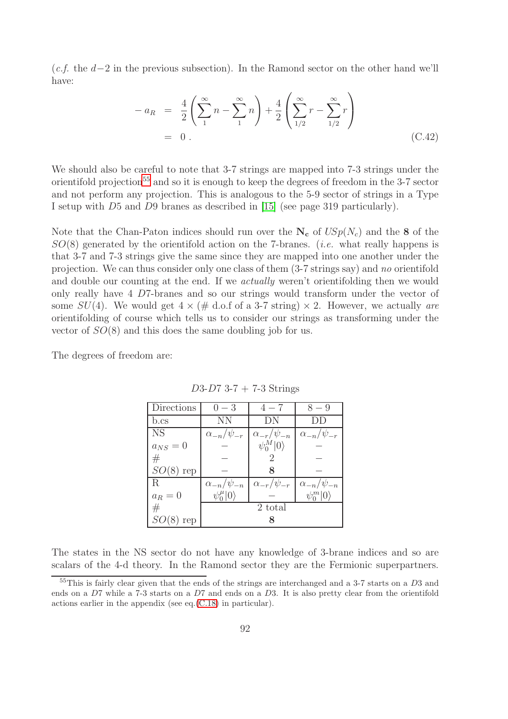(*c.f.* the d−2 in the previous subsection). In the Ramond sector on the other hand we'll have:

$$
- a_R = \frac{4}{2} \left( \sum_{1}^{\infty} n - \sum_{1}^{\infty} n \right) + \frac{4}{2} \left( \sum_{1/2}^{\infty} r - \sum_{1/2}^{\infty} r \right)
$$
  
= 0. (C.42)

We should also be careful to note that 3-7 strings are mapped into 7-3 strings under the orientifold projection<sup>[55](#page-92-0)</sup> and so it is enough to keep the degrees of freedom in the 3-7 sector and not perform any projection. This is analogous to the 5-9 sector of strings in a Type I setup with D5 and D9 branes as described in [\[15\]](#page-99-2) (see page 319 particularly).

Note that the Chan-Paton indices should run over the  $N_c$  of  $USp(N_c)$  and the 8 of the SO(8) generated by the orientifold action on the 7-branes. (*i.e.* what really happens is that 3-7 and 7-3 strings give the same since they are mapped into one another under the projection. We can thus consider only one class of them (3-7 strings say) and *no* orientifold and double our counting at the end. If we *actually* weren't orientifolding then we would only really have 4 D7-branes and so our strings would transform under the vector of some  $SU(4)$ . We would get  $4 \times (\text{\# d.o.f of a 3-7 string}) \times 2$ . However, we actually *are* orientifolding of course which tells us to consider our strings as transforming under the vector of  $SO(8)$  and this does the same doubling job for us.

The degrees of freedom are:

| Directions  | $0 - 3$                 | $4 - 7$                 | $8 - 9$                 |
|-------------|-------------------------|-------------------------|-------------------------|
| b.cs        | NN.                     | DN                      |                         |
| <b>NS</b>   | $\alpha_{-n}/\psi_{-r}$ | $\alpha_{-r}/\psi_{-n}$ | $\alpha_{-n}/\psi_{-r}$ |
| $a_{NS}=0$  |                         | $\psi_0^M 0\rangle$     |                         |
| #           |                         |                         |                         |
| $SO(8)$ rep |                         |                         |                         |
| R.          | $\alpha_{-n}/\psi_{-n}$ | $\alpha_{-r}/\psi_{-r}$ | $\alpha_{-n}/\psi_{-n}$ |
| $a_R=0$     | $\psi_0^{\mu} 0\rangle$ |                         | $\psi_0^m 0\rangle$     |
| #           | 2 total                 |                         |                         |
| $SO(8)$ rep |                         |                         |                         |

 $D3-D7$  3-7 + 7-3 Strings

The states in the NS sector do not have any knowledge of 3-brane indices and so are scalars of the 4-d theory. In the Ramond sector they are the Fermionic superpartners.

<span id="page-92-0"></span> $55$ This is fairly clear given that the ends of the strings are interchanged and a 3-7 starts on a  $D3$  and ends on a D7 while a 7-3 starts on a D7 and ends on a D3. It is also pretty clear from the orientifold actions earlier in the appendix (see eq.[\(C.18\)](#page-76-1) in particular).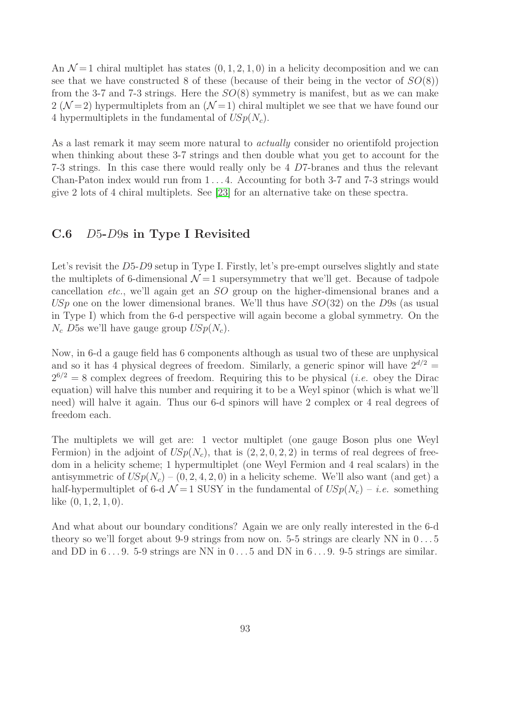An  $\mathcal{N}=1$  chiral multiplet has states  $(0, 1, 2, 1, 0)$  in a helicity decomposition and we can see that we have constructed 8 of these (because of their being in the vector of  $SO(8)$ ) from the 3-7 and 7-3 strings. Here the  $SO(8)$  symmetry is manifest, but as we can make 2 ( $\mathcal{N}=2$ ) hypermultiplets from an ( $\mathcal{N}=1$ ) chiral multiplet we see that we have found our 4 hypermultiplets in the fundamental of  $USp(N_c)$ .

As a last remark it may seem more natural to *actually* consider no orientifold projection when thinking about these 3-7 strings and then double what you get to account for the 7-3 strings. In this case there would really only be 4 D7-branes and thus the relevant Chan-Paton index would run from 1 . . . 4. Accounting for both 3-7 and 7-3 strings would give 2 lots of 4 chiral multiplets. See [\[23\]](#page-100-3) for an alternative take on these spectra.

## C.6 D5-D9s in Type I Revisited

Let's revisit the D5-D9 setup in Type I. Firstly, let's pre-empt ourselves slightly and state the multiplets of 6-dimensional  $\mathcal{N}=1$  supersymmetry that we'll get. Because of tadpole cancellation *etc.*, we'll again get an SO group on the higher-dimensional branes and a USp one on the lower dimensional branes. We'll thus have  $SO(32)$  on the D9s (as usual in Type I) which from the 6-d perspective will again become a global symmetry. On the  $N_c$  D5s we'll have gauge group  $USp(N_c)$ .

Now, in 6-d a gauge field has 6 components although as usual two of these are unphysical and so it has 4 physical degrees of freedom. Similarly, a generic spinor will have  $2^{d/2}$  =  $2^{6/2} = 8$  complex degrees of freedom. Requiring this to be physical (*i.e.* obey the Dirac equation) will halve this number and requiring it to be a Weyl spinor (which is what we'll need) will halve it again. Thus our 6-d spinors will have 2 complex or 4 real degrees of freedom each.

The multiplets we will get are: 1 vector multiplet (one gauge Boson plus one Weyl Fermion) in the adjoint of  $USp(N_c)$ , that is  $(2, 2, 0, 2, 2)$  in terms of real degrees of freedom in a helicity scheme; 1 hypermultiplet (one Weyl Fermion and 4 real scalars) in the antisymmetric of  $USp(N_c) - (0, 2, 4, 2, 0)$  in a helicity scheme. We'll also want (and get) a half-hypermultiplet of 6-d  $\mathcal{N}=1$  SUSY in the fundamental of  $USp(N_c) - i.e.$  something like  $(0, 1, 2, 1, 0)$ .

And what about our boundary conditions? Again we are only really interested in the 6-d theory so we'll forget about 9-9 strings from now on. 5-5 strings are clearly NN in  $0 \dots 5$ and DD in  $6 \ldots 9$ . 5-9 strings are NN in  $0 \ldots 5$  and DN in  $6 \ldots 9$ . 9-5 strings are similar.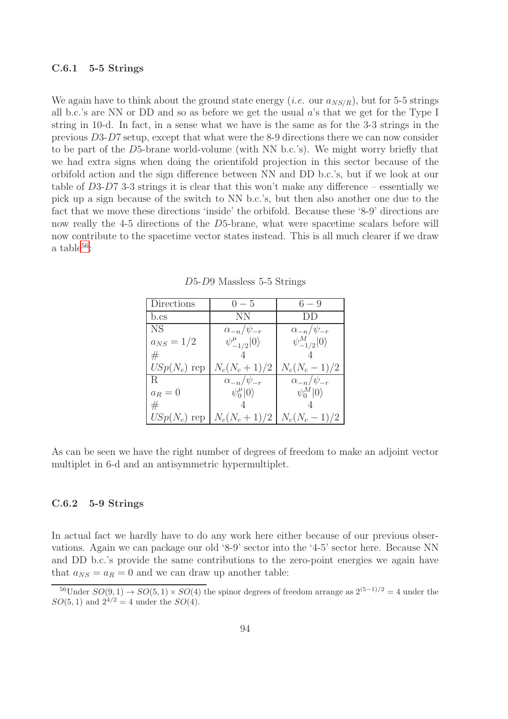#### C.6.1 5-5 Strings

We again have to think about the ground state energy (*i.e.* our  $a_{NS/R}$ ), but for 5-5 strings all b.c.'s are NN or DD and so as before we get the usual  $a$ 's that we get for the Type I string in 10-d. In fact, in a sense what we have is the same as for the 3-3 strings in the previous D3-D7 setup, except that what were the 8-9 directions there we can now consider to be part of the D5-brane world-volume (with NN b.c.'s). We might worry briefly that we had extra signs when doing the orientifold projection in this sector because of the orbifold action and the sign difference between NN and DD b.c.'s, but if we look at our table of D3-D7 3-3 strings it is clear that this won't make any difference – essentially we pick up a sign because of the switch to NN b.c.'s, but then also another one due to the fact that we move these directions 'inside' the orbifold. Because these '8-9' directions are now really the 4-5 directions of the D5-brane, what were spacetime scalars before will now contribute to the spacetime vector states instead. This is all much clearer if we draw a table $56$ :

| Directions     | $0 - 5$                      | $6 - 9$                  |
|----------------|------------------------------|--------------------------|
| b.cs           | NΝ                           | $1)$ $\overline{1}$      |
| <b>NS</b>      | $\alpha_{-n}/\psi_{-r}$      | $\alpha_{-n}/\psi_{-r}$  |
| $a_{NS} = 1/2$ | $\psi_{-1/2}^{\mu} 0\rangle$ | $\psi^M_{-1/2} 0\rangle$ |
| #              |                              |                          |
| $USp(N_c)$ rep | $N_c(N_c+1)/2$               | $N_c(N_c-1)/2$           |
| R.             | $\alpha_{-n}/\psi_{-r}$      | $\alpha_{-n}/\psi_{-r}$  |
| $a_R=0$        | $\psi_0^{\mu} 0\rangle$      | $\psi_0^M 0\rangle$      |
| #              |                              |                          |
| $USp(N_c)$ rep | $N_c(N_c+1)/2$               | $N_c(N_c-1)/2$           |

D5-D9 Massless 5-5 Strings

As can be seen we have the right number of degrees of freedom to make an adjoint vector multiplet in 6-d and an antisymmetric hypermultiplet.

## C.6.2 5-9 Strings

In actual fact we hardly have to do any work here either because of our previous observations. Again we can package our old '8-9' sector into the '4-5' sector here. Because NN and DD b.c.'s provide the same contributions to the zero-point energies we again have that  $a_{NS} = a_R = 0$  and we can draw up another table:

<span id="page-94-0"></span><sup>&</sup>lt;sup>56</sup>Under  $SO(9, 1) \rightarrow SO(5, 1) \times SO(4)$  the spinor degrees of freedom arrange as  $2^{(5-1)/2} = 4$  under the  $SO(5, 1)$  and  $2^{4/2} = 4$  under the  $SO(4)$ .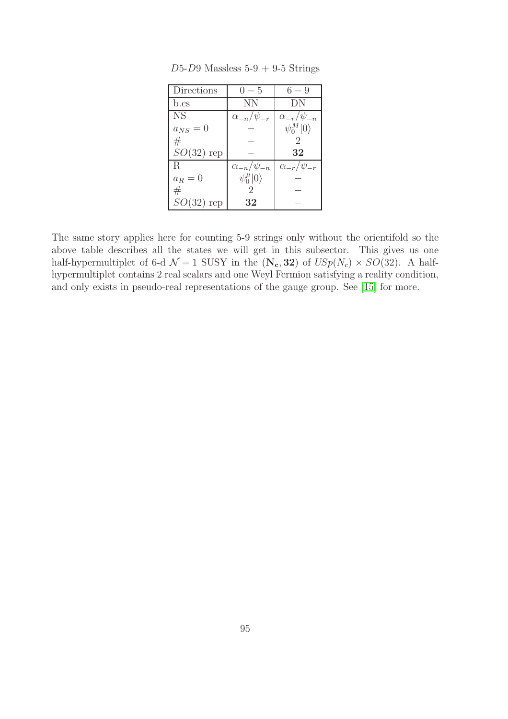| Directions   | $() - 5$                | $6 - 9$                 |
|--------------|-------------------------|-------------------------|
| b.cs         | ΝN                      | ĐΝ                      |
| NS.          | $\alpha_{-n}/\psi_{-r}$ | $\alpha_{-r}/\psi_{-n}$ |
| $a_{NS}=0$   |                         | $\psi_0^M 0\rangle$     |
| #            |                         |                         |
| $SO(32)$ rep |                         | 32                      |
| R.           | $\alpha_{-n}/\psi_{-n}$ | $\alpha_{-r}/\psi_{-r}$ |
| $a_R=0$      | $\psi_0^{\mu} 0\rangle$ |                         |
| #            |                         |                         |
| $SO(32)$ rep | 32                      |                         |

 $D5-D9$  Massless  $5-9 + 9-5$  Strings

The same story applies here for counting 5-9 strings only without the orientifold so the above table describes all the states we will get in this subsector. This gives us one half-hypermultiplet of 6-d  $\mathcal{N} = 1$  SUSY in the  $(\mathbf{N_c}, 32)$  of  $USp(N_c) \times SO(32)$ . A halfhypermultiplet contains 2 real scalars and one Weyl Fermion satisfying a reality condition, and only exists in pseudo-real representations of the gauge group. See [\[15\]](#page-99-2) for more.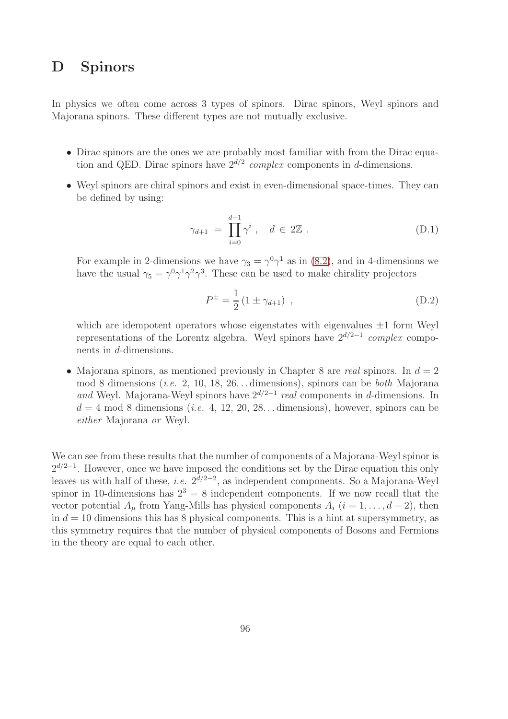# <span id="page-96-0"></span>D Spinors

In physics we often come across 3 types of spinors. Dirac spinors, Weyl spinors and Majorana spinors. These different types are not mutually exclusive.

- Dirac spinors are the ones we are probably most familiar with from the Dirac equation and QED. Dirac spinors have  $2^{d/2}$  *complex* components in d-dimensions.
- Weyl spinors are chiral spinors and exist in even-dimensional space-times. They can be defined by using:

$$
\gamma_{d+1} = \prod_{i=0}^{d-1} \gamma^i \,, \quad d \in 2\mathbb{Z} \,. \tag{D.1}
$$

For example in 2-dimensions we have  $\gamma_3 = \gamma^0 \gamma^1$  as in [\(8.2\)](#page-47-0), and in 4-dimensions we have the usual  $\gamma_5 = \gamma^0 \gamma^1 \gamma^2 \gamma^3$ . These can be used to make chirality projectors

$$
P^{\pm} = \frac{1}{2} \left( 1 \pm \gamma_{d+1} \right) , \qquad (D.2)
$$

which are idempotent operators whose eigenstates with eigenvalues  $\pm 1$  form Weyl representations of the Lorentz algebra. Weyl spinors have 2d/2−<sup>1</sup> *complex* components in d-dimensions.

• Majorana spinors, as mentioned previously in Chapter 8 are *real* spinors. In  $d = 2$ mod 8 dimensions (*i.e.* 2, 10, 18, 26. . . dimensions), spinors can be *both* Majorana *and* Weyl. Majorana-Weyl spinors have  $2^{d/2-1}$  *real* components in d-dimensions. In  $d = 4 \text{ mod } 8$  dimensions (*i.e.* 4, 12, 20, 28... dimensions), however, spinors can be *either* Majorana *or* Weyl.

We can see from these results that the number of components of a Majorana-Weyl spinor is  $2^{d/2-1}$ . However, once we have imposed the conditions set by the Dirac equation this only leaves us with half of these, *i.e.*  $2^{d/2-2}$ , as independent components. So a Majorana-Weyl spinor in 10-dimensions has  $2^3 = 8$  independent components. If we now recall that the vector potential  $A_\mu$  from Yang-Mills has physical components  $A_i$  ( $i = 1, \ldots, d-2$ ), then in  $d = 10$  dimensions this has 8 physical components. This is a hint at supersymmetry, as this symmetry requires that the number of physical components of Bosons and Fermions in the theory are equal to each other.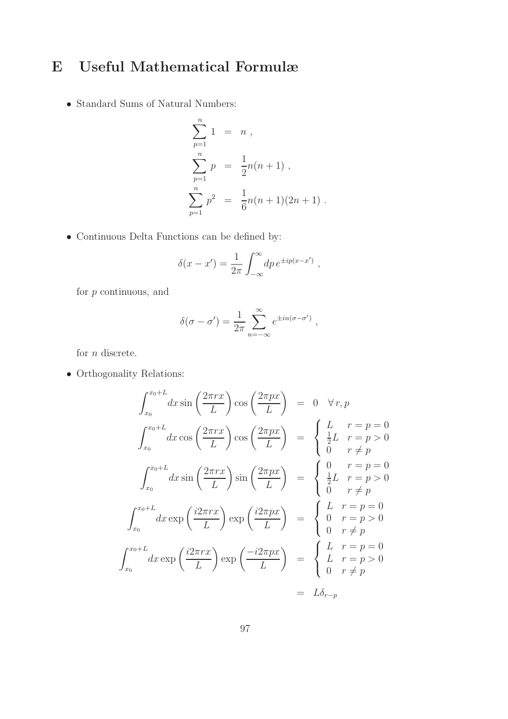# E Useful Mathematical Formulæ

• Standard Sums of Natural Numbers:

$$
\sum_{p=1}^{n} 1 = n ,
$$
  
\n
$$
\sum_{p=1}^{n} p = \frac{1}{2}n(n+1) ,
$$
  
\n
$$
\sum_{p=1}^{n} p^{2} = \frac{1}{6}n(n+1)(2n+1) .
$$

• Continuous Delta Functions can be defined by:

$$
\delta(x - x') = \frac{1}{2\pi} \int_{-\infty}^{\infty} dp \, e^{\pm ip(x - x')} ,
$$

for  $p$  continuous, and

$$
\delta(\sigma - \sigma') = \frac{1}{2\pi} \sum_{n = -\infty}^{\infty} e^{\pm in(\sigma - \sigma')} ,
$$

for  $n$  discrete.

• Orthogonality Relations:

$$
\int_{x_0}^{x_0+L} dx \sin\left(\frac{2\pi rx}{L}\right) \cos\left(\frac{2\pi px}{L}\right) = 0 \quad \forall r, p
$$

$$
\int_{x_0}^{x_0+L} dx \cos\left(\frac{2\pi rx}{L}\right) \cos\left(\frac{2\pi px}{L}\right) = \begin{cases} L & r = p = 0\\ \frac{1}{2}L & r = p > 0\\ 0 & r \neq p \end{cases}
$$

$$
\int_{x_0}^{x_0+L} dx \sin\left(\frac{2\pi rx}{L}\right) \sin\left(\frac{2\pi px}{L}\right) = \begin{cases} 0 & r = p = 0\\ \frac{1}{2}L & r = p > 0\\ 0 & r \neq p \end{cases}
$$

$$
\int_{x_0}^{x_0+L} dx \exp\left(\frac{i2\pi rx}{L}\right) \exp\left(\frac{i2\pi px}{L}\right) = \begin{cases} L & r = p = 0\\ 0 & r = p > 0\\ 0 & r \neq p \end{cases}
$$

$$
\int_{x_0}^{x_0+L} dx \exp\left(\frac{i2\pi rx}{L}\right) \exp\left(\frac{-i2\pi px}{L}\right) = \begin{cases} L & r = p = 0\\ L & r = p > 0\\ 0 & r \neq p \end{cases}
$$

$$
= L\delta_{r-p}
$$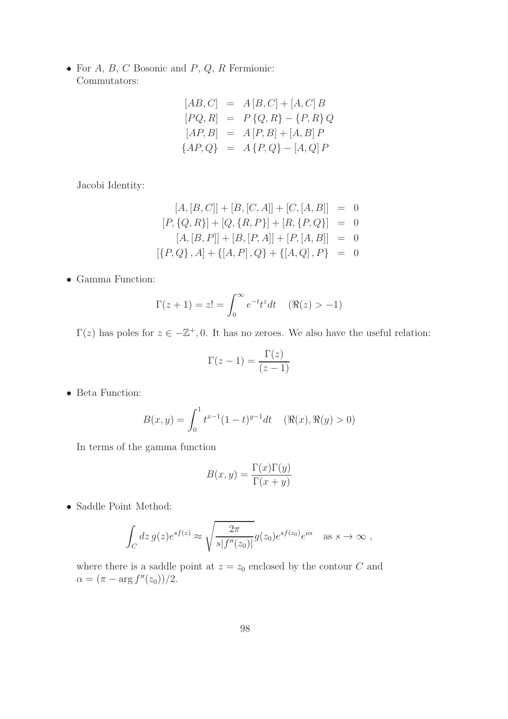• For  $A, B, C$  Bosonic and  $P, Q, R$  Fermionic: Commutators:

$$
[AB, C] = A [B, C] + [A, C] B
$$
  
\n
$$
[PQ, R] = P {Q, R} - {P, R} Q
$$
  
\n
$$
[AP, B] = A [P, B] + [A, B] P
$$
  
\n
$$
{AP, Q} = A {P, Q} - [A, Q] P
$$

Jacobi Identity:

$$
[A, [B, C]] + [B, [C, A]] + [C, [A, B]] = 0
$$
  
\n
$$
[P, \{Q, R\}] + [Q, \{R, P\}] + [R, \{P, Q\}] = 0
$$
  
\n
$$
[A, [B, P]] + [B, [P, A]] + [P, [A, B]] = 0
$$
  
\n
$$
[\{P, Q\}, A] + \{[A, P], Q\} + \{[A, Q], P\} = 0
$$

• Gamma Function:

$$
\Gamma(z+1) = z! = \int_0^\infty e^{-t} t^z dt \quad (\Re(z) > -1)
$$

 $\Gamma(z)$  has poles for  $z \in -\mathbb{Z}^+, 0$ . It has no zeroes. We also have the useful relation:

$$
\Gamma(z-1) = \frac{\Gamma(z)}{(z-1)}
$$

• Beta Function:

$$
B(x, y) = \int_0^1 t^{x-1} (1-t)^{y-1} dt \quad (\Re(x), \Re(y) > 0)
$$

In terms of the gamma function

$$
B(x, y) = \frac{\Gamma(x)\Gamma(y)}{\Gamma(x+y)}
$$

• Saddle Point Method:

$$
\int_C dz \, g(z) e^{sf(z)} \approx \sqrt{\frac{2\pi}{s|f''(z_0)|}} g(z_0) e^{sf(z_0)} e^{i\alpha} \quad \text{as } s \to \infty ,
$$

where there is a saddle point at  $z = z_0$  enclosed by the contour C and  $\alpha = (\pi - \arg f''(z_0))/2.$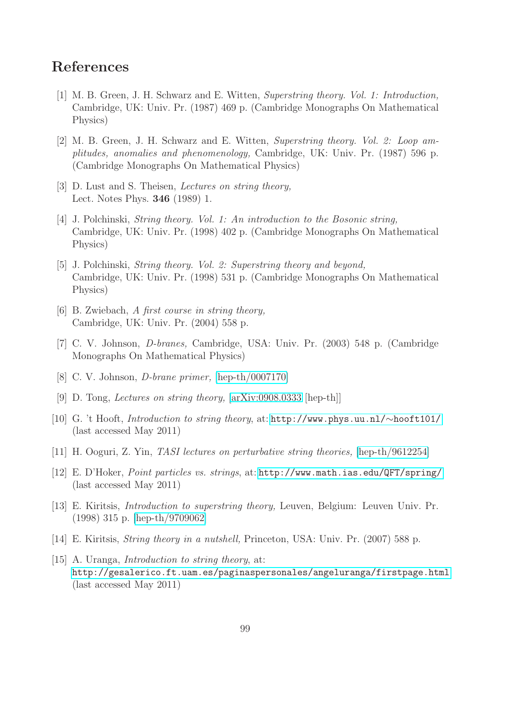# References

- [1] M. B. Green, J. H. Schwarz and E. Witten, *Superstring theory. Vol. 1: Introduction,* Cambridge, UK: Univ. Pr. (1987) 469 p. (Cambridge Monographs On Mathematical Physics)
- [2] M. B. Green, J. H. Schwarz and E. Witten, *Superstring theory. Vol. 2: Loop amplitudes, anomalies and phenomenology,* Cambridge, UK: Univ. Pr. (1987) 596 p. (Cambridge Monographs On Mathematical Physics)
- <span id="page-99-3"></span>[3] D. Lust and S. Theisen, *Lectures on string theory,* Lect. Notes Phys. 346 (1989) 1.
- <span id="page-99-0"></span>[4] J. Polchinski, *String theory. Vol. 1: An introduction to the Bosonic string,* Cambridge, UK: Univ. Pr. (1998) 402 p. (Cambridge Monographs On Mathematical Physics)
- <span id="page-99-1"></span>[5] J. Polchinski, *String theory. Vol. 2: Superstring theory and beyond,* Cambridge, UK: Univ. Pr. (1998) 531 p. (Cambridge Monographs On Mathematical Physics)
- [6] B. Zwiebach, *A first course in string theory,* Cambridge, UK: Univ. Pr. (2004) 558 p.
- [7] C. V. Johnson, *D-branes,* Cambridge, USA: Univ. Pr. (2003) 548 p. (Cambridge Monographs On Mathematical Physics)
- [8] C. V. Johnson, *D-brane primer,* [\[hep-th/0007170\]](http://arxiv.org/abs/hep-th/0007170)
- [9] D. Tong, *Lectures on string theory,* [\[arXiv:0908.0333](http://arxiv.org/abs/0908.0333) [hep-th]]
- [10] G. 't Hooft, *Introduction to string theory*, at: [http://www.phys.uu.nl/](http://www.phys.uu.nl/~hooft101/)∼hooft101/ (last accessed May 2011)
- [11] H. Ooguri, Z. Yin, *TASI lectures on perturbative string theories,* [\[hep-th/9612254\]](http://arxiv.org/abs/hep-th/9612254)
- [12] E. D'Hoker, *Point particles vs. strings*, at: <http://www.math.ias.edu/QFT/spring/> (last accessed May 2011)
- [13] E. Kiritsis, *Introduction to superstring theory,* Leuven, Belgium: Leuven Univ. Pr. (1998) 315 p. [\[hep-th/9709062\]](http://arxiv.org/abs/hep-th/9709062)
- <span id="page-99-2"></span>[14] E. Kiritsis, *String theory in a nutshell,* Princeton, USA: Univ. Pr. (2007) 588 p.
- [15] A. Uranga, *Introduction to string theory*, at: <http://gesalerico.ft.uam.es/paginaspersonales/angeluranga/firstpage.html> (last accessed May 2011)